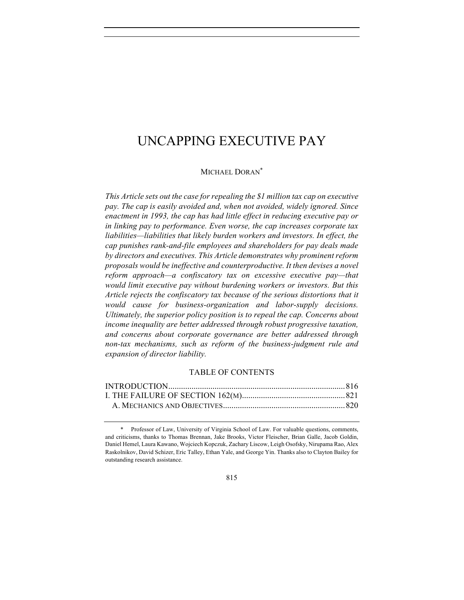MICHAEL DORAN\*

*This Article sets out the case for repealing the \$1 million tax cap on executive pay. The cap is easily avoided and, when not avoided, widely ignored. Since enactment in 1993, the cap has had little effect in reducing executive pay or in linking pay to performance. Even worse, the cap increases corporate tax liabilities—liabilities that likely burden workers and investors. In effect, the cap punishes rank-and-file employees and shareholders for pay deals made by directors and executives. This Article demonstrates why prominent reform proposals would be ineffective and counterproductive. It then devises a novel reform approach—a confiscatory tax on excessive executive pay—that would limit executive pay without burdening workers or investors. But this* Article rejects the confiscatory tax because of the serious distortions that it *would cause for business-organization and labor-supply decisions. Ultimately, the superior policy position is to repeal the cap. Concerns about income inequality are better addressed through robust progressive taxation, and concerns about corporate governance are better addressed through non-tax mechanisms, such as reform of the business-judgment rule and expansion of director liability.*

#### TABLE OF CONTENTS

815

Professor of Law, University of Virginia School of Law. For valuable questions, comments, and criticisms, thanks to Thomas Brennan, Jake Brooks, Victor Fleischer, Brian Galle, Jacob Goldin, Daniel Hemel, Laura Kawano, Wojciech Kopczuk, Zachary Liscow, Leigh Osofsky, Nirupama Rao, Alex Raskolnikov, David Schizer, Eric Talley, Ethan Yale, and George Yin. Thanks also to Clayton Bailey for outstanding research assistance.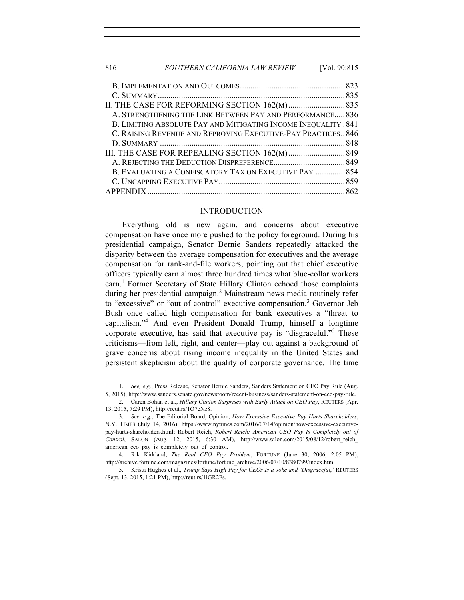## 816 *SOUTHERN CALIFORNIA LAW REVIEW* [Vol. 90:815

| A. STRENGTHENING THE LINK BETWEEN PAY AND PERFORMANCE 836       |  |
|-----------------------------------------------------------------|--|
| B. LIMITING ABSOLUTE PAY AND MITIGATING INCOME INEQUALITY . 841 |  |
| C. RAISING REVENUE AND REPROVING EXECUTIVE-PAY PRACTICES 846    |  |
|                                                                 |  |
|                                                                 |  |
|                                                                 |  |
| B. EVALUATING A CONFISCATORY TAX ON EXECUTIVE PAY  854          |  |
|                                                                 |  |
|                                                                 |  |
|                                                                 |  |

#### INTRODUCTION

Everything old is new again, and concerns about executive compensation have once more pushed to the policy foreground. During his presidential campaign, Senator Bernie Sanders repeatedly attacked the disparity between the average compensation for executives and the average compensation for rank-and-file workers, pointing out that chief executive officers typically earn almost three hundred times what blue-collar workers earn.<sup>1</sup> Former Secretary of State Hillary Clinton echoed those complaints during her presidential campaign. <sup>2</sup> Mainstream news media routinely refer to "excessive" or "out of control" executive compensation.<sup>3</sup> Governor Jeb Bush once called high compensation for bank executives a "threat to capitalism."<sup>4</sup> And even President Donald Trump, himself a longtime corporate executive, has said that executive pay is "disgraceful."<sup>5</sup> These criticisms—from left, right, and center—play out against a background of grave concerns about rising income inequality in the United States and persistent skepticism about the quality of corporate governance. The time

<sup>1.</sup> *See, e.g.*, Press Release, Senator Bernie Sanders, Sanders Statement on CEO Pay Rule (Aug. 5, 2015), http://www.sanders.senate.gov/newsroom/recent-business/sanders-statement-on-ceo-pay-rule.

<sup>2.</sup> Caren Bohan et al., *Hillary Clinton Surprises with Early Attack on CEO Pay*, REUTERS (Apr. 13, 2015, 7:29 PM), http://reut.rs/1O7eNz8.

<sup>3.</sup> *See, e.g.*, The Editorial Board, Opinion, *How Excessive Executive Pay Hurts Shareholders*, N.Y. TIMES (July 14, 2016), https://www.nytimes.com/2016/07/14/opinion/how-excessive-executivepay-hurts-shareholders.html; Robert Reich, *Robert Reich: American CEO Pay Is Completely out of Control*, SALON (Aug. 12, 2015, 6:30 AM), http://www.salon.com/2015/08/12/robert\_reich\_ american\_ceo\_pay\_is\_completely\_out\_of\_control.

<sup>4.</sup> Rik Kirkland, *The Real CEO Pay Problem*, FORTUNE (June 30, 2006, 2:05 PM), http://archive.fortune.com/magazines/fortune/fortune\_archive/2006/07/10/8380799/index.htm.

<sup>5.</sup> Krista Hughes et al., *Trump Says High Pay for CEOs Is a Joke and 'Disgraceful*,*'* REUTERS (Sept. 13, 2015, 1:21 PM), http://reut.rs/1iGR2Fs.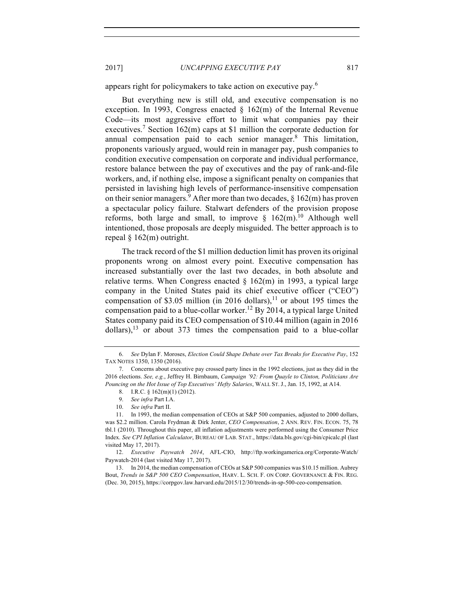appears right for policymakers to take action on executive pay.<sup>6</sup>

But everything new is still old, and executive compensation is no exception. In 1993, Congress enacted  $\S$  162(m) of the Internal Revenue Code—its most aggressive effort to limit what companies pay their executives.<sup>7</sup> Section 162(m) caps at \$1 million the corporate deduction for annual compensation paid to each senior manager.8 This limitation, proponents variously argued, would rein in manager pay, push companies to condition executive compensation on corporate and individual performance, restore balance between the pay of executives and the pay of rank-and-file workers, and, if nothing else, impose a significant penalty on companies that persisted in lavishing high levels of performance-insensitive compensation on their senior managers.<sup>9</sup> After more than two decades,  $\S$  162(m) has proven a spectacular policy failure. Stalwart defenders of the provision propose reforms, both large and small, to improve  $\frac{162}{\text{m}}$ . Although well intentioned, those proposals are deeply misguided. The better approach is to repeal § 162(m) outright.

The track record of the \$1 million deduction limit has proven its original proponents wrong on almost every point. Executive compensation has increased substantially over the last two decades, in both absolute and relative terms. When Congress enacted  $\S$  162(m) in 1993, a typical large company in the United States paid its chief executive officer ("CEO") compensation of \$3.05 million (in 2016 dollars),<sup>11</sup> or about 195 times the compensation paid to a blue-collar worker.<sup>12</sup> By 2014, a typical large United States company paid its CEO compensation of \$10.44 million (again in 2016 dollars), $^{13}$  or about 373 times the compensation paid to a blue-collar

<sup>6.</sup> *See* Dylan F. Moroses, *Election Could Shape Debate over Tax Breaks for Executive Pay*, 152 TAX NOTES 1350, 1350 (2016).

<sup>7.</sup> Concerns about executive pay crossed party lines in the 1992 elections, just as they did in the 2016 elections. *See, e.g.*, Jeffrey H. Birnbaum, *Campaign '92: From Quayle to Clinton, Politicians Are Pouncing on the Hot Issue of Top Executives' Hefty Salaries*, WALL ST. J., Jan. 15, 1992, at A14.

<sup>8.</sup> I.R.C. § 162(m)(1) (2012).

<sup>9.</sup> *See infra* Part I.A.

<sup>10.</sup> *See infra* Part II.

<sup>11.</sup> In 1993, the median compensation of CEOs at S&P 500 companies, adjusted to 2000 dollars, was \$2.2 million. Carola Frydman & Dirk Jenter, *CEO Compensation*, 2 ANN. REV. FIN. ECON. 75, 78 tbl.1 (2010). Throughout this paper, all inflation adjustments were performed using the Consumer Price Index. *See CPI Inflation Calculator*, BUREAU OF LAB. STAT., https://data.bls.gov/cgi-bin/cpicalc.pl (last visited May 17, 2017).

<sup>12.</sup> *Executive Paywatch 2014*, AFL-CIO, http://ftp.workingamerica.org/Corporate-Watch/ Paywatch-2014 (last visited May 17, 2017).

<sup>13.</sup> In 2014, the median compensation of CEOs at S&P 500 companies was \$10.15 million. Aubrey Bout, *Trends in S&P 500 CEO Compensation*, HARV. L. SCH. F. ON CORP. GOVERNANCE & FIN. REG. (Dec. 30, 2015), https://corpgov.law.harvard.edu/2015/12/30/trends-in-sp-500-ceo-compensation.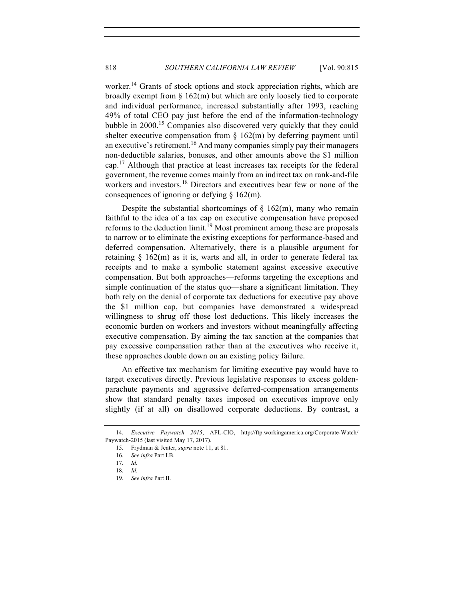worker.<sup>14</sup> Grants of stock options and stock appreciation rights, which are broadly exempt from § 162(m) but which are only loosely tied to corporate and individual performance, increased substantially after 1993, reaching 49% of total CEO pay just before the end of the information-technology bubble in 2000.15 Companies also discovered very quickly that they could shelter executive compensation from  $\S$  162(m) by deferring payment until an executive's retirement.<sup>16</sup> And many companies simply pay their managers non-deductible salaries, bonuses, and other amounts above the \$1 million cap.<sup>17</sup> Although that practice at least increases tax receipts for the federal government, the revenue comes mainly from an indirect tax on rank-and-file workers and investors. <sup>18</sup> Directors and executives bear few or none of the consequences of ignoring or defying § 162(m).

Despite the substantial shortcomings of  $\S$  162(m), many who remain faithful to the idea of a tax cap on executive compensation have proposed reforms to the deduction  $\lim_{h \to 0}$  Most prominent among these are proposals to narrow or to eliminate the existing exceptions for performance-based and deferred compensation. Alternatively, there is a plausible argument for retaining  $\S$  162(m) as it is, warts and all, in order to generate federal tax receipts and to make a symbolic statement against excessive executive compensation. But both approaches—reforms targeting the exceptions and simple continuation of the status quo—share a significant limitation. They both rely on the denial of corporate tax deductions for executive pay above the \$1 million cap, but companies have demonstrated a widespread willingness to shrug off those lost deductions. This likely increases the economic burden on workers and investors without meaningfully affecting executive compensation. By aiming the tax sanction at the companies that pay excessive compensation rather than at the executives who receive it, these approaches double down on an existing policy failure.

An effective tax mechanism for limiting executive pay would have to target executives directly. Previous legislative responses to excess goldenparachute payments and aggressive deferred-compensation arrangements show that standard penalty taxes imposed on executives improve only slightly (if at all) on disallowed corporate deductions. By contrast, a

<sup>14.</sup> *Executive Paywatch 2015*, AFL-CIO, http://ftp.workingamerica.org/Corporate-Watch/ Paywatch-2015 (last visited May 17, 2017).

<sup>15.</sup> Frydman & Jenter, *supra* note 11, at 81.

<sup>16.</sup> *See infra* Part I.B.

<sup>17.</sup> *Id.*

<sup>18.</sup> *Id.*

<sup>19.</sup> *See infra* Part II.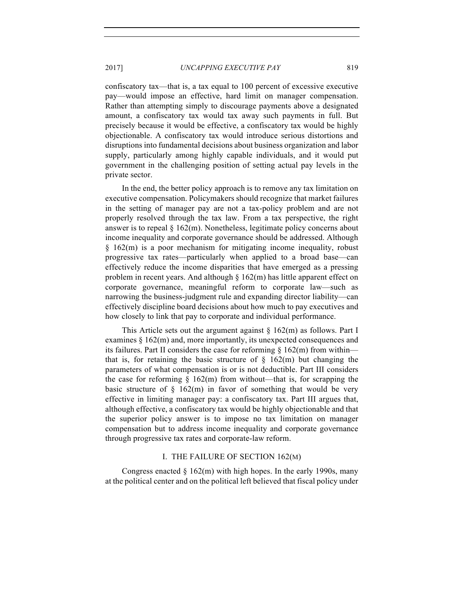confiscatory tax—that is, a tax equal to 100 percent of excessive executive pay—would impose an effective, hard limit on manager compensation. Rather than attempting simply to discourage payments above a designated amount, a confiscatory tax would tax away such payments in full. But precisely because it would be effective, a confiscatory tax would be highly objectionable. A confiscatory tax would introduce serious distortions and disruptions into fundamental decisions about business organization and labor supply, particularly among highly capable individuals, and it would put government in the challenging position of setting actual pay levels in the private sector.

In the end, the better policy approach is to remove any tax limitation on executive compensation. Policymakers should recognize that market failures in the setting of manager pay are not a tax-policy problem and are not properly resolved through the tax law. From a tax perspective, the right answer is to repeal  $\S 162(m)$ . Nonetheless, legitimate policy concerns about income inequality and corporate governance should be addressed. Although § 162(m) is a poor mechanism for mitigating income inequality, robust progressive tax rates—particularly when applied to a broad base—can effectively reduce the income disparities that have emerged as a pressing problem in recent years. And although  $\S$  162(m) has little apparent effect on corporate governance, meaningful reform to corporate law—such as narrowing the business-judgment rule and expanding director liability—can effectively discipline board decisions about how much to pay executives and how closely to link that pay to corporate and individual performance.

This Article sets out the argument against  $\S$  162(m) as follows. Part I examines § 162(m) and, more importantly, its unexpected consequences and its failures. Part II considers the case for reforming  $\S 162(m)$  from within that is, for retaining the basic structure of  $\S$  162(m) but changing the parameters of what compensation is or is not deductible. Part III considers the case for reforming  $\S$  162(m) from without—that is, for scrapping the basic structure of  $\S$  162(m) in favor of something that would be very effective in limiting manager pay: a confiscatory tax. Part III argues that, although effective, a confiscatory tax would be highly objectionable and that the superior policy answer is to impose no tax limitation on manager compensation but to address income inequality and corporate governance through progressive tax rates and corporate-law reform.

## I. THE FAILURE OF SECTION 162(M)

Congress enacted  $\S 162(m)$  with high hopes. In the early 1990s, many at the political center and on the political left believed that fiscal policy under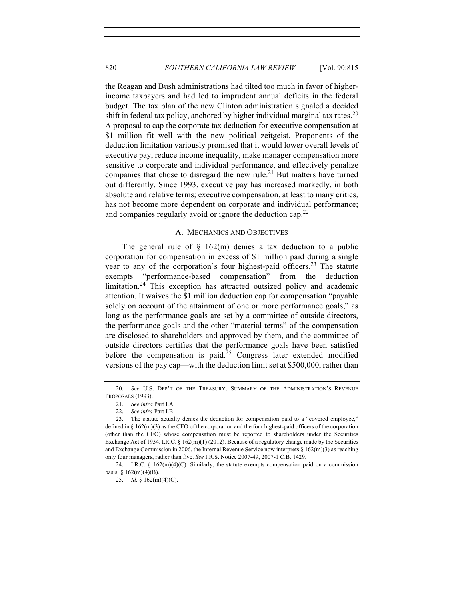the Reagan and Bush administrations had tilted too much in favor of higherincome taxpayers and had led to imprudent annual deficits in the federal budget. The tax plan of the new Clinton administration signaled a decided shift in federal tax policy, anchored by higher individual marginal tax rates.<sup>20</sup> A proposal to cap the corporate tax deduction for executive compensation at \$1 million fit well with the new political zeitgeist. Proponents of the deduction limitation variously promised that it would lower overall levels of executive pay, reduce income inequality, make manager compensation more sensitive to corporate and individual performance, and effectively penalize companies that chose to disregard the new rule.<sup>21</sup> But matters have turned out differently. Since 1993, executive pay has increased markedly, in both absolute and relative terms; executive compensation, at least to many critics, has not become more dependent on corporate and individual performance; and companies regularly avoid or ignore the deduction cap.<sup>22</sup>

#### A. MECHANICS AND OBJECTIVES

The general rule of  $\S$  162(m) denies a tax deduction to a public corporation for compensation in excess of \$1 million paid during a single year to any of the corporation's four highest-paid officers.<sup>23</sup> The statute exempts "performance-based compensation" from the deduction limitation.<sup>24</sup> This exception has attracted outsized policy and academic attention. It waives the \$1 million deduction cap for compensation "payable solely on account of the attainment of one or more performance goals," as long as the performance goals are set by a committee of outside directors, the performance goals and the other "material terms" of the compensation are disclosed to shareholders and approved by them, and the committee of outside directors certifies that the performance goals have been satisfied before the compensation is paid.<sup>25</sup> Congress later extended modified versions of the pay cap—with the deduction limit set at \$500,000, rather than

<sup>20.</sup> *See* U.S. DEP'T OF THE TREASURY, SUMMARY OF THE ADMINISTRATION'S REVENUE PROPOSALS (1993).

<sup>21.</sup> *See infra* Part I.A.

<sup>22.</sup> *See infra* Part I.B.

<sup>23.</sup> The statute actually denies the deduction for compensation paid to a "covered employee," defined in § 162(m)(3) as the CEO of the corporation and the four highest-paid officers of the corporation (other than the CEO) whose compensation must be reported to shareholders under the Securities Exchange Act of 1934. I.R.C. § 162(m)(1) (2012). Because of a regulatory change made by the Securities and Exchange Commission in 2006, the Internal Revenue Service now interprets § 162(m)(3) as reaching only four managers, rather than five. *See* I.R.S. Notice 2007-49, 2007-1 C.B. 1429.

<sup>24.</sup> I.R.C. § 162(m)(4)(C). Similarly, the statute exempts compensation paid on a commission basis. §  $162(m)(4)(B)$ .

<sup>25.</sup> *Id.* § 162(m)(4)(C).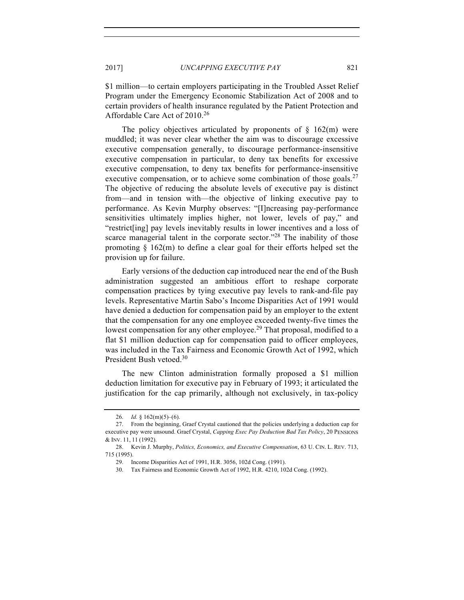\$1 million—to certain employers participating in the Troubled Asset Relief Program under the Emergency Economic Stabilization Act of 2008 and to certain providers of health insurance regulated by the Patient Protection and Affordable Care Act of 2010.<sup>26</sup>

The policy objectives articulated by proponents of  $\S$  162(m) were muddled; it was never clear whether the aim was to discourage excessive executive compensation generally, to discourage performance-insensitive executive compensation in particular, to deny tax benefits for excessive executive compensation, to deny tax benefits for performance-insensitive executive compensation, or to achieve some combination of those goals.<sup>27</sup> The objective of reducing the absolute levels of executive pay is distinct from—and in tension with—the objective of linking executive pay to performance. As Kevin Murphy observes: "[I]ncreasing pay-performance sensitivities ultimately implies higher, not lower, levels of pay," and "restrict[ing] pay levels inevitably results in lower incentives and a loss of scarce managerial talent in the corporate sector."<sup>28</sup> The inability of those promoting  $\S$  162(m) to define a clear goal for their efforts helped set the provision up for failure.

Early versions of the deduction cap introduced near the end of the Bush administration suggested an ambitious effort to reshape corporate compensation practices by tying executive pay levels to rank-and-file pay levels. Representative Martin Sabo's Income Disparities Act of 1991 would have denied a deduction for compensation paid by an employer to the extent that the compensation for any one employee exceeded twenty-five times the lowest compensation for any other employee.<sup>29</sup> That proposal, modified to a flat \$1 million deduction cap for compensation paid to officer employees, was included in the Tax Fairness and Economic Growth Act of 1992, which President Bush vetoed.<sup>30</sup>

The new Clinton administration formally proposed a \$1 million deduction limitation for executive pay in February of 1993; it articulated the justification for the cap primarily, although not exclusively, in tax-policy

<sup>26.</sup> *Id.* § 162(m)(5)–(6).

<sup>27.</sup> From the beginning, Graef Crystal cautioned that the policies underlying a deduction cap for executive pay were unsound. Graef Crystal, *Capping Exec Pay Deduction Bad Tax Policy*, 20 PENSIONS & INV. 11, 11 (1992).

<sup>28.</sup> Kevin J. Murphy, *Politics, Economics, and Executive Compensation*, 63 U. CIN. L. REV. 713, 715 (1995).

<sup>29.</sup> Income Disparities Act of 1991, H.R. 3056, 102d Cong. (1991).

<sup>30.</sup> Tax Fairness and Economic Growth Act of 1992, H.R. 4210, 102d Cong. (1992).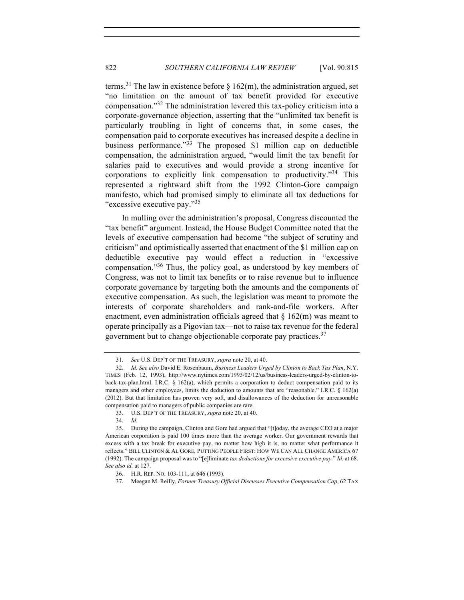terms.<sup>31</sup> The law in existence before  $\S$  162(m), the administration argued, set "no limitation on the amount of tax benefit provided for executive compensation."<sup>32</sup> The administration levered this tax-policy criticism into a corporate-governance objection, asserting that the "unlimited tax benefit is particularly troubling in light of concerns that, in some cases, the compensation paid to corporate executives has increased despite a decline in business performance."<sup>33</sup> The proposed \$1 million cap on deductible compensation, the administration argued, "would limit the tax benefit for salaries paid to executives and would provide a strong incentive for corporations to explicitly link compensation to productivity."<sup>34</sup> This represented a rightward shift from the 1992 Clinton-Gore campaign manifesto, which had promised simply to eliminate all tax deductions for "excessive executive pay."35

In mulling over the administration's proposal, Congress discounted the "tax benefit" argument. Instead, the House Budget Committee noted that the levels of executive compensation had become "the subject of scrutiny and criticism" and optimistically asserted that enactment of the \$1 million cap on deductible executive pay would effect a reduction in "excessive compensation."36 Thus, the policy goal, as understood by key members of Congress, was not to limit tax benefits or to raise revenue but to influence corporate governance by targeting both the amounts and the components of executive compensation. As such, the legislation was meant to promote the interests of corporate shareholders and rank-and-file workers. After enactment, even administration officials agreed that  $\S 162(m)$  was meant to operate principally as a Pigovian tax—not to raise tax revenue for the federal government but to change objectionable corporate pay practices.<sup>37</sup>

<sup>31.</sup> *See* U.S. DEP'T OF THE TREASURY, *supra* note 20, at 40.

<sup>32.</sup> *Id. See also* David E. Rosenbaum, *Business Leaders Urged by Clinton to Back Tax Plan*, N.Y. TIMES (Feb. 12, 1993), http://www.nytimes.com/1993/02/12/us/business-leaders-urged-by-clinton-toback-tax-plan.html. I.R.C. § 162(a), which permits a corporation to deduct compensation paid to its managers and other employees, limits the deduction to amounts that are "reasonable." I.R.C. § 162(a) (2012). But that limitation has proven very soft, and disallowances of the deduction for unreasonable compensation paid to managers of public companies are rare.

<sup>33.</sup> U.S. DEP'T OF THE TREASURY, *supra* note 20, at 40.

<sup>34.</sup> *Id.*

<sup>35.</sup> During the campaign, Clinton and Gore had argued that "[t]oday, the average CEO at a major American corporation is paid 100 times more than the average worker. Our government rewards that excess with a tax break for executive pay, no matter how high it is, no matter what performance it reflects." BILL CLINTON & AL GORE, PUTTING PEOPLE FIRST: HOW WE CAN ALL CHANGE AMERICA 67 (1992). The campaign proposal was to "[e]liminate *tax deductions for excessive executive pay*." *Id.* at 68. *See also id.* at 127.

<sup>36.</sup> H.R. REP. NO. 103-111, at 646 (1993).

<sup>37.</sup> Meegan M. Reilly, *Former Treasury Official Discusses Executive Compensation Cap*, 62 TAX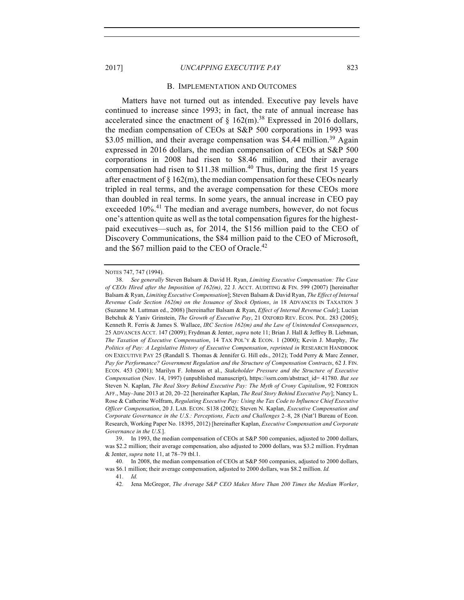#### B. IMPLEMENTATION AND OUTCOMES

Matters have not turned out as intended. Executive pay levels have continued to increase since 1993; in fact, the rate of annual increase has accelerated since the enactment of  $\S$  162(m).<sup>38</sup> Expressed in 2016 dollars, the median compensation of CEOs at S&P 500 corporations in 1993 was \$3.05 million, and their average compensation was \$4.44 million.<sup>39</sup> Again expressed in 2016 dollars, the median compensation of CEOs at S&P 500 corporations in 2008 had risen to \$8.46 million, and their average compensation had risen to  $$11.38$  million.<sup>40</sup> Thus, during the first 15 years after enactment of  $\S 162(m)$ , the median compensation for these CEOs nearly tripled in real terms, and the average compensation for these CEOs more than doubled in real terms. In some years, the annual increase in CEO pay exceeded 10%.<sup>41</sup> The median and average numbers, however, do not focus one's attention quite as well as the total compensation figures for the highestpaid executives—such as, for 2014, the \$156 million paid to the CEO of Discovery Communications, the \$84 million paid to the CEO of Microsoft, and the \$67 million paid to the CEO of Oracle.<sup>42</sup>

NOTES 747, 747 (1994).

<sup>38.</sup> *See generally* Steven Balsam & David H. Ryan, *Limiting Executive Compensation: The Case of CEOs Hired after the Imposition of 162(m)*, 22 J. ACCT. AUDITING & FIN. 599 (2007) [hereinafter Balsam & Ryan, *Limiting Executive Compensation*]; Steven Balsam & David Ryan, *The Effect of Internal Revenue Code Section 162(m) on the Issuance of Stock Options*, *in* 18 ADVANCES IN TAXATION 3 (Suzanne M. Luttman ed., 2008) [hereinafter Balsam & Ryan, *Effect of Internal Revenue Code*]; Lucian Bebchuk & Yaniv Grinstein, *The Growth of Executive Pay*, 21 OXFORD REV. ECON. POL. 283 (2005); Kenneth R. Ferris & James S. Wallace, *IRC Section 162(m) and the Law of Unintended Consequences*, 25 ADVANCES ACCT. 147 (2009); Frydman & Jenter, *supra* note 11; Brian J. Hall & Jeffrey B. Liebman, *The Taxation of Executive Compensation*, 14 TAX POL'Y & ECON. 1 (2000); Kevin J. Murphy, *The Politics of Pay: A Legislative History of Executive Compensation*, *reprinted in* RESEARCH HANDBOOK ON EXECUTIVE PAY 25 (Randall S. Thomas & Jennifer G. Hill eds., 2012); Todd Perry & Marc Zenner, *Pay for Performance? Government Regulation and the Structure of Compensation Contracts*, 62 J. FIN. ECON. 453 (2001); Marilyn F. Johnson et al., *Stakeholder Pressure and the Structure of Executive Compensation* (Nov. 14, 1997) (unpublished manuscript), https://ssrn.com/abstract\_id= 41780. *But see* Steven N. Kaplan, *The Real Story Behind Executive Pay: The Myth of Crony Capitalism*, 92 FOREIGN AFF., May–June 2013 at 20, 20–22 [hereinafter Kaplan, *The Real Story Behind Executive Pay*]; Nancy L. Rose & Catherine Wolfram, *Regulating Executive Pay: Using the Tax Code to Influence Chief Executive Officer Compensation*, 20 J. LAB. ECON. S138 (2002); Steven N. Kaplan, *Executive Compensation and Corporate Governance in the U.S.: Perceptions, Facts and Challenges* 2–8, 28 (Nat'l Bureau of Econ. Research, Working Paper No. 18395, 2012) [hereinafter Kaplan, *Executive Compensation and Corporate Governance in the U.S.*].

<sup>39.</sup> In 1993, the median compensation of CEOs at S&P 500 companies, adjusted to 2000 dollars, was \$2.2 million; their average compensation, also adjusted to 2000 dollars, was \$3.2 million. Frydman & Jenter, *supra* note 11, at 78–79 tbl.1.

<sup>40.</sup> In 2008, the median compensation of CEOs at S&P 500 companies, adjusted to 2000 dollars, was \$6.1 million; their average compensation, adjusted to 2000 dollars, was \$8.2 million. *Id.*

<sup>41.</sup> *Id.*

<sup>42.</sup> Jena McGregor, *The Average S&P CEO Makes More Than 200 Times the Median Worker*,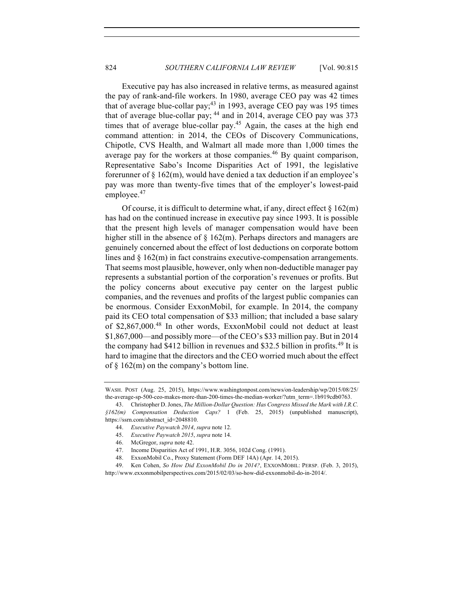Executive pay has also increased in relative terms, as measured against the pay of rank-and-file workers. In 1980, average CEO pay was 42 times that of average blue-collar pay;<sup>43</sup> in 1993, average CEO pay was 195 times that of average blue-collar pay; <sup>44</sup> and in 2014, average CEO pay was 373 times that of average blue-collar pay.<sup>45</sup> Again, the cases at the high end command attention: in 2014, the CEOs of Discovery Communications, Chipotle, CVS Health, and Walmart all made more than 1,000 times the average pay for the workers at those companies.<sup>46</sup> By quaint comparison, Representative Sabo's Income Disparities Act of 1991, the legislative forerunner of  $\S 162(m)$ , would have denied a tax deduction if an employee's pay was more than twenty-five times that of the employer's lowest-paid employee.<sup>47</sup>

Of course, it is difficult to determine what, if any, direct effect  $\S 162(m)$ has had on the continued increase in executive pay since 1993. It is possible that the present high levels of manager compensation would have been higher still in the absence of  $\S$  162(m). Perhaps directors and managers are genuinely concerned about the effect of lost deductions on corporate bottom lines and § 162(m) in fact constrains executive-compensation arrangements. That seems most plausible, however, only when non-deductible manager pay represents a substantial portion of the corporation's revenues or profits. But the policy concerns about executive pay center on the largest public companies, and the revenues and profits of the largest public companies can be enormous. Consider ExxonMobil, for example. In 2014, the company paid its CEO total compensation of \$33 million; that included a base salary of \$2,867,000.<sup>48</sup> In other words, ExxonMobil could not deduct at least \$1,867,000—and possibly more—of the CEO's \$33 million pay. But in 2014 the company had \$412 billion in revenues and \$32.5 billion in profits.<sup>49</sup> It is hard to imagine that the directors and the CEO worried much about the effect of § 162(m) on the company's bottom line.

WASH. POST (Aug. 25, 2015), https://www.washingtonpost.com/news/on-leadership/wp/2015/08/25/ the-average-sp-500-ceo-makes-more-than-200-times-the-median-worker/?utm\_term=.1b919cdb0763.

<sup>43.</sup> Christopher D. Jones, *The Million-Dollar Question: Has Congress Missed the Mark with I.R.C. §162(m) Compensation Deduction Caps?* 1 (Feb. 25, 2015) (unpublished manuscript), https://ssrn.com/abstract\_id=2048810.

<sup>44.</sup> *Executive Paywatch 2014*, *supra* note 12.

<sup>45.</sup> *Executive Paywatch 2015*, *supra* note 14.

<sup>46.</sup> McGregor, *supra* note 42.

<sup>47.</sup> Income Disparities Act of 1991, H.R. 3056, 102d Cong. (1991).

<sup>48.</sup> ExxonMobil Co., Proxy Statement (Form DEF 14A) (Apr. 14, 2015).

<sup>49.</sup> Ken Cohen, *So How Did ExxonMobil Do in 2014?*, EXXONMOBIL: PERSP. (Feb. 3, 2015), http://www.exxonmobilperspectives.com/2015/02/03/so-how-did-exxonmobil-do-in-2014/.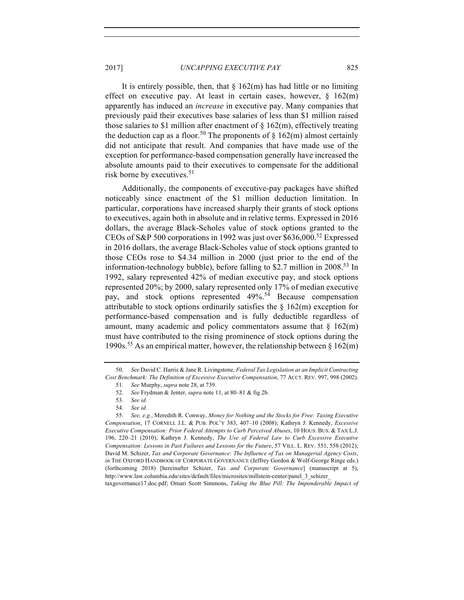It is entirely possible, then, that  $\S 162(m)$  has had little or no limiting effect on executive pay. At least in certain cases, however,  $\S$  162(m) apparently has induced an *increase* in executive pay. Many companies that previously paid their executives base salaries of less than \$1 million raised those salaries to \$1 million after enactment of  $\S$  162(m), effectively treating the deduction cap as a floor.<sup>50</sup> The proponents of  $\S$  162(m) almost certainly did not anticipate that result. And companies that have made use of the exception for performance-based compensation generally have increased the absolute amounts paid to their executives to compensate for the additional risk borne by executives.<sup>51</sup>

Additionally, the components of executive-pay packages have shifted noticeably since enactment of the \$1 million deduction limitation. In particular, corporations have increased sharply their grants of stock options to executives, again both in absolute and in relative terms. Expressed in 2016 dollars, the average Black-Scholes value of stock options granted to the CEOs of S&P 500 corporations in 1992 was just over \$636,000.<sup>52</sup> Expressed in 2016 dollars, the average Black-Scholes value of stock options granted to those CEOs rose to \$4.34 million in 2000 (just prior to the end of the information-technology bubble), before falling to \$2.7 million in  $2008<sup>53</sup>$  In 1992, salary represented 42% of median executive pay, and stock options represented 20%; by 2000, salary represented only 17% of median executive pay, and stock options represented 49%. <sup>54</sup> Because compensation attributable to stock options ordinarily satisfies the  $\S$  162(m) exception for performance-based compensation and is fully deductible regardless of amount, many academic and policy commentators assume that  $\S$  162(m) must have contributed to the rising prominence of stock options during the 1990s.<sup>55</sup> As an empirical matter, however, the relationship between  $\S$  162(m)

taxgovernance17.doc.pdf; Omari Scott Simmons, *Taking the Blue Pill: The Imponderable Impact of* 

<sup>50.</sup> *See* David C. Harris & Jane R. Livingstone, *Federal Tax Legislation as an Implicit Contracting Cost Benchmark: The Definition of Excessive Executive Compensation*, 77 ACCT. REV. 997, 998 (2002).

<sup>51.</sup> *See* Murphy, *supra* note 28, at 739.

<sup>52.</sup> *See* Frydman & Jenter, *supra* note 11, at 80–81 & fig.2b.

<sup>53.</sup> *See id.*

<sup>54.</sup> *See id.*

<sup>55.</sup> *See, e.g.*, Meredith R. Conway, *Money for Nothing and the Stocks for Free: Taxing Executive Compensation*, 17 CORNELL J.L. & PUB. POL'Y 383, 407–10 (2008); Kathryn J. Kennedy, *Excessive Executive Compensation: Prior Federal Attempts to Curb Perceived Abuses*, 10 HOUS. BUS. & TAX L.J. 196, 220–21 (2010); Kathryn J. Kennedy, *The Use of Federal Law to Curb Excessive Executive Compensation: Lessons in Past Failures and Lessons for the Future*, 57 VILL. L. REV. 551, 558 (2012); David M. Schizer, *Tax and Corporate Governance: The Influence of Tax on Managerial Agency Costs*, *in* THE OXFORD HANDBOOK OF CORPORATE GOVERNANCE (Jeffrey Gordon & Wolf-George Ringe eds.) (forthcoming 2018) [hereinafter Schizer, *Tax and Corporate Governance*] (manuscript at 5), http://www.law.columbia.edu/sites/default/files/microsites/millstein-center/panel\_3\_schizer\_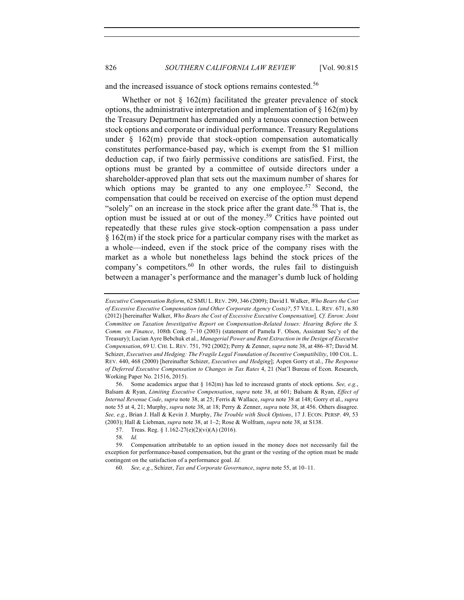and the increased issuance of stock options remains contested.<sup>56</sup>

Whether or not  $\S$  162(m) facilitated the greater prevalence of stock options, the administrative interpretation and implementation of  $\S 162(m)$  by the Treasury Department has demanded only a tenuous connection between stock options and corporate or individual performance. Treasury Regulations under  $\S$  162(m) provide that stock-option compensation automatically constitutes performance-based pay, which is exempt from the \$1 million deduction cap, if two fairly permissive conditions are satisfied. First, the options must be granted by a committee of outside directors under a shareholder-approved plan that sets out the maximum number of shares for which options may be granted to any one employee.<sup>57</sup> Second, the compensation that could be received on exercise of the option must depend "solely" on an increase in the stock price after the grant date.<sup>58</sup> That is, the option must be issued at or out of the money.<sup>59</sup> Critics have pointed out repeatedly that these rules give stock-option compensation a pass under § 162(m) if the stock price for a particular company rises with the market as a whole—indeed, even if the stock price of the company rises with the market as a whole but nonetheless lags behind the stock prices of the company's competitors. $60$  In other words, the rules fail to distinguish between a manager's performance and the manager's dumb luck of holding

*Executive Compensation Reform*, 62 SMU L. REV. 299, 346 (2009); David I. Walker, *Who Bears the Cost of Excessive Executive Compensation (and Other Corporate Agency Costs)?*, 57 VILL. L. REV. 671, n.80 (2012) [hereinafter Walker, *Who Bears the Cost of Excessive Executive Compensation*]. *Cf. Enron: Joint Committee on Taxation Investigative Report on Compensation-Related Issues: Hearing Before the S. Comm. on Finance*, 108th Cong. 7–10 (2003) (statement of Pamela F. Olson, Assistant Sec'y of the Treasury); Lucian Ayre Bebchuk et al., *Managerial Power and Rent Extraction in the Design of Executive Compensation*, 69 U. CHI. L. REV. 751, 792 (2002); Perry & Zenner, *supra* note 38, at 486–87; David M. Schizer, *Executives and Hedging: The Fragile Legal Foundation of Incentive Compatibility*, 100 COL. L. REV. 440, 468 (2000) [hereinafter Schizer, *Executives and Hedging*]; Aspen Gorry et al., *The Response of Deferred Executive Compensation to Changes in Tax Rates* 4, 21 (Nat'l Bureau of Econ. Research, Working Paper No. 21516, 2015).

<sup>56.</sup> Some academics argue that § 162(m) has led to increased grants of stock options. *See, e.g.*, Balsam & Ryan, *Limiting Executive Compensation*, *supra* note 38, at 601; Balsam & Ryan, *Effect of Internal Revenue Code*, *supra* note 38, at 25; Ferris & Wallace, *supra* note 38 at 148; Gorry et al., *supra*  note 55 at 4, 21; Murphy, *supra* note 38, at 18; Perry & Zenner, *supra* note 38, at 456. Others disagree. *See, e.g.*, Brian J. Hall & Kevin J. Murphy, *The Trouble with Stock Options*, 17 J. ECON. PERSP. 49, 53 (2003); Hall & Liebman, *supra* note 38, at 1–2; Rose & Wolfram, *supra* note 38, at S138.

<sup>57.</sup> Treas. Reg. § 1.162-27(e)(2)(vi)(A) (2016).

<sup>58.</sup> *Id.*

<sup>59.</sup> Compensation attributable to an option issued in the money does not necessarily fail the exception for performance-based compensation, but the grant or the vesting of the option must be made contingent on the satisfaction of a performance goal. *Id.*

<sup>60.</sup> *See, e.g.*, Schizer, *Tax and Corporate Governance*, *supra* note 55, at 10–11.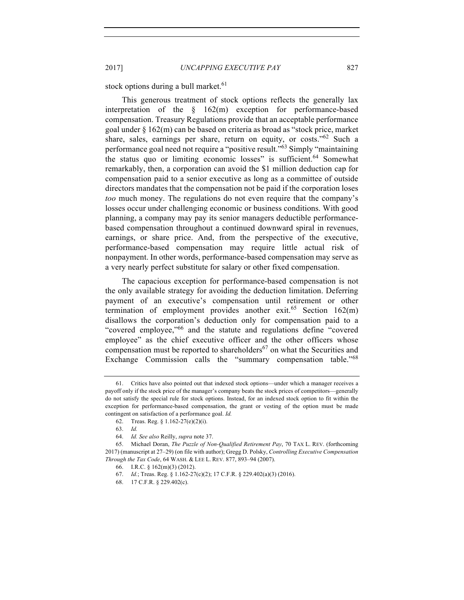stock options during a bull market.<sup>61</sup>

This generous treatment of stock options reflects the generally lax interpretation of the § 162(m) exception for performance-based compensation. Treasury Regulations provide that an acceptable performance goal under § 162(m) can be based on criteria as broad as "stock price, market share, sales, earnings per share, return on equity, or costs."<sup>62</sup> Such a performance goal need not require a "positive result."63 Simply "maintaining the status quo or limiting economic losses" is sufficient.<sup>64</sup> Somewhat remarkably, then, a corporation can avoid the \$1 million deduction cap for compensation paid to a senior executive as long as a committee of outside directors mandates that the compensation not be paid if the corporation loses *too* much money. The regulations do not even require that the company's losses occur under challenging economic or business conditions. With good planning, a company may pay its senior managers deductible performancebased compensation throughout a continued downward spiral in revenues, earnings, or share price. And, from the perspective of the executive, performance-based compensation may require little actual risk of nonpayment. In other words, performance-based compensation may serve as a very nearly perfect substitute for salary or other fixed compensation.

The capacious exception for performance-based compensation is not the only available strategy for avoiding the deduction limitation. Deferring payment of an executive's compensation until retirement or other termination of employment provides another exit.<sup>65</sup> Section  $162(m)$ disallows the corporation's deduction only for compensation paid to a "covered employee,"66 and the statute and regulations define "covered employee" as the chief executive officer and the other officers whose compensation must be reported to shareholders<sup>67</sup> on what the Securities and Exchange Commission calls the "summary compensation table."<sup>68</sup>

<sup>61.</sup> Critics have also pointed out that indexed stock options—under which a manager receives a payoff only if the stock price of the manager's company beats the stock prices of competitors—generally do not satisfy the special rule for stock options. Instead, for an indexed stock option to fit within the exception for performance-based compensation, the grant or vesting of the option must be made contingent on satisfaction of a performance goal. *Id.*

<sup>62.</sup> Treas. Reg. § 1.162-27(e)(2)(i).

<sup>63.</sup> *Id.*

<sup>64.</sup> *Id. See also* Reilly, *supra* note 37.

<sup>65.</sup> Michael Doran, *The Puzzle of Non-Qualified Retirement Pay*, 70 TAX L. REV. (forthcoming 2017) (manuscript at 27–29) (on file with author); Gregg D. Polsky, *Controlling Executive Compensation Through the Tax Code*, 64 WASH. & LEE L. REV. 877, 893–94 (2007).

<sup>66.</sup> I.R.C. § 162(m)(3) (2012).

<sup>67.</sup> *Id.*; Treas. Reg. § 1.162-27(c)(2); 17 C.F.R. § 229.402(a)(3) (2016).

<sup>68.</sup> 17 C.F.R. § 229.402(c).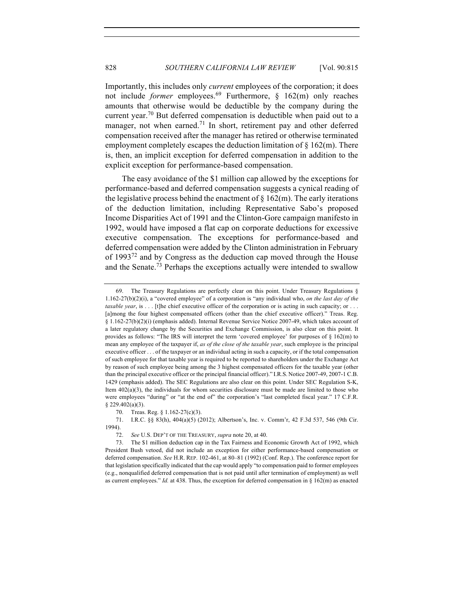Importantly, this includes only *current* employees of the corporation; it does not include *former* employees.<sup>69</sup> Furthermore, § 162(m) only reaches amounts that otherwise would be deductible by the company during the current year.<sup>70</sup> But deferred compensation is deductible when paid out to a manager, not when earned.<sup>71</sup> In short, retirement pay and other deferred compensation received after the manager has retired or otherwise terminated employment completely escapes the deduction limitation of  $\S$  162(m). There is, then, an implicit exception for deferred compensation in addition to the explicit exception for performance-based compensation.

The easy avoidance of the \$1 million cap allowed by the exceptions for performance-based and deferred compensation suggests a cynical reading of the legislative process behind the enactment of  $\S 162(m)$ . The early iterations of the deduction limitation, including Representative Sabo's proposed Income Disparities Act of 1991 and the Clinton-Gore campaign manifesto in 1992, would have imposed a flat cap on corporate deductions for excessive executive compensation. The exceptions for performance-based and deferred compensation were added by the Clinton administration in February of  $1993^{72}$  and by Congress as the deduction cap moved through the House and the Senate.<sup>73</sup> Perhaps the exceptions actually were intended to swallow

<sup>69.</sup> The Treasury Regulations are perfectly clear on this point. Under Treasury Regulations § 1.162-27(b)(2)(i), a "covered employee" of a corporation is "any individual who, *on the last day of the taxable year*, is . . . [t]he chief executive officer of the corporation or is acting in such capacity; or . . . [a]mong the four highest compensated officers (other than the chief executive officer)." Treas. Reg. § 1.162-27(b)(2)(i) (emphasis added). Internal Revenue Service Notice 2007-49, which takes account of a later regulatory change by the Securities and Exchange Commission, is also clear on this point. It provides as follows: "The IRS will interpret the term 'covered employee' for purposes of § 162(m) to mean any employee of the taxpayer if, *as of the close of the taxable year*, such employee is the principal executive officer . . . of the taxpayer or an individual acting in such a capacity, or if the total compensation of such employee for that taxable year is required to be reported to shareholders under the Exchange Act by reason of such employee being among the 3 highest compensated officers for the taxable year (other than the principal executive officer or the principal financial officer)." I.R.S. Notice 2007-49, 2007-1 C.B. 1429 (emphasis added). The SEC Regulations are also clear on this point. Under SEC Regulation S-K, Item 402(a)(3), the individuals for whom securities disclosure must be made are limited to those who were employees "during" or "at the end of" the corporation's "last completed fiscal year." 17 C.F.R. § 229.402(a)(3).

<sup>70.</sup> Treas. Reg. § 1.162-27(c)(3).

<sup>71.</sup> I.R.C. §§ 83(h), 404(a)(5) (2012); Albertson's, Inc. v. Comm'r, 42 F.3d 537, 546 (9th Cir. 1994).

<sup>72.</sup> *See* U.S. DEP'T OF THE TREASURY, *supra* note 20, at 40.

<sup>73.</sup> The \$1 million deduction cap in the Tax Fairness and Economic Growth Act of 1992, which President Bush vetoed, did not include an exception for either performance-based compensation or deferred compensation. *See* H.R. REP. 102-461, at 80–81 (1992) (Conf. Rep.). The conference report for that legislation specifically indicated that the cap would apply "to compensation paid to former employees (e.g., nonqualified deferred compensation that is not paid until after termination of employment) as well as current employees." *Id.* at 438. Thus, the exception for deferred compensation in § 162(m) as enacted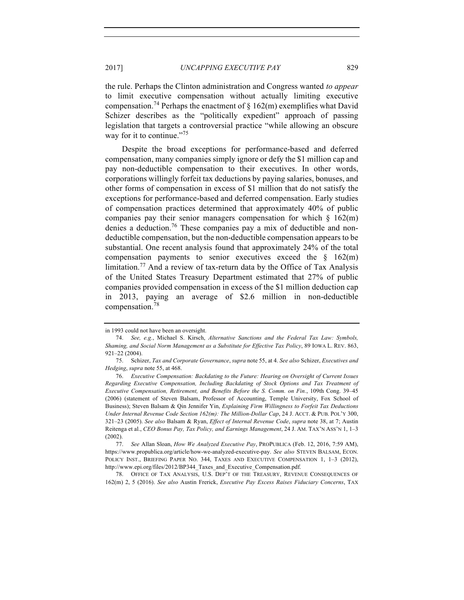the rule. Perhaps the Clinton administration and Congress wanted *to appear* to limit executive compensation without actually limiting executive compensation.<sup>74</sup> Perhaps the enactment of  $\S$  162(m) exemplifies what David Schizer describes as the "politically expedient" approach of passing legislation that targets a controversial practice "while allowing an obscure way for it to continue."<sup>75</sup>

Despite the broad exceptions for performance-based and deferred compensation, many companies simply ignore or defy the \$1 million cap and pay non-deductible compensation to their executives. In other words, corporations willingly forfeit tax deductions by paying salaries, bonuses, and other forms of compensation in excess of \$1 million that do not satisfy the exceptions for performance-based and deferred compensation. Early studies of compensation practices determined that approximately 40% of public companies pay their senior managers compensation for which  $\S$  162(m) denies a deduction.<sup>76</sup> These companies pay a mix of deductible and nondeductible compensation, but the non-deductible compensation appears to be substantial. One recent analysis found that approximately 24% of the total compensation payments to senior executives exceed the  $\S$  162(m) limitation.<sup>77</sup> And a review of tax-return data by the Office of Tax Analysis of the United States Treasury Department estimated that 27% of public companies provided compensation in excess of the \$1 million deduction cap in 2013, paying an average of \$2.6 million in non-deductible compensation.<sup>78</sup>

78. OFFICE OF TAX ANALYSIS, U.S. DEP'T OF THE TREASURY, REVENUE CONSEQUENCES OF 162(m) 2, 5 (2016). *See also* Austin Frerick, *Executive Pay Excess Raises Fiduciary Concerns*, TAX

in 1993 could not have been an oversight.

<sup>74.</sup> *See, e.g.*, Michael S. Kirsch, *Alternative Sanctions and the Federal Tax Law: Symbols, Shaming, and Social Norm Management as a Substitute for Effective Tax Policy*, 89 IOWA L. REV. 863, 921–22 (2004).

<sup>75.</sup> Schizer, *Tax and Corporate Governance*, *supra* note 55, at 4. *See also* Schizer, *Executives and Hedging*, *supra* note 55, at 468.

<sup>76.</sup> *Executive Compensation: Backdating to the Future: Hearing on Oversight of Current Issues Regarding Executive Compensation, Including Backdating of Stock Options and Tax Treatment of Executive Compensation, Retirement, and Benefits Before the S. Comm. on Fin.*, 109th Cong. 39–45 (2006) (statement of Steven Balsam, Professor of Accounting, Temple University, Fox School of Business); Steven Balsam & Qin Jennifer Yin, *Explaining Firm Willingness to Forfeit Tax Deductions Under Internal Revenue Code Section 162(m): The Million-Dollar Cap*, 24 J. ACCT. & PUB. POL'Y 300, 321–23 (2005). *See also* Balsam & Ryan, *Effect of Internal Revenue Code*, *supra* note 38, at 7; Austin Reitenga et al., *CEO Bonus Pay, Tax Policy, and Earnings Management*, 24 J. AM. TAX'N ASS'N 1, 1–3 (2002).

<sup>77.</sup> *See* Allan Sloan, *How We Analyzed Executive Pay*, PROPUBLICA (Feb. 12, 2016, 7:59 AM), https://www.propublica.org/article/how-we-analyzed-executive-pay. *See also* STEVEN BALSAM, ECON. POLICY INST., BRIEFING PAPER NO. 344, TAXES AND EXECUTIVE COMPENSATION 1, 1–3 (2012), http://www.epi.org/files/2012/BP344\_Taxes\_and\_Executive\_Compensation.pdf.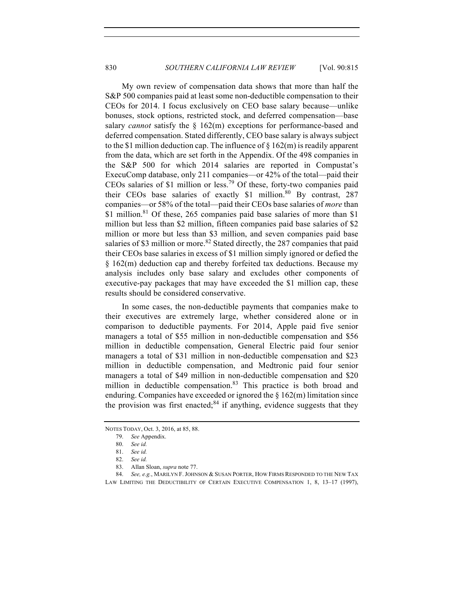My own review of compensation data shows that more than half the S&P 500 companies paid at least some non-deductible compensation to their CEOs for 2014. I focus exclusively on CEO base salary because—unlike bonuses, stock options, restricted stock, and deferred compensation—base salary *cannot* satisfy the § 162(m) exceptions for performance-based and deferred compensation. Stated differently, CEO base salary is always subject to the \$1 million deduction cap. The influence of  $\S 162(m)$  is readily apparent from the data, which are set forth in the Appendix. Of the 498 companies in the S&P 500 for which 2014 salaries are reported in Compustat's ExecuComp database, only 211 companies—or 42% of the total—paid their CEOs salaries of \$1 million or less.<sup>79</sup> Of these, forty-two companies paid their CEOs base salaries of exactly \$1 million.80 By contrast, 287 companies—or 58% of the total—paid their CEOs base salaries of *more* than \$1 million.<sup>81</sup> Of these, 265 companies paid base salaries of more than \$1 million but less than \$2 million, fifteen companies paid base salaries of \$2 million or more but less than \$3 million, and seven companies paid base salaries of \$3 million or more.<sup>82</sup> Stated directly, the 287 companies that paid their CEOs base salaries in excess of \$1 million simply ignored or defied the § 162(m) deduction cap and thereby forfeited tax deductions. Because my analysis includes only base salary and excludes other components of executive-pay packages that may have exceeded the \$1 million cap, these results should be considered conservative.

In some cases, the non-deductible payments that companies make to their executives are extremely large, whether considered alone or in comparison to deductible payments. For 2014, Apple paid five senior managers a total of \$55 million in non-deductible compensation and \$56 million in deductible compensation, General Electric paid four senior managers a total of \$31 million in non-deductible compensation and \$23 million in deductible compensation, and Medtronic paid four senior managers a total of \$49 million in non-deductible compensation and \$20 million in deductible compensation. $83$  This practice is both broad and enduring. Companies have exceeded or ignored the  $\S 162(m)$  limitation since the provision was first enacted; $84$  if anything, evidence suggests that they

NOTES TODAY, Oct. 3, 2016, at 85, 88.

<sup>79.</sup> *See* Appendix.

<sup>80.</sup> *See id.*

<sup>81.</sup> *See id.*

<sup>82.</sup> *See id.*

<sup>83.</sup> Allan Sloan, *supra* note 77.

<sup>84.</sup> *See, e.g.*, MARILYN F.JOHNSON & SUSAN PORTER, HOW FIRMS RESPONDED TO THE NEW TAX LAW LIMITING THE DEDUCTIBILITY OF CERTAIN EXECUTIVE COMPENSATION 1, 8, 13–17 (1997),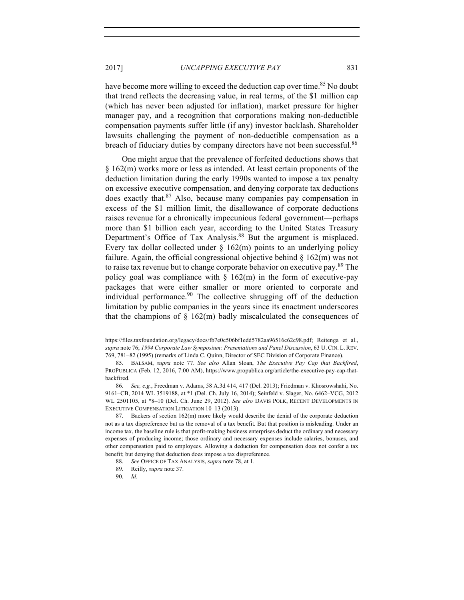have become more willing to exceed the deduction cap over time.<sup>85</sup> No doubt that trend reflects the decreasing value, in real terms, of the \$1 million cap (which has never been adjusted for inflation), market pressure for higher manager pay, and a recognition that corporations making non-deductible compensation payments suffer little (if any) investor backlash. Shareholder lawsuits challenging the payment of non-deductible compensation as a breach of fiduciary duties by company directors have not been successful.<sup>86</sup>

One might argue that the prevalence of forfeited deductions shows that § 162(m) works more or less as intended. At least certain proponents of the deduction limitation during the early 1990s wanted to impose a tax penalty on excessive executive compensation, and denying corporate tax deductions does exactly that.<sup>87</sup> Also, because many companies pay compensation in excess of the \$1 million limit, the disallowance of corporate deductions raises revenue for a chronically impecunious federal government—perhaps more than \$1 billion each year, according to the United States Treasury Department's Office of Tax Analysis.<sup>88</sup> But the argument is misplaced. Every tax dollar collected under  $\S$  162(m) points to an underlying policy failure. Again, the official congressional objective behind  $\S$  162(m) was not to raise tax revenue but to change corporate behavior on executive pay.<sup>89</sup> The policy goal was compliance with  $\S$  162(m) in the form of executive-pay packages that were either smaller or more oriented to corporate and individual performance.<sup>90</sup> The collective shrugging off of the deduction limitation by public companies in the years since its enactment underscores that the champions of  $\S$  162(m) badly miscalculated the consequences of

90. *Id.*

https://files.taxfoundation.org/legacy/docs/fb7e0c506bf1edd5782aa96516c62c98.pdf; Reitenga et al., *supra* note 76; *1994 Corporate Law Symposium: Presentations and Panel Discussion*, 63 U. CIN. L. REV. 769, 781–82 (1995) (remarks of Linda C. Quinn, Director of SEC Division of Corporate Finance).

<sup>85.</sup> BALSAM, *supra* note 77. *See also* Allan Sloan, *The Executive Pay Cap that Backfired*, PROPUBLICA (Feb. 12, 2016, 7:00 AM), https://www.propublica.org/article/the-executive-pay-cap-thatbackfired.

<sup>86.</sup> *See, e.g.*, Freedman v. Adams, 58 A.3d 414, 417 (Del. 2013); Friedman v. Khosrowshahi, No. 9161–CB, 2014 WL 3519188, at \*1 (Del. Ch. July 16, 2014); Seinfeld v. Slager, No. 6462–VCG, 2012 WL 2501105, at \*8–10 (Del. Ch. June 29, 2012). *See also* DAVIS POLK, RECENT DEVELOPMENTS IN EXECUTIVE COMPENSATION LITIGATION 10–13 (2013).

<sup>87.</sup> Backers of section 162(m) more likely would describe the denial of the corporate deduction not as a tax dispreference but as the removal of a tax benefit. But that position is misleading. Under an income tax, the baseline rule is that profit-making business enterprises deduct the ordinary and necessary expenses of producing income; those ordinary and necessary expenses include salaries, bonuses, and other compensation paid to employees. Allowing a deduction for compensation does not confer a tax benefit; but denying that deduction does impose a tax dispreference.

<sup>88.</sup> *See* OFFICE OF TAX ANALYSIS, *supra* note 78, at 1.

<sup>89.</sup> Reilly, *supra* note 37.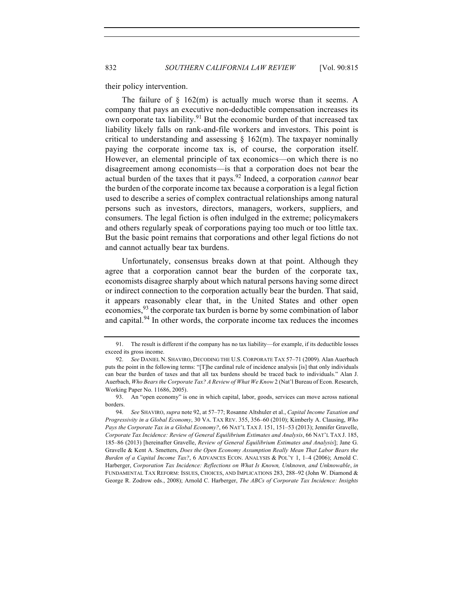their policy intervention.

The failure of  $\S$  162(m) is actually much worse than it seems. A company that pays an executive non-deductible compensation increases its own corporate tax liability.<sup>91</sup> But the economic burden of that increased tax liability likely falls on rank-and-file workers and investors. This point is critical to understanding and assessing  $\S$  162(m). The taxpayer nominally paying the corporate income tax is, of course, the corporation itself. However, an elemental principle of tax economics—on which there is no disagreement among economists—is that a corporation does not bear the actual burden of the taxes that it pays.<sup>92</sup> Indeed, a corporation *cannot* bear the burden of the corporate income tax because a corporation is a legal fiction used to describe a series of complex contractual relationships among natural persons such as investors, directors, managers, workers, suppliers, and consumers. The legal fiction is often indulged in the extreme; policymakers and others regularly speak of corporations paying too much or too little tax. But the basic point remains that corporations and other legal fictions do not and cannot actually bear tax burdens.

Unfortunately, consensus breaks down at that point. Although they agree that a corporation cannot bear the burden of the corporate tax, economists disagree sharply about which natural persons having some direct or indirect connection to the corporation actually bear the burden. That said, it appears reasonably clear that, in the United States and other open economies,<sup>93</sup> the corporate tax burden is borne by some combination of labor and capital.<sup>94</sup> In other words, the corporate income tax reduces the incomes

<sup>91.</sup> The result is different if the company has no tax liability—for example, if its deductible losses exceed its gross income.

<sup>92.</sup> *See* DANIEL N. SHAVIRO, DECODING THE U.S. CORPORATE TAX 57–71 (2009). Alan Auerbach puts the point in the following terms: "[T]he cardinal rule of incidence analysis [is] that only individuals can bear the burden of taxes and that all tax burdens should be traced back to individuals." Alan J. Auerbach, *Who Bears the Corporate Tax? A Review of What We Know* 2 (Nat'l Bureau of Econ. Research, Working Paper No. 11686, 2005).

<sup>93.</sup> An "open economy" is one in which capital, labor, goods, services can move across national borders.

<sup>94.</sup> *See* SHAVIRO, *supra* note 92, at 57–77; Rosanne Altshuler et al., *Capital Income Taxation and Progressivity in a Global Economy*, 30 VA. TAX REV. 355, 356–60 (2010); Kimberly A. Clausing, *Who Pays the Corporate Tax in a Global Economy?*, 66 NAT'L TAX J. 151, 151–53 (2013); Jennifer Gravelle, *Corporate Tax Incidence: Review of General Equilibrium Estimates and Analysis*, 66 NAT'L TAX J. 185, 185–86 (2013) [hereinafter Gravelle, *Review of General Equilibrium Estimates and Analysis*]; Jane G. Gravelle & Kent A. Smetters, *Does the Open Economy Assumption Really Mean That Labor Bears the Burden of a Capital Income Tax?*, 6 ADVANCES ECON. ANALYSIS & POL'Y 1, 1–4 (2006); Arnold C. Harberger, *Corporation Tax Incidence: Reflections on What Is Known, Unknown, and Unknowable*, *in* FUNDAMENTAL TAX REFORM: ISSUES, CHOICES, AND IMPLICATIONS 283, 288–92 (John W. Diamond & George R. Zodrow eds., 2008); Arnold C. Harberger, *The ABCs of Corporate Tax Incidence: Insights*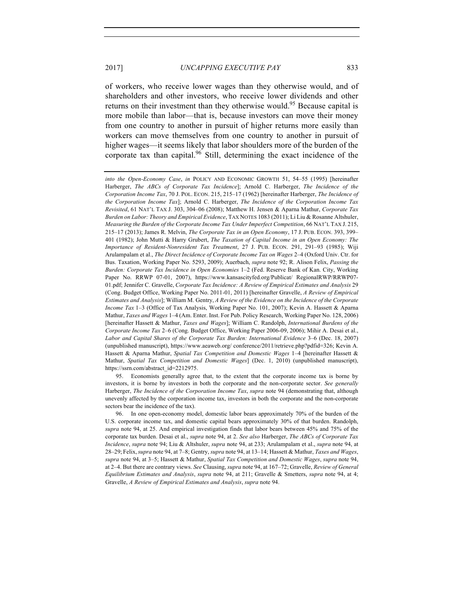of workers, who receive lower wages than they otherwise would, and of shareholders and other investors, who receive lower dividends and other returns on their investment than they otherwise would.<sup>95</sup> Because capital is more mobile than labor—that is, because investors can move their money from one country to another in pursuit of higher returns more easily than workers can move themselves from one country to another in pursuit of higher wages—it seems likely that labor shoulders more of the burden of the corporate tax than capital.<sup>96</sup> Still, determining the exact incidence of the

*into the Open-Economy Case*, *in* POLICY AND ECONOMIC GROWTH 51, 54–55 (1995) [hereinafter Harberger, *The ABCs of Corporate Tax Incidence*]; Arnold C. Harberger, *The Incidence of the Corporation Income Tax*, 70 J. POL. ECON. 215, 215–17 (1962) [hereinafter Harberger, *The Incidence of the Corporation Income Tax*]; Arnold C. Harberger, *The Incidence of the Corporation Income Tax Revisited*, 61 NAT'L TAX J. 303, 304–06 (2008); Matthew H. Jensen & Aparna Mathur, *Corporate Tax Burden on Labor: Theory and Empirical Evidence*, TAX NOTES 1083 (2011); Li Liu & Rosanne Altshuler, *Measuring the Burden of the Corporate Income Tax Under Imperfect Competition*, 66 NAT'L TAX J. 215, 215–17 (2013); James R. Melvin, *The Corporate Tax in an Open Economy*, 17 J. PUB. ECON. 393, 399– 401 (1982); John Mutti & Harry Grubert, *The Taxation of Capital Income in an Open Economy: The Importance of Resident-Nonresident Tax Treatment*, 27 J. PUB. ECON. 291, 291–93 (1985); Wiji Arulampalam et al., *The Direct Incidence of Corporate Income Tax on Wages* 2–4 (Oxford Univ. Ctr. for Bus. Taxation, Working Paper No. 5293, 2009); Auerbach, *supra* note 92; R. Alison Felix, *Passing the Burden: Corporate Tax Incidence in Open Economies* 1–2 (Fed. Reserve Bank of Kan. City, Working Paper No. RRWP 07-01, 2007), https://www.kansascityfed.org/Publicat/ RegionalRWP/RRWP07- 01.pdf; Jennifer C. Gravelle, *Corporate Tax Incidence: A Review of Empirical Estimates and Analysis* 29 (Cong. Budget Office, Working Paper No. 2011-01, 2011) [hereinafter Gravelle, *A Review of Empirical Estimates and Analysis*]; William M. Gentry, *A Review of the Evidence on the Incidence of the Corporate Income Tax* 1–3 (Office of Tax Analysis, Working Paper No. 101, 2007); Kevin A. Hassett & Aparna Mathur, *Taxes and Wages* 1–4 (Am. Enter. Inst. For Pub. Policy Research, Working Paper No. 128, 2006) [hereinafter Hassett & Mathur, *Taxes and Wages*]; William C. Randolph, *International Burdens of the Corporate Income Tax* 2–6 (Cong. Budget Office, Working Paper 2006-09, 2006); Mihir A. Desai et al., *Labor and Capital Shares of the Corporate Tax Burden: International Evidence* 3–6 (Dec. 18, 2007) (unpublished manuscript), https://www.aeaweb.org/ conference/2011/retrieve.php?pdfid=326; Kevin A. Hassett & Aparna Mathur, *Spatial Tax Competition and Domestic Wages* 1–4 [hereinafter Hassett & Mathur, *Spatial Tax Competition and Domestic Wages*] (Dec. 1, 2010) (unpublished manuscript), https://ssrn.com/abstract\_id=2212975.

<sup>95.</sup> Economists generally agree that, to the extent that the corporate income tax is borne by investors, it is borne by investors in both the corporate and the non-corporate sector. *See generally* Harberger, *The Incidence of the Corporation Income Tax*, *supra* note 94 (demonstrating that, although unevenly affected by the corporation income tax, investors in both the corporate and the non-corporate sectors bear the incidence of the tax).

<sup>96.</sup> In one open-economy model, domestic labor bears approximately 70% of the burden of the U.S. corporate income tax, and domestic capital bears approximately 30% of that burden. Randolph, *supra* note 94, at 25. And empirical investigation finds that labor bears between 45% and 75% of the corporate tax burden. Desai et al., *supra* note 94, at 2. *See also* Harberger, *The ABCs of Corporate Tax Incidence*, *supra* note 94; Liu & Altshuler, *supra* note 94, at 233; Arulampalam et al., *supra* note 94, at 28–29; Felix,*supra* note 94, at 7–8; Gentry, *supra* note 94, at 13–14; Hassett & Mathur, *Taxes and Wages*, *supra* note 94, at 3–5; Hassett & Mathur, *Spatial Tax Competition and Domestic Wages*, *supra* note 94, at 2–4. But there are contrary views. *See* Clausing, *supra* note 94, at 167–72; Gravelle, *Review of General Equilibrium Estimates and Analysis*, *supra* note 94, at 211; Gravelle & Smetters, *supra* note 94, at 4; Gravelle, *A Review of Empirical Estimates and Analysis*, *supra* note 94.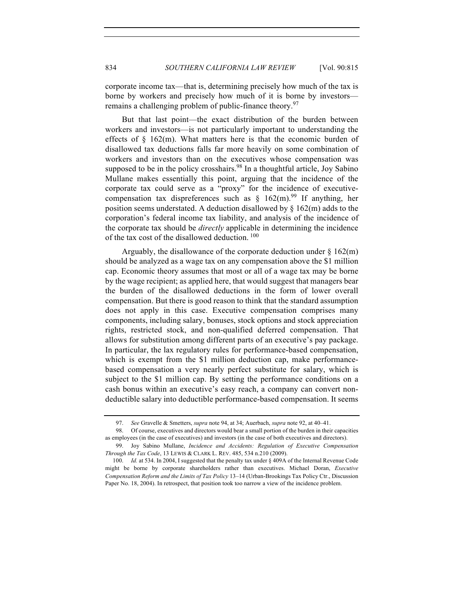corporate income tax—that is, determining precisely how much of the tax is borne by workers and precisely how much of it is borne by investors remains a challenging problem of public-finance theory.<sup>97</sup>

But that last point—the exact distribution of the burden between workers and investors—is not particularly important to understanding the effects of  $\S$  162(m). What matters here is that the economic burden of disallowed tax deductions falls far more heavily on some combination of workers and investors than on the executives whose compensation was supposed to be in the policy crosshairs.<sup>98</sup> In a thoughtful article, Joy Sabino Mullane makes essentially this point, arguing that the incidence of the corporate tax could serve as a "proxy" for the incidence of executivecompensation tax dispreferences such as  $\frac{162(m)^{99}}{16}$  If anything, her position seems understated. A deduction disallowed by  $\S 162(m)$  adds to the corporation's federal income tax liability, and analysis of the incidence of the corporate tax should be *directly* applicable in determining the incidence of the tax cost of the disallowed deduction.<sup>100</sup>

Arguably, the disallowance of the corporate deduction under  $\S 162(m)$ should be analyzed as a wage tax on any compensation above the \$1 million cap. Economic theory assumes that most or all of a wage tax may be borne by the wage recipient; as applied here, that would suggest that managers bear the burden of the disallowed deductions in the form of lower overall compensation. But there is good reason to think that the standard assumption does not apply in this case. Executive compensation comprises many components, including salary, bonuses, stock options and stock appreciation rights, restricted stock, and non-qualified deferred compensation. That allows for substitution among different parts of an executive's pay package. In particular, the lax regulatory rules for performance-based compensation, which is exempt from the \$1 million deduction cap, make performancebased compensation a very nearly perfect substitute for salary, which is subject to the \$1 million cap. By setting the performance conditions on a cash bonus within an executive's easy reach, a company can convert nondeductible salary into deductible performance-based compensation. It seems

<sup>97.</sup> *See* Gravelle & Smetters, *supra* note 94, at 34; Auerbach, *supra* note 92, at 40–41.

<sup>98.</sup> Of course, executives and directors would bear a small portion of the burden in their capacities as employees (in the case of executives) and investors (in the case of both executives and directors).

<sup>99.</sup> Joy Sabino Mullane, *Incidence and Accidents: Regulation of Executive Compensation Through the Tax Code*, 13 LEWIS & CLARK L. REV. 485, 534 n.210 (2009).

<sup>100.</sup> *Id.* at 534. In 2004, I suggested that the penalty tax under § 409A of the Internal Revenue Code might be borne by corporate shareholders rather than executives. Michael Doran, *Executive Compensation Reform and the Limits of Tax Policy* 13–14 (Urban-Brookings Tax Policy Ctr., Discussion Paper No. 18, 2004). In retrospect, that position took too narrow a view of the incidence problem.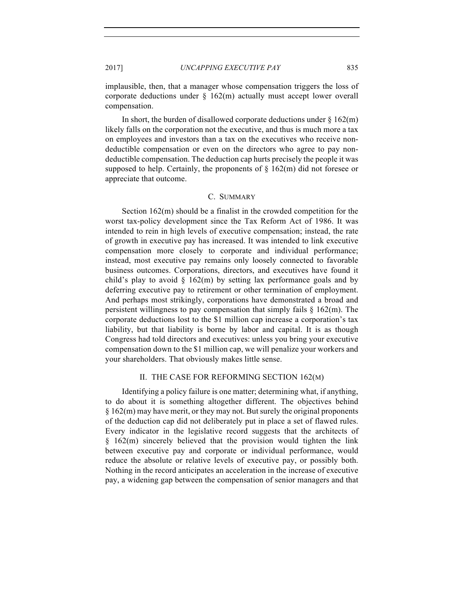implausible, then, that a manager whose compensation triggers the loss of corporate deductions under  $\S$  162(m) actually must accept lower overall compensation.

In short, the burden of disallowed corporate deductions under  $\S 162(m)$ likely falls on the corporation not the executive, and thus is much more a tax on employees and investors than a tax on the executives who receive nondeductible compensation or even on the directors who agree to pay nondeductible compensation. The deduction cap hurts precisely the people it was supposed to help. Certainly, the proponents of  $\S$  162(m) did not foresee or appreciate that outcome.

## C. SUMMARY

Section 162(m) should be a finalist in the crowded competition for the worst tax-policy development since the Tax Reform Act of 1986. It was intended to rein in high levels of executive compensation; instead, the rate of growth in executive pay has increased. It was intended to link executive compensation more closely to corporate and individual performance; instead, most executive pay remains only loosely connected to favorable business outcomes. Corporations, directors, and executives have found it child's play to avoid  $\S$  162(m) by setting lax performance goals and by deferring executive pay to retirement or other termination of employment. And perhaps most strikingly, corporations have demonstrated a broad and persistent willingness to pay compensation that simply fails § 162(m). The corporate deductions lost to the \$1 million cap increase a corporation's tax liability, but that liability is borne by labor and capital. It is as though Congress had told directors and executives: unless you bring your executive compensation down to the \$1 million cap, we will penalize your workers and your shareholders. That obviously makes little sense.

#### II. THE CASE FOR REFORMING SECTION 162(M)

Identifying a policy failure is one matter; determining what, if anything, to do about it is something altogether different. The objectives behind § 162(m) may have merit, or they may not. But surely the original proponents of the deduction cap did not deliberately put in place a set of flawed rules. Every indicator in the legislative record suggests that the architects of § 162(m) sincerely believed that the provision would tighten the link between executive pay and corporate or individual performance, would reduce the absolute or relative levels of executive pay, or possibly both. Nothing in the record anticipates an acceleration in the increase of executive pay, a widening gap between the compensation of senior managers and that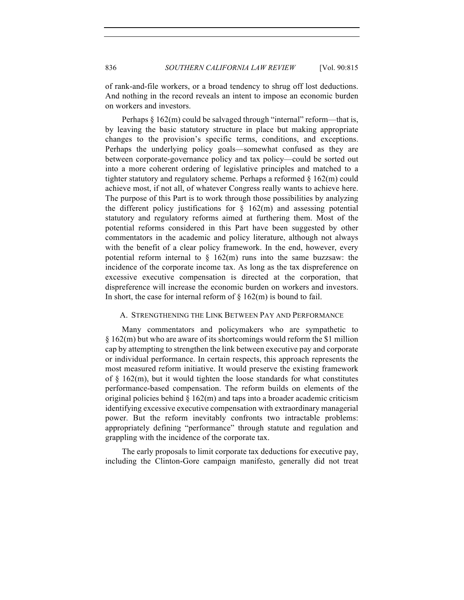of rank-and-file workers, or a broad tendency to shrug off lost deductions. And nothing in the record reveals an intent to impose an economic burden on workers and investors.

Perhaps § 162(m) could be salvaged through "internal" reform—that is, by leaving the basic statutory structure in place but making appropriate changes to the provision's specific terms, conditions, and exceptions. Perhaps the underlying policy goals—somewhat confused as they are between corporate-governance policy and tax policy—could be sorted out into a more coherent ordering of legislative principles and matched to a tighter statutory and regulatory scheme. Perhaps a reformed  $\S 162(m)$  could achieve most, if not all, of whatever Congress really wants to achieve here. The purpose of this Part is to work through those possibilities by analyzing the different policy justifications for  $\S$  162(m) and assessing potential statutory and regulatory reforms aimed at furthering them. Most of the potential reforms considered in this Part have been suggested by other commentators in the academic and policy literature, although not always with the benefit of a clear policy framework. In the end, however, every potential reform internal to  $\S$  162(m) runs into the same buzzsaw: the incidence of the corporate income tax. As long as the tax dispreference on excessive executive compensation is directed at the corporation, that dispreference will increase the economic burden on workers and investors. In short, the case for internal reform of  $\S$  162(m) is bound to fail.

# A. STRENGTHENING THE LINK BETWEEN PAY AND PERFORMANCE

Many commentators and policymakers who are sympathetic to § 162(m) but who are aware of its shortcomings would reform the \$1 million cap by attempting to strengthen the link between executive pay and corporate or individual performance. In certain respects, this approach represents the most measured reform initiative. It would preserve the existing framework of  $\S$  162(m), but it would tighten the loose standards for what constitutes performance-based compensation. The reform builds on elements of the original policies behind  $\S 162(m)$  and taps into a broader academic criticism identifying excessive executive compensation with extraordinary managerial power. But the reform inevitably confronts two intractable problems: appropriately defining "performance" through statute and regulation and grappling with the incidence of the corporate tax.

The early proposals to limit corporate tax deductions for executive pay, including the Clinton-Gore campaign manifesto, generally did not treat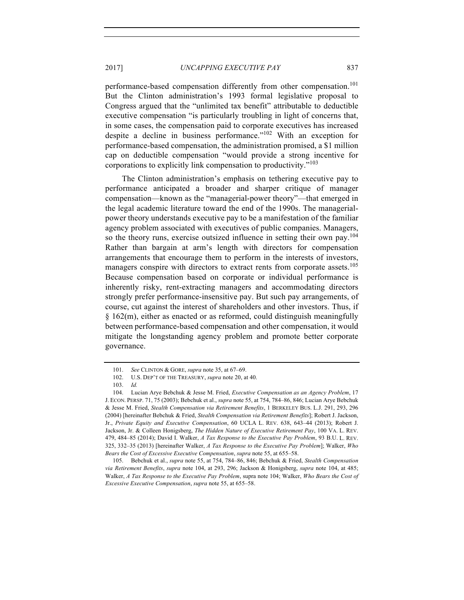performance-based compensation differently from other compensation.<sup>101</sup> But the Clinton administration's 1993 formal legislative proposal to Congress argued that the "unlimited tax benefit" attributable to deductible executive compensation "is particularly troubling in light of concerns that, in some cases, the compensation paid to corporate executives has increased despite a decline in business performance."102 With an exception for performance-based compensation, the administration promised, a \$1 million cap on deductible compensation "would provide a strong incentive for corporations to explicitly link compensation to productivity."<sup>103</sup>

The Clinton administration's emphasis on tethering executive pay to performance anticipated a broader and sharper critique of manager compensation—known as the "managerial-power theory"—that emerged in the legal academic literature toward the end of the 1990s. The managerialpower theory understands executive pay to be a manifestation of the familiar agency problem associated with executives of public companies. Managers, so the theory runs, exercise outsized influence in setting their own pay.<sup>104</sup> Rather than bargain at arm's length with directors for compensation arrangements that encourage them to perform in the interests of investors, managers conspire with directors to extract rents from corporate assets.<sup>105</sup> Because compensation based on corporate or individual performance is inherently risky, rent-extracting managers and accommodating directors strongly prefer performance-insensitive pay. But such pay arrangements, of course, cut against the interest of shareholders and other investors. Thus, if § 162(m), either as enacted or as reformed, could distinguish meaningfully between performance-based compensation and other compensation, it would mitigate the longstanding agency problem and promote better corporate governance.

<sup>101.</sup> *See* CLINTON & GORE, *supra* note 35, at 67–69.

<sup>102.</sup> U.S. DEP'T OF THE TREASURY, *supra* note 20, at 40.

<sup>103.</sup> *Id.*

<sup>104.</sup> Lucian Arye Bebchuk & Jesse M. Fried, *Executive Compensation as an Agency Problem*, 17 J. ECON. PERSP. 71, 75 (2003); Bebchuk et al., *supra* note 55, at 754, 784–86, 846; Lucian Arye Bebchuk & Jesse M. Fried, *Stealth Compensation via Retirement Benefits*, 1 BERKELEY BUS. L.J. 291, 293, 296 (2004) [hereinafter Bebchuk & Fried, *Stealth Compensation via Retirement Benefits*]; Robert J. Jackson, Jr., *Private Equity and Executive Compensation*, 60 UCLA L. REV. 638, 643–44 (2013); Robert J. Jackson, Jr. & Colleen Honigsberg, *The Hidden Nature of Executive Retirement Pay*, 100 VA. L. REV. 479, 484–85 (2014); David I. Walker, *A Tax Response to the Executive Pay Problem*, 93 B.U. L. REV. 325, 332–35 (2013) [hereinafter Walker, *A Tax Response to the Executive Pay Problem*]; Walker, *Who Bears the Cost of Excessive Executive Compensation*, *supra* note 55, at 655–58.

<sup>105.</sup> Bebchuk et al., *supra* note 55, at 754, 784–86, 846; Bebchuk & Fried, *Stealth Compensation via Retirement Benefits*, *supra* note 104, at 293, 296; Jackson & Honigsberg, *supra* note 104, at 485; Walker, *A Tax Response to the Executive Pay Problem*, supra note 104; Walker, *Who Bears the Cost of Excessive Executive Compensation*, *supra* note 55, at 655–58.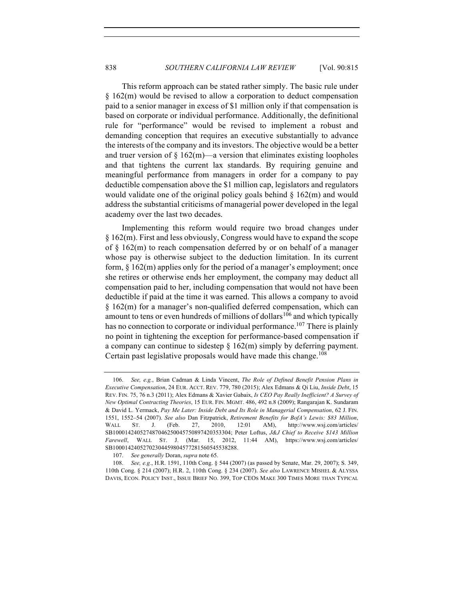This reform approach can be stated rather simply. The basic rule under § 162(m) would be revised to allow a corporation to deduct compensation paid to a senior manager in excess of \$1 million only if that compensation is based on corporate or individual performance. Additionally, the definitional rule for "performance" would be revised to implement a robust and demanding conception that requires an executive substantially to advance the interests of the company and its investors. The objective would be a better and truer version of  $\S 162(m)$ —a version that eliminates existing loopholes and that tightens the current lax standards. By requiring genuine and meaningful performance from managers in order for a company to pay deductible compensation above the \$1 million cap, legislators and regulators would validate one of the original policy goals behind  $\S 162(m)$  and would address the substantial criticisms of managerial power developed in the legal academy over the last two decades.

Implementing this reform would require two broad changes under § 162(m). First and less obviously, Congress would have to expand the scope of § 162(m) to reach compensation deferred by or on behalf of a manager whose pay is otherwise subject to the deduction limitation. In its current form, § 162(m) applies only for the period of a manager's employment; once she retires or otherwise ends her employment, the company may deduct all compensation paid to her, including compensation that would not have been deductible if paid at the time it was earned. This allows a company to avoid § 162(m) for a manager's non-qualified deferred compensation, which can amount to tens or even hundreds of millions of dollars<sup>106</sup> and which typically has no connection to corporate or individual performance.<sup>107</sup> There is plainly no point in tightening the exception for performance-based compensation if a company can continue to sidestep  $\S 162(m)$  simply by deferring payment. Certain past legislative proposals would have made this change.<sup>108</sup>

<sup>106.</sup> *See, e.g.*, Brian Cadman & Linda Vincent, *The Role of Defined Benefit Pension Plans in Executive Compensation*, 24 EUR. ACCT. REV. 779, 780 (2015); Alex Edmans & Qi Liu, *Inside Debt*, 15 REV. FIN. 75, 76 n.3 (2011); Alex Edmans & Xavier Gabaix, *Is CEO Pay Really Inefficient? A Survey of New Optimal Contracting Theories*, 15 EUR. FIN. MGMT. 486, 492 n.8 (2009); Rangarajan K. Sundaram & David L. Yermack, *Pay Me Later: Inside Debt and Its Role in Managerial Compensation*, 62 J. FIN. 1551, 1552–54 (2007). *See also* Dan Fitzpatrick, *Retirement Benefits for BofA's Lewis: \$83 Million*, WALL ST. J. (Feb. 27, 2010, 12:01 AM), http://www.wsj.com/articles/ SB100014240527487046250045750897420353304; Peter Loftus, *J&J Chief to Receive \$143 Million Farewell*, WALL ST. J. (Mar. 15, 2012, 11:44 AM), https://www.wsj.com/articles/ SB10001424052702304459804577281560545538288.

<sup>107.</sup> *See generally* Doran, *supra* note 65.

<sup>108.</sup> *See, e.g.*, H.R. 1591, 110th Cong. § 544 (2007) (as passed by Senate, Mar. 29, 2007); S. 349, 110th Cong. § 214 (2007); H.R. 2, 110th Cong. § 234 (2007). *See also* LAWRENCE MISHEL & ALYSSA DAVIS, ECON. POLICY INST., ISSUE BRIEF NO. 399, TOP CEOS MAKE 300 TIMES MORE THAN TYPICAL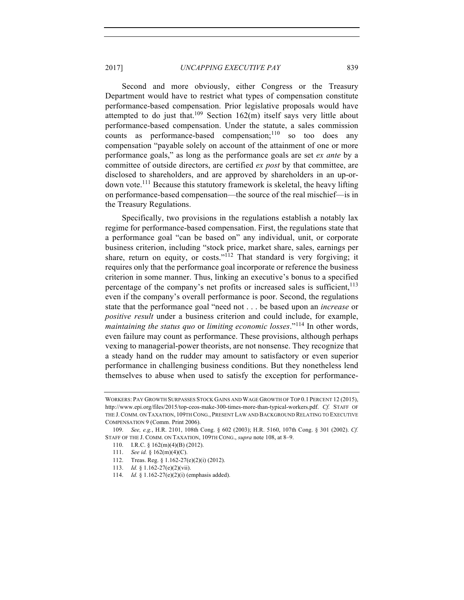Second and more obviously, either Congress or the Treasury Department would have to restrict what types of compensation constitute performance-based compensation. Prior legislative proposals would have attempted to do just that.<sup>109</sup> Section 162(m) itself says very little about performance-based compensation. Under the statute, a sales commission counts as performance-based compensation; $110$  so too does any compensation "payable solely on account of the attainment of one or more performance goals," as long as the performance goals are set *ex ante* by a committee of outside directors, are certified *ex post* by that committee, are disclosed to shareholders, and are approved by shareholders in an up-ordown vote.111 Because this statutory framework is skeletal, the heavy lifting on performance-based compensation—the source of the real mischief—is in the Treasury Regulations.

Specifically, two provisions in the regulations establish a notably lax regime for performance-based compensation. First, the regulations state that a performance goal "can be based on" any individual, unit, or corporate business criterion, including "stock price, market share, sales, earnings per share, return on equity, or costs."<sup>112</sup> That standard is very forgiving; it requires only that the performance goal incorporate or reference the business criterion in some manner. Thus, linking an executive's bonus to a specified percentage of the company's net profits or increased sales is sufficient,  $^{113}$ even if the company's overall performance is poor. Second, the regulations state that the performance goal "need not . . . be based upon an *increase* or *positive result* under a business criterion and could include, for example, *maintaining the status quo* or *limiting economic losses*."<sup>114</sup> In other words, even failure may count as performance. These provisions, although perhaps vexing to managerial-power theorists, are not nonsense. They recognize that a steady hand on the rudder may amount to satisfactory or even superior performance in challenging business conditions. But they nonetheless lend themselves to abuse when used to satisfy the exception for performance-

114. *Id.* § 1.162-27(e)(2)(i) (emphasis added).

WORKERS: PAY GROWTH SURPASSES STOCK GAINS AND WAGE GROWTH OF TOP 0.1 PERCENT 12 (2015), http://www.epi.org/files/2015/top-ceos-make-300-times-more-than-typical-workers.pdf. *Cf.* STAFF OF THE J. COMM. ON TAXATION, 109TH CONG., PRESENT LAW AND BACKGROUND RELATING TO EXECUTIVE COMPENSATION 9 (Comm. Print 2006).

<sup>109.</sup> *See, e.g.*, H.R. 2101, 108th Cong. § 602 (2003); H.R. 5160, 107th Cong. § 301 (2002). *Cf.* STAFF OF THE J. COMM. ON TAXATION, 109TH CONG., *supra* note 108, at 8–9.

<sup>110.</sup> I.R.C. § 162(m)(4)(B) (2012).

<sup>111.</sup> *See id.* § 162(m)(4)(C).

<sup>112.</sup> Treas. Reg. § 1.162-27(e)(2)(i) (2012).

<sup>113.</sup> *Id.* § 1.162-27(e)(2)(vii).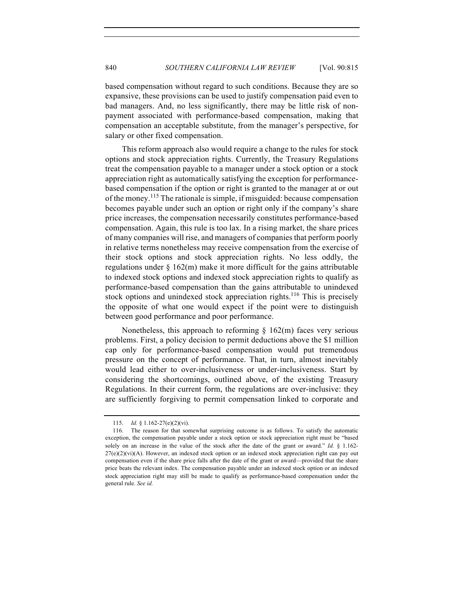based compensation without regard to such conditions. Because they are so expansive, these provisions can be used to justify compensation paid even to bad managers. And, no less significantly, there may be little risk of nonpayment associated with performance-based compensation, making that compensation an acceptable substitute, from the manager's perspective, for salary or other fixed compensation.

This reform approach also would require a change to the rules for stock options and stock appreciation rights. Currently, the Treasury Regulations treat the compensation payable to a manager under a stock option or a stock appreciation right as automatically satisfying the exception for performancebased compensation if the option or right is granted to the manager at or out of the money.<sup>115</sup> The rationale is simple, if misguided: because compensation becomes payable under such an option or right only if the company's share price increases, the compensation necessarily constitutes performance-based compensation. Again, this rule is too lax. In a rising market, the share prices of many companies will rise, and managers of companies that perform poorly in relative terms nonetheless may receive compensation from the exercise of their stock options and stock appreciation rights. No less oddly, the regulations under  $\S$  162(m) make it more difficult for the gains attributable to indexed stock options and indexed stock appreciation rights to qualify as performance-based compensation than the gains attributable to unindexed stock options and unindexed stock appreciation rights.<sup>116</sup> This is precisely the opposite of what one would expect if the point were to distinguish between good performance and poor performance.

Nonetheless, this approach to reforming  $\S$  162(m) faces very serious problems. First, a policy decision to permit deductions above the \$1 million cap only for performance-based compensation would put tremendous pressure on the concept of performance. That, in turn, almost inevitably would lead either to over-inclusiveness or under-inclusiveness. Start by considering the shortcomings, outlined above, of the existing Treasury Regulations. In their current form, the regulations are over-inclusive: they are sufficiently forgiving to permit compensation linked to corporate and

<sup>115.</sup> *Id.* § 1.162-27(e)(2)(vi).

<sup>116.</sup> The reason for that somewhat surprising outcome is as follows. To satisfy the automatic exception, the compensation payable under a stock option or stock appreciation right must be "based solely on an increase in the value of the stock after the date of the grant or award." *Id.* § 1.162-  $27(e)(2)(vi)(A)$ . However, an indexed stock option or an indexed stock appreciation right can pay out compensation even if the share price falls after the date of the grant or award—provided that the share price beats the relevant index. The compensation payable under an indexed stock option or an indexed stock appreciation right may still be made to qualify as performance-based compensation under the general rule. *See id.*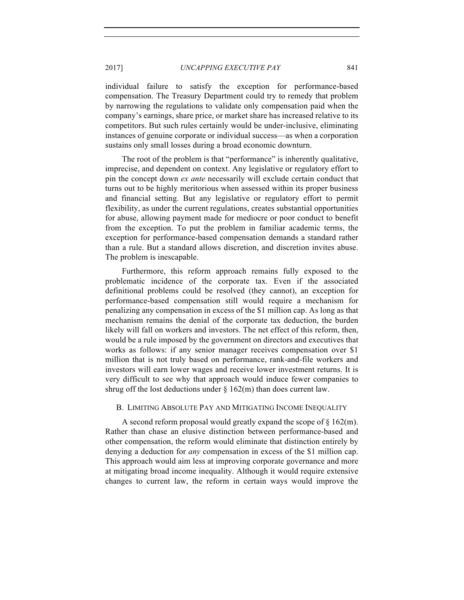individual failure to satisfy the exception for performance-based compensation. The Treasury Department could try to remedy that problem by narrowing the regulations to validate only compensation paid when the company's earnings, share price, or market share has increased relative to its competitors. But such rules certainly would be under-inclusive, eliminating instances of genuine corporate or individual success—as when a corporation sustains only small losses during a broad economic downturn.

The root of the problem is that "performance" is inherently qualitative, imprecise, and dependent on context. Any legislative or regulatory effort to pin the concept down *ex ante* necessarily will exclude certain conduct that turns out to be highly meritorious when assessed within its proper business and financial setting. But any legislative or regulatory effort to permit flexibility, as under the current regulations, creates substantial opportunities for abuse, allowing payment made for mediocre or poor conduct to benefit from the exception. To put the problem in familiar academic terms, the exception for performance-based compensation demands a standard rather than a rule. But a standard allows discretion, and discretion invites abuse. The problem is inescapable.

Furthermore, this reform approach remains fully exposed to the problematic incidence of the corporate tax. Even if the associated definitional problems could be resolved (they cannot), an exception for performance-based compensation still would require a mechanism for penalizing any compensation in excess of the \$1 million cap. As long as that mechanism remains the denial of the corporate tax deduction, the burden likely will fall on workers and investors. The net effect of this reform, then, would be a rule imposed by the government on directors and executives that works as follows: if any senior manager receives compensation over \$1 million that is not truly based on performance, rank-and-file workers and investors will earn lower wages and receive lower investment returns. It is very difficult to see why that approach would induce fewer companies to shrug off the lost deductions under  $\S$  162(m) than does current law.

## B. LIMITING ABSOLUTE PAY AND MITIGATING INCOME INEQUALITY

A second reform proposal would greatly expand the scope of § 162(m). Rather than chase an elusive distinction between performance-based and other compensation, the reform would eliminate that distinction entirely by denying a deduction for *any* compensation in excess of the \$1 million cap. This approach would aim less at improving corporate governance and more at mitigating broad income inequality. Although it would require extensive changes to current law, the reform in certain ways would improve the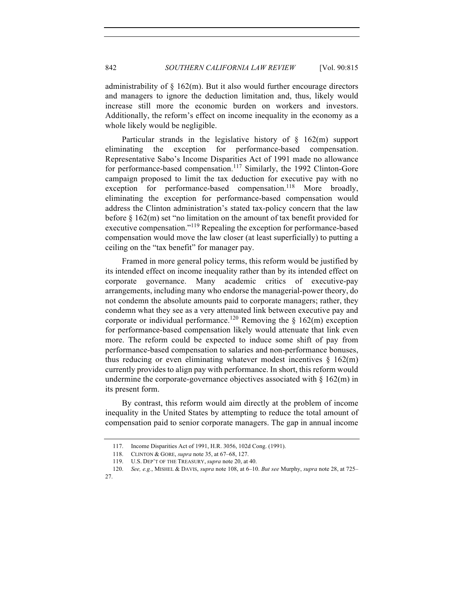administrability of  $\S$  162(m). But it also would further encourage directors and managers to ignore the deduction limitation and, thus, likely would increase still more the economic burden on workers and investors. Additionally, the reform's effect on income inequality in the economy as a whole likely would be negligible.

Particular strands in the legislative history of  $\S$  162(m) support eliminating the exception for performance-based compensation. Representative Sabo's Income Disparities Act of 1991 made no allowance for performance-based compensation.<sup>117</sup> Similarly, the 1992 Clinton-Gore campaign proposed to limit the tax deduction for executive pay with no exception for performance-based compensation.<sup>118</sup> More broadly, eliminating the exception for performance-based compensation would address the Clinton administration's stated tax-policy concern that the law before § 162(m) set "no limitation on the amount of tax benefit provided for executive compensation."119 Repealing the exception for performance-based compensation would move the law closer (at least superficially) to putting a ceiling on the "tax benefit" for manager pay.

Framed in more general policy terms, this reform would be justified by its intended effect on income inequality rather than by its intended effect on corporate governance. Many academic critics of executive-pay arrangements, including many who endorse the managerial-power theory, do not condemn the absolute amounts paid to corporate managers; rather, they condemn what they see as a very attenuated link between executive pay and corporate or individual performance.<sup>120</sup> Removing the  $\S$  162(m) exception for performance-based compensation likely would attenuate that link even more. The reform could be expected to induce some shift of pay from performance-based compensation to salaries and non-performance bonuses, thus reducing or even eliminating whatever modest incentives  $\delta$  162(m) currently provides to align pay with performance. In short, this reform would undermine the corporate-governance objectives associated with  $\S 162(m)$  in its present form.

By contrast, this reform would aim directly at the problem of income inequality in the United States by attempting to reduce the total amount of compensation paid to senior corporate managers. The gap in annual income

<sup>117.</sup> Income Disparities Act of 1991, H.R. 3056, 102d Cong. (1991).

<sup>118.</sup> CLINTON & GORE, *supra* note 35, at 67–68, 127.

<sup>119.</sup> U.S. DEP'T OF THE TREASURY, *supra* note 20, at 40.

<sup>120.</sup> *See, e.g.*, MISHEL & DAVIS, *supra* note 108, at 6–10. *But see* Murphy, *supra* note 28, at 725– 27.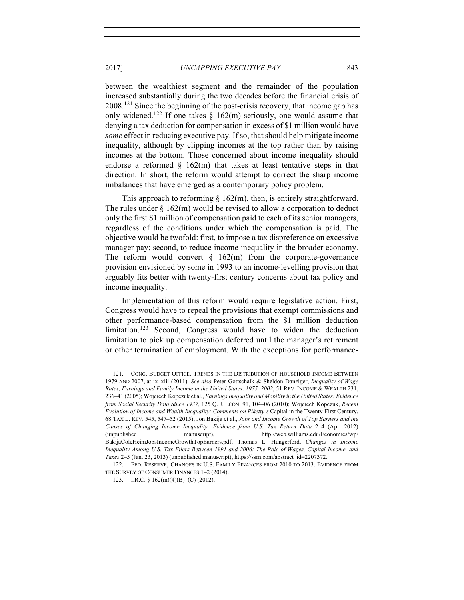between the wealthiest segment and the remainder of the population increased substantially during the two decades before the financial crisis of  $2008<sup>121</sup>$  Since the beginning of the post-crisis recovery, that income gap has only widened.<sup>122</sup> If one takes  $\S$  162(m) seriously, one would assume that denying a tax deduction for compensation in excess of \$1 million would have *some* effect in reducing executive pay. If so, that should help mitigate income inequality, although by clipping incomes at the top rather than by raising incomes at the bottom. Those concerned about income inequality should endorse a reformed  $\S$  162(m) that takes at least tentative steps in that direction. In short, the reform would attempt to correct the sharp income imbalances that have emerged as a contemporary policy problem.

This approach to reforming  $\S$  162(m), then, is entirely straightforward. The rules under  $\S 162(m)$  would be revised to allow a corporation to deduct only the first \$1 million of compensation paid to each of its senior managers, regardless of the conditions under which the compensation is paid. The objective would be twofold: first, to impose a tax dispreference on excessive manager pay; second, to reduce income inequality in the broader economy. The reform would convert  $\S$  162(m) from the corporate-governance provision envisioned by some in 1993 to an income-levelling provision that arguably fits better with twenty-first century concerns about tax policy and income inequality.

Implementation of this reform would require legislative action. First, Congress would have to repeal the provisions that exempt commissions and other performance-based compensation from the \$1 million deduction  $limitation.<sup>123</sup> Second, Congress would have to wider the deduction$ limitation to pick up compensation deferred until the manager's retirement or other termination of employment. With the exceptions for performance-

<sup>121.</sup> CONG. BUDGET OFFICE, TRENDS IN THE DISTRIBUTION OF HOUSEHOLD INCOME BETWEEN 1979 AND 2007, at ix–xiii (2011). *See also* Peter Gottschalk & Sheldon Danziger, *Inequality of Wage Rates, Earnings and Family Income in the United States, 1975–2002*, 51 REV. INCOME & WEALTH 231, 236–41 (2005); Wojciech Kopczuk et al., *Earnings Inequality and Mobility in the United States: Evidence from Social Security Data Since 1937*, 125 Q. J. ECON. 91, 104–06 (2010); Wojciech Kopczuk, *Recent Evolution of Income and Wealth Inequality: Comments on Piketty's* Capital in the Twenty-First Century, 68 TAX L. REV. 545, 547–52 (2015); Jon Bakija et al., *Jobs and Income Growth of Top Earners and the Causes of Changing Income Inequality: Evidence from U.S. Tax Return Data* 2–4 (Apr. 2012) (unpublished manuscript), http://web.williams.edu/Economics/wp/ BakijaColeHeimJobsIncomeGrowthTopEarners.pdf; Thomas L. Hungerford, *Changes in Income Inequality Among U.S. Tax Filers Between 1991 and 2006: The Role of Wages, Capital Income, and Taxes* 2–5 (Jan. 23, 2013) (unpublished manuscript), https://ssrn.com/abstract\_id=2207372.

<sup>122.</sup> FED. RESERVE, CHANGES IN U.S. FAMILY FINANCES FROM 2010 TO 2013: EVIDENCE FROM THE SURVEY OF CONSUMER FINANCES 1–2 (2014).

<sup>123.</sup> I.R.C. § 162(m)(4)(B)–(C) (2012).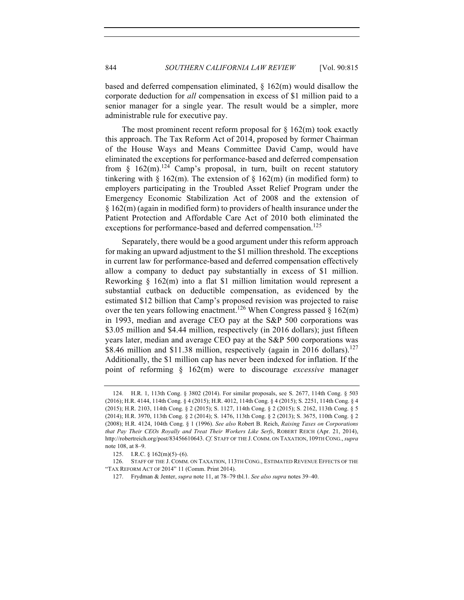based and deferred compensation eliminated,  $\S$  162(m) would disallow the corporate deduction for *all* compensation in excess of \$1 million paid to a senior manager for a single year. The result would be a simpler, more administrable rule for executive pay.

The most prominent recent reform proposal for  $\S$  162(m) took exactly this approach. The Tax Reform Act of 2014, proposed by former Chairman of the House Ways and Means Committee David Camp, would have eliminated the exceptions for performance-based and deferred compensation from §  $162(m)$ .<sup>124</sup> Camp's proposal, in turn, built on recent statutory tinkering with  $\S$  162(m). The extension of  $\S$  162(m) (in modified form) to employers participating in the Troubled Asset Relief Program under the Emergency Economic Stabilization Act of 2008 and the extension of § 162(m) (again in modified form) to providers of health insurance under the Patient Protection and Affordable Care Act of 2010 both eliminated the exceptions for performance-based and deferred compensation.<sup>125</sup>

Separately, there would be a good argument under this reform approach for making an upward adjustment to the \$1 million threshold. The exceptions in current law for performance-based and deferred compensation effectively allow a company to deduct pay substantially in excess of \$1 million. Reworking § 162(m) into a flat \$1 million limitation would represent a substantial cutback on deductible compensation, as evidenced by the estimated \$12 billion that Camp's proposed revision was projected to raise over the ten years following enactment.<sup>126</sup> When Congress passed  $\S$  162(m) in 1993, median and average CEO pay at the S&P 500 corporations was \$3.05 million and \$4.44 million, respectively (in 2016 dollars); just fifteen years later, median and average CEO pay at the S&P 500 corporations was \$8.46 million and \$11.38 million, respectively (again in 2016 dollars).<sup>127</sup> Additionally, the \$1 million cap has never been indexed for inflation. If the point of reforming § 162(m) were to discourage *excessive* manager

<sup>124.</sup> H.R. 1, 113th Cong. § 3802 (2014). For similar proposals, see S. 2677, 114th Cong. § 503 (2016); H.R. 4144, 114th Cong. § 4 (2015); H.R. 4012, 114th Cong. § 4 (2015); S. 2251, 114th Cong. § 4 (2015); H.R. 2103, 114th Cong. § 2 (2015); S. 1127, 114th Cong. § 2 (2015); S. 2162, 113th Cong. § 5 (2014); H.R. 3970, 113th Cong. § 2 (2014); S. 1476, 113th Cong. § 2 (2013); S. 3675, 110th Cong. § 2 (2008); H.R. 4124, 104th Cong. § 1 (1996). *See also* Robert B. Reich, *Raising Taxes on Corporations that Pay Their CEOs Royally and Treat Their Workers Like Serfs*, ROBERT REICH (Apr. 21, 2014), http://robertreich.org/post/83456610643. *Cf.* STAFF OF THE J. COMM. ON TAXATION, 109TH CONG., *supra*  note 108, at 8–9.

<sup>125.</sup> I.R.C. § 162(m)(5)–(6).

<sup>126.</sup> STAFF OF THE J. COMM. ON TAXATION, 113TH CONG., ESTIMATED REVENUE EFFECTS OF THE "TAX REFORM ACT OF 2014" 11 (Comm. Print 2014).

<sup>127.</sup> Frydman & Jenter, *supra* note 11, at 78–79 tbl.1. *See also supra* notes 39–40.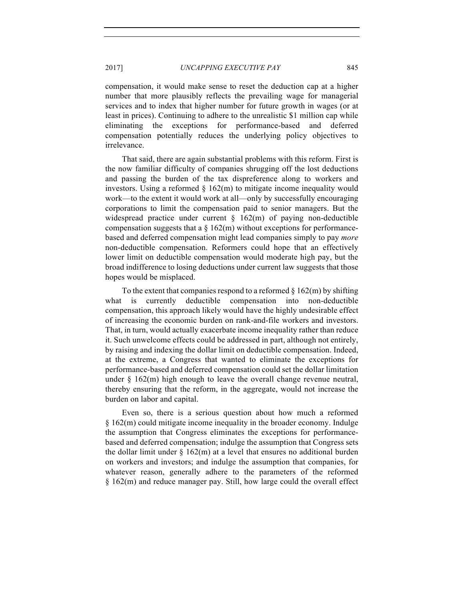compensation, it would make sense to reset the deduction cap at a higher number that more plausibly reflects the prevailing wage for managerial services and to index that higher number for future growth in wages (or at least in prices). Continuing to adhere to the unrealistic \$1 million cap while eliminating the exceptions for performance-based and deferred compensation potentially reduces the underlying policy objectives to irrelevance.

That said, there are again substantial problems with this reform. First is the now familiar difficulty of companies shrugging off the lost deductions and passing the burden of the tax dispreference along to workers and investors. Using a reformed  $\S$  162(m) to mitigate income inequality would work—to the extent it would work at all—only by successfully encouraging corporations to limit the compensation paid to senior managers. But the widespread practice under current  $\S$  162(m) of paying non-deductible compensation suggests that a  $\S$  162(m) without exceptions for performancebased and deferred compensation might lead companies simply to pay *more* non-deductible compensation. Reformers could hope that an effectively lower limit on deductible compensation would moderate high pay, but the broad indifference to losing deductions under current law suggests that those hopes would be misplaced.

To the extent that companies respond to a reformed  $\S 162(m)$  by shifting what is currently deductible compensation into non-deductible compensation, this approach likely would have the highly undesirable effect of increasing the economic burden on rank-and-file workers and investors. That, in turn, would actually exacerbate income inequality rather than reduce it. Such unwelcome effects could be addressed in part, although not entirely, by raising and indexing the dollar limit on deductible compensation. Indeed, at the extreme, a Congress that wanted to eliminate the exceptions for performance-based and deferred compensation could set the dollar limitation under  $\S$  162(m) high enough to leave the overall change revenue neutral, thereby ensuring that the reform, in the aggregate, would not increase the burden on labor and capital.

Even so, there is a serious question about how much a reformed § 162(m) could mitigate income inequality in the broader economy. Indulge the assumption that Congress eliminates the exceptions for performancebased and deferred compensation; indulge the assumption that Congress sets the dollar limit under  $\S$  162(m) at a level that ensures no additional burden on workers and investors; and indulge the assumption that companies, for whatever reason, generally adhere to the parameters of the reformed § 162(m) and reduce manager pay. Still, how large could the overall effect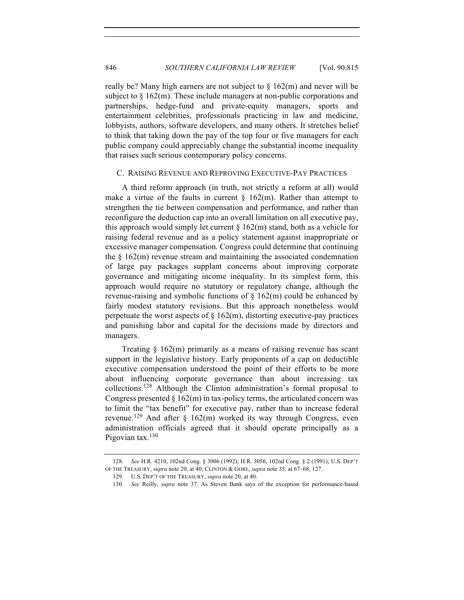really be? Many high earners are not subject to  $\S$  162(m) and never will be subject to  $\S$  162(m). These include managers at non-public corporations and partnerships, hedge-fund and private-equity managers, sports and entertainment celebrities, professionals practicing in law and medicine, lobbyists, authors, software developers, and many others. It stretches belief to think that taking down the pay of the top four or five managers for each public company could appreciably change the substantial income inequality that raises such serious contemporary policy concerns.

#### C. RAISING REVENUE AND REPROVING EXECUTIVE-PAY PRACTICES

A third reform approach (in truth, not strictly a reform at all) would make a virtue of the faults in current  $\S$  162(m). Rather than attempt to strengthen the tie between compensation and performance, and rather than reconfigure the deduction cap into an overall limitation on all executive pay, this approach would simply let current  $\S 162(m)$  stand, both as a vehicle for raising federal revenue and as a policy statement against inappropriate or excessive manager compensation. Congress could determine that continuing the  $\S$  162(m) revenue stream and maintaining the associated condemnation of large pay packages supplant concerns about improving corporate governance and mitigating income inequality. In its simplest form, this approach would require no statutory or regulatory change, although the revenue-raising and symbolic functions of  $\S$  162(m) could be enhanced by fairly modest statutory revisions. But this approach nonetheless would perpetuate the worst aspects of  $\S$  162(m), distorting executive-pay practices and punishing labor and capital for the decisions made by directors and managers.

Treating  $\S$  162(m) primarily as a means of raising revenue has scant support in the legislative history. Early proponents of a cap on deductible executive compensation understood the point of their efforts to be more about influencing corporate governance than about increasing tax collections.<sup>128</sup> Although the Clinton administration's formal proposal to Congress presented  $\S 162(m)$  in tax-policy terms, the articulated concern was to limit the "tax benefit" for executive pay, rather than to increase federal revenue.<sup>129</sup> And after  $\frac{162(m)}{m}$  worked its way through Congress, even administration officials agreed that it should operate principally as a Pigovian tax. $130$ 

<sup>128.</sup> *See* H.R. 4210, 102nd Cong. § 3006 (1992); H.R. 3056, 102nd Cong. § 2 (1991); U.S. DEP'T OF THE TREASURY, *supra* note 20, at 40; CLINTON & GORE, *supra* note 35, at 67–68, 127.

<sup>129.</sup> U.S. DEP'T OF THE TREASURY, *supra* note 20, at 40.

<sup>130.</sup> *See* Reilly, *supra* note 37. As Steven Bank says of the exception for performance-based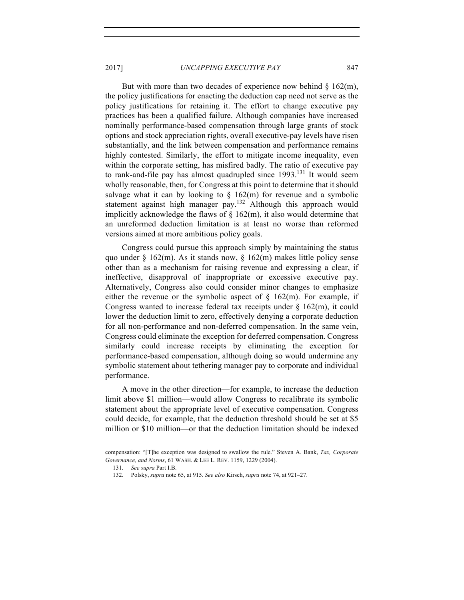But with more than two decades of experience now behind  $\S$  162(m), the policy justifications for enacting the deduction cap need not serve as the policy justifications for retaining it. The effort to change executive pay practices has been a qualified failure. Although companies have increased nominally performance-based compensation through large grants of stock options and stock appreciation rights, overall executive-pay levels have risen substantially, and the link between compensation and performance remains highly contested. Similarly, the effort to mitigate income inequality, even within the corporate setting, has misfired badly. The ratio of executive pay to rank-and-file pay has almost quadrupled since  $1993$ <sup> $131$ </sup> It would seem wholly reasonable, then, for Congress at this point to determine that it should salvage what it can by looking to  $\S$  162(m) for revenue and a symbolic statement against high manager pay.<sup>132</sup> Although this approach would implicitly acknowledge the flaws of  $\S$  162(m), it also would determine that an unreformed deduction limitation is at least no worse than reformed versions aimed at more ambitious policy goals.

Congress could pursue this approach simply by maintaining the status quo under  $\S$  162(m). As it stands now,  $\S$  162(m) makes little policy sense other than as a mechanism for raising revenue and expressing a clear, if ineffective, disapproval of inappropriate or excessive executive pay. Alternatively, Congress also could consider minor changes to emphasize either the revenue or the symbolic aspect of  $\S$  162(m). For example, if Congress wanted to increase federal tax receipts under  $\S$  162(m), it could lower the deduction limit to zero, effectively denying a corporate deduction for all non-performance and non-deferred compensation. In the same vein, Congress could eliminate the exception for deferred compensation. Congress similarly could increase receipts by eliminating the exception for performance-based compensation, although doing so would undermine any symbolic statement about tethering manager pay to corporate and individual performance.

A move in the other direction—for example, to increase the deduction limit above \$1 million—would allow Congress to recalibrate its symbolic statement about the appropriate level of executive compensation. Congress could decide, for example, that the deduction threshold should be set at \$5 million or \$10 million—or that the deduction limitation should be indexed

compensation: "[T]he exception was designed to swallow the rule." Steven A. Bank, *Tax, Corporate Governance, and Norms*, 61 WASH. & LEE L. REV. 1159, 1229 (2004).

<sup>131.</sup> *See supra* Part I.B.

<sup>132.</sup> Polsky, *supra* note 65, at 915. *See also* Kirsch, *supra* note 74, at 921–27.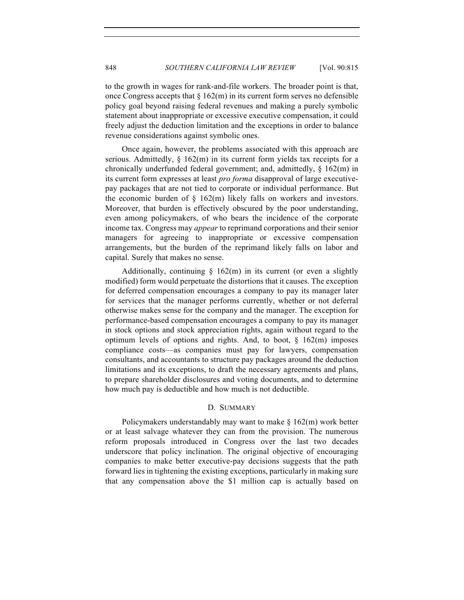to the growth in wages for rank-and-file workers. The broader point is that, once Congress accepts that  $\S 162(m)$  in its current form serves no defensible policy goal beyond raising federal revenues and making a purely symbolic statement about inappropriate or excessive executive compensation, it could freely adjust the deduction limitation and the exceptions in order to balance revenue considerations against symbolic ones.

Once again, however, the problems associated with this approach are serious. Admittedly,  $\S$  162(m) in its current form yields tax receipts for a chronically underfunded federal government; and, admittedly, § 162(m) in its current form expresses at least *pro forma* disapproval of large executivepay packages that are not tied to corporate or individual performance. But the economic burden of  $\S$  162(m) likely falls on workers and investors. Moreover, that burden is effectively obscured by the poor understanding, even among policymakers, of who bears the incidence of the corporate income tax. Congress may *appear* to reprimand corporations and their senior managers for agreeing to inappropriate or excessive compensation arrangements, but the burden of the reprimand likely falls on labor and capital. Surely that makes no sense.

Additionally, continuing  $\S$  162(m) in its current (or even a slightly modified) form would perpetuate the distortions that it causes. The exception for deferred compensation encourages a company to pay its manager later for services that the manager performs currently, whether or not deferral otherwise makes sense for the company and the manager. The exception for performance-based compensation encourages a company to pay its manager in stock options and stock appreciation rights, again without regard to the optimum levels of options and rights. And, to boot,  $\S$  162(m) imposes compliance costs—as companies must pay for lawyers, compensation consultants, and accountants to structure pay packages around the deduction limitations and its exceptions, to draft the necessary agreements and plans, to prepare shareholder disclosures and voting documents, and to determine how much pay is deductible and how much is not deductible.

## D. SUMMARY

Policymakers understandably may want to make  $\S 162(m)$  work better or at least salvage whatever they can from the provision. The numerous reform proposals introduced in Congress over the last two decades underscore that policy inclination. The original objective of encouraging companies to make better executive-pay decisions suggests that the path forward lies in tightening the existing exceptions, particularly in making sure that any compensation above the \$1 million cap is actually based on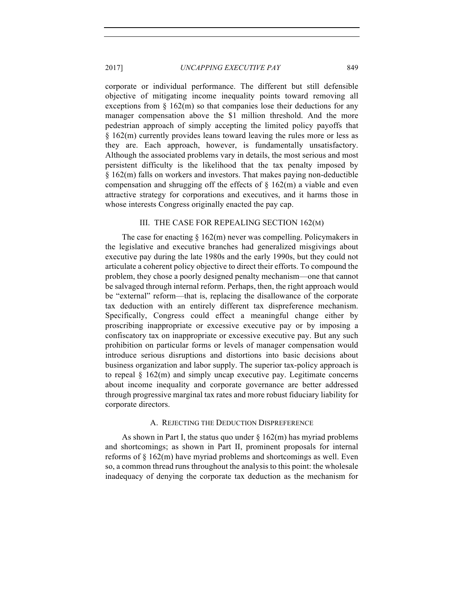corporate or individual performance. The different but still defensible objective of mitigating income inequality points toward removing all exceptions from  $\S$  162(m) so that companies lose their deductions for any manager compensation above the \$1 million threshold. And the more pedestrian approach of simply accepting the limited policy payoffs that § 162(m) currently provides leans toward leaving the rules more or less as they are. Each approach, however, is fundamentally unsatisfactory. Although the associated problems vary in details, the most serious and most persistent difficulty is the likelihood that the tax penalty imposed by § 162(m) falls on workers and investors. That makes paying non-deductible compensation and shrugging off the effects of  $\S$  162(m) a viable and even attractive strategy for corporations and executives, and it harms those in whose interests Congress originally enacted the pay cap.

#### III. THE CASE FOR REPEALING SECTION 162(M)

The case for enacting  $\S 162(m)$  never was compelling. Policymakers in the legislative and executive branches had generalized misgivings about executive pay during the late 1980s and the early 1990s, but they could not articulate a coherent policy objective to direct their efforts. To compound the problem, they chose a poorly designed penalty mechanism—one that cannot be salvaged through internal reform. Perhaps, then, the right approach would be "external" reform—that is, replacing the disallowance of the corporate tax deduction with an entirely different tax dispreference mechanism. Specifically, Congress could effect a meaningful change either by proscribing inappropriate or excessive executive pay or by imposing a confiscatory tax on inappropriate or excessive executive pay. But any such prohibition on particular forms or levels of manager compensation would introduce serious disruptions and distortions into basic decisions about business organization and labor supply. The superior tax-policy approach is to repeal  $\S$  162(m) and simply uncap executive pay. Legitimate concerns about income inequality and corporate governance are better addressed through progressive marginal tax rates and more robust fiduciary liability for corporate directors.

#### A. REJECTING THE DEDUCTION DISPREFERENCE

As shown in Part I, the status quo under  $\S 162(m)$  has myriad problems and shortcomings; as shown in Part II, prominent proposals for internal reforms of § 162(m) have myriad problems and shortcomings as well. Even so, a common thread runs throughout the analysis to this point: the wholesale inadequacy of denying the corporate tax deduction as the mechanism for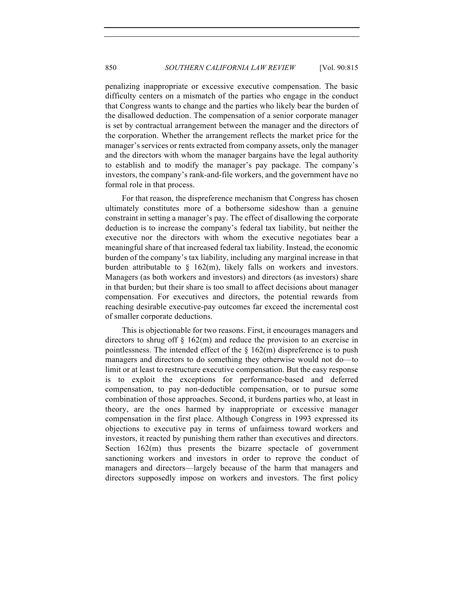penalizing inappropriate or excessive executive compensation. The basic difficulty centers on a mismatch of the parties who engage in the conduct that Congress wants to change and the parties who likely bear the burden of the disallowed deduction. The compensation of a senior corporate manager is set by contractual arrangement between the manager and the directors of the corporation. Whether the arrangement reflects the market price for the manager's services or rents extracted from company assets, only the manager and the directors with whom the manager bargains have the legal authority to establish and to modify the manager's pay package. The company's investors, the company's rank-and-file workers, and the government have no formal role in that process.

For that reason, the dispreference mechanism that Congress has chosen ultimately constitutes more of a bothersome sideshow than a genuine constraint in setting a manager's pay. The effect of disallowing the corporate deduction is to increase the company's federal tax liability, but neither the executive nor the directors with whom the executive negotiates bear a meaningful share of that increased federal tax liability. Instead, the economic burden of the company's tax liability, including any marginal increase in that burden attributable to  $\S$  162(m), likely falls on workers and investors. Managers (as both workers and investors) and directors (as investors) share in that burden; but their share is too small to affect decisions about manager compensation. For executives and directors, the potential rewards from reaching desirable executive-pay outcomes far exceed the incremental cost of smaller corporate deductions.

This is objectionable for two reasons. First, it encourages managers and directors to shrug off  $\S$  162(m) and reduce the provision to an exercise in pointlessness. The intended effect of the  $\S$  162(m) dispreference is to push managers and directors to do something they otherwise would not do—to limit or at least to restructure executive compensation. But the easy response is to exploit the exceptions for performance-based and deferred compensation, to pay non-deductible compensation, or to pursue some combination of those approaches. Second, it burdens parties who, at least in theory, are the ones harmed by inappropriate or excessive manager compensation in the first place. Although Congress in 1993 expressed its objections to executive pay in terms of unfairness toward workers and investors, it reacted by punishing them rather than executives and directors. Section 162(m) thus presents the bizarre spectacle of government sanctioning workers and investors in order to reprove the conduct of managers and directors—largely because of the harm that managers and directors supposedly impose on workers and investors. The first policy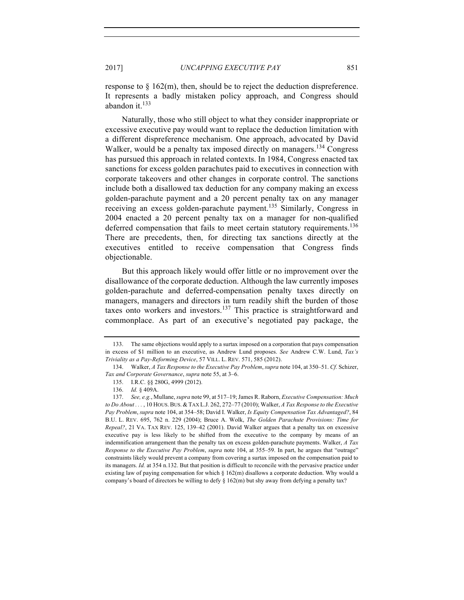response to  $\S 162(m)$ , then, should be to reject the deduction dispreference. It represents a badly mistaken policy approach, and Congress should abandon it. $133$ 

Naturally, those who still object to what they consider inappropriate or excessive executive pay would want to replace the deduction limitation with a different dispreference mechanism. One approach, advocated by David Walker, would be a penalty tax imposed directly on managers.<sup>134</sup> Congress has pursued this approach in related contexts. In 1984, Congress enacted tax sanctions for excess golden parachutes paid to executives in connection with corporate takeovers and other changes in corporate control. The sanctions include both a disallowed tax deduction for any company making an excess golden-parachute payment and a 20 percent penalty tax on any manager receiving an excess golden-parachute payment.<sup>135</sup> Similarly, Congress in 2004 enacted a 20 percent penalty tax on a manager for non-qualified deferred compensation that fails to meet certain statutory requirements.<sup>136</sup> There are precedents, then, for directing tax sanctions directly at the executives entitled to receive compensation that Congress finds objectionable.

But this approach likely would offer little or no improvement over the disallowance of the corporate deduction. Although the law currently imposes golden-parachute and deferred-compensation penalty taxes directly on managers, managers and directors in turn readily shift the burden of those taxes onto workers and investors.<sup>137</sup> This practice is straightforward and commonplace. As part of an executive's negotiated pay package, the

<sup>133.</sup> The same objections would apply to a surtax imposed on a corporation that pays compensation in excess of \$1 million to an executive, as Andrew Lund proposes. *See* Andrew C.W. Lund, *Tax's Triviality as a Pay-Reforming Device*, 57 VILL. L. REV. 571, 585 (2012).

<sup>134.</sup> Walker, *A Tax Response to the Executive Pay Problem*, *supra* note 104, at 350–51. *Cf.* Schizer, *Tax and Corporate Governance*, *supra* note 55, at 3–6.

<sup>135.</sup> I.R.C. §§ 280G, 4999 (2012).

<sup>136.</sup> *Id.* § 409A.

<sup>137.</sup> *See, e.g.*, Mullane, *supra* note 99, at 517–19; James R. Raborn, *Executive Compensation: Much to Do About . . .* , 10 HOUS.BUS. & TAX L.J. 262, 272–77 (2010); Walker, *A Tax Response to the Executive Pay Problem*, *supra* note 104, at 354–58; David I. Walker, *Is Equity Compensation Tax Advantaged?*, 84 B.U. L. REV. 695, 762 n. 229 (2004); Bruce A. Wolk, *The Golden Parachute Provisions: Time for Repeal?*, 21 VA. TAX REV. 125, 139–42 (2001). David Walker argues that a penalty tax on excessive executive pay is less likely to be shifted from the executive to the company by means of an indemnification arrangement than the penalty tax on excess golden-parachute payments. Walker, *A Tax Response to the Executive Pay Problem*, *supra* note 104, at 355–59. In part, he argues that "outrage" constraints likely would prevent a company from covering a surtax imposed on the compensation paid to its managers. *Id.* at 354 n.132. But that position is difficult to reconcile with the pervasive practice under existing law of paying compensation for which  $\S 162(m)$  disallows a corporate deduction. Why would a company's board of directors be willing to defy  $\S$  162(m) but shy away from defying a penalty tax?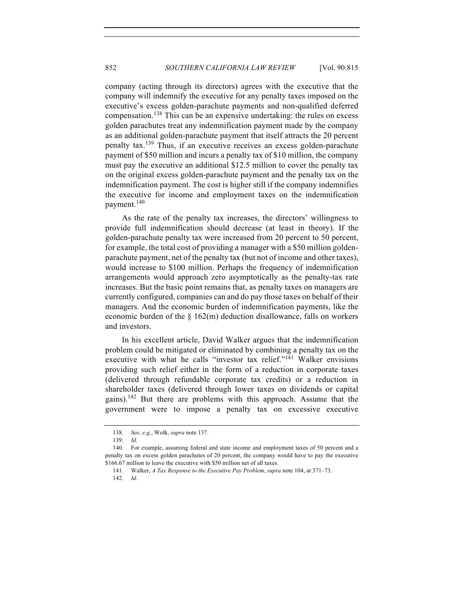company (acting through its directors) agrees with the executive that the company will indemnify the executive for any penalty taxes imposed on the executive's excess golden-parachute payments and non-qualified deferred compensation.<sup>138</sup> This can be an expensive undertaking: the rules on excess golden parachutes treat any indemnification payment made by the company as an additional golden-parachute payment that itself attracts the 20 percent penalty tax.139 Thus, if an executive receives an excess golden-parachute payment of \$50 million and incurs a penalty tax of \$10 million, the company must pay the executive an additional \$12.5 million to cover the penalty tax on the original excess golden-parachute payment and the penalty tax on the indemnification payment. The cost is higher still if the company indemnifies the executive for income and employment taxes on the indemnification payment.<sup>140</sup>

As the rate of the penalty tax increases, the directors' willingness to provide full indemnification should decrease (at least in theory). If the golden-parachute penalty tax were increased from 20 percent to 50 percent, for example, the total cost of providing a manager with a \$50 million goldenparachute payment, net of the penalty tax (but not of income and other taxes), would increase to \$100 million. Perhaps the frequency of indemnification arrangements would approach zero asymptotically as the penalty-tax rate increases. But the basic point remains that, as penalty taxes on managers are currently configured, companies can and do pay those taxes on behalf of their managers. And the economic burden of indemnification payments, like the economic burden of the § 162(m) deduction disallowance, falls on workers and investors.

In his excellent article, David Walker argues that the indemnification problem could be mitigated or eliminated by combining a penalty tax on the executive with what he calls "investor tax relief."<sup>141</sup> Walker envisions providing such relief either in the form of a reduction in corporate taxes (delivered through refundable corporate tax credits) or a reduction in shareholder taxes (delivered through lower taxes on dividends or capital gains).<sup>142</sup> But there are problems with this approach. Assume that the government were to impose a penalty tax on excessive executive

<sup>138.</sup> *See, e.g.*, Wolk, *supra* note 137.

<sup>139.</sup> *Id.*

<sup>140.</sup> For example, assuming federal and state income and employment taxes of 50 percent and a penalty tax on excess golden parachutes of 20 percent, the company would have to pay the executive \$166.67 million to leave the executive with \$50 million net of all taxes.

<sup>141.</sup> Walker, *A Tax Response to the Executive Pay Problem*, *supra* note 104, at 371–73.

<sup>142.</sup> *Id*.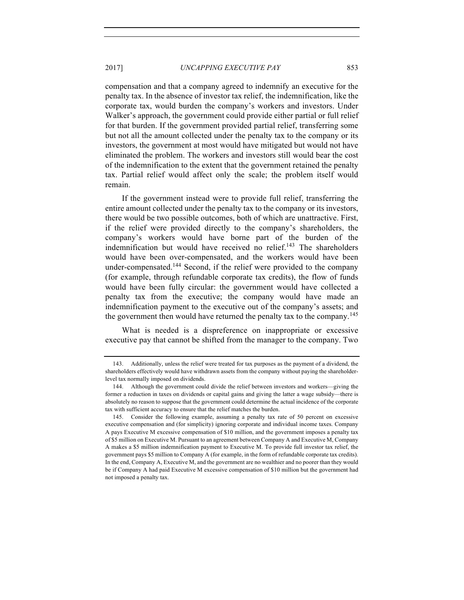compensation and that a company agreed to indemnify an executive for the penalty tax. In the absence of investor tax relief, the indemnification, like the corporate tax, would burden the company's workers and investors. Under Walker's approach, the government could provide either partial or full relief for that burden. If the government provided partial relief, transferring some but not all the amount collected under the penalty tax to the company or its investors, the government at most would have mitigated but would not have eliminated the problem. The workers and investors still would bear the cost of the indemnification to the extent that the government retained the penalty tax. Partial relief would affect only the scale; the problem itself would remain.

If the government instead were to provide full relief, transferring the entire amount collected under the penalty tax to the company or its investors, there would be two possible outcomes, both of which are unattractive. First, if the relief were provided directly to the company's shareholders, the company's workers would have borne part of the burden of the indemnification but would have received no relief.<sup>143</sup> The shareholders would have been over-compensated, and the workers would have been under-compensated.144 Second, if the relief were provided to the company (for example, through refundable corporate tax credits), the flow of funds would have been fully circular: the government would have collected a penalty tax from the executive; the company would have made an indemnification payment to the executive out of the company's assets; and the government then would have returned the penalty tax to the company.<sup>145</sup>

What is needed is a dispreference on inappropriate or excessive executive pay that cannot be shifted from the manager to the company. Two

<sup>143.</sup> Additionally, unless the relief were treated for tax purposes as the payment of a dividend, the shareholders effectively would have withdrawn assets from the company without paying the shareholderlevel tax normally imposed on dividends.

<sup>144.</sup> Although the government could divide the relief between investors and workers—giving the former a reduction in taxes on dividends or capital gains and giving the latter a wage subsidy—there is absolutely no reason to suppose that the government could determine the actual incidence of the corporate tax with sufficient accuracy to ensure that the relief matches the burden.

<sup>145.</sup> Consider the following example, assuming a penalty tax rate of 50 percent on excessive executive compensation and (for simplicity) ignoring corporate and individual income taxes. Company A pays Executive M excessive compensation of \$10 million, and the government imposes a penalty tax of \$5 million on Executive M. Pursuant to an agreement between Company A and Executive M, Company A makes a \$5 million indemnification payment to Executive M. To provide full investor tax relief, the government pays \$5 million to Company A (for example, in the form of refundable corporate tax credits). In the end, Company A, Executive M, and the government are no wealthier and no poorer than they would be if Company A had paid Executive M excessive compensation of \$10 million but the government had not imposed a penalty tax.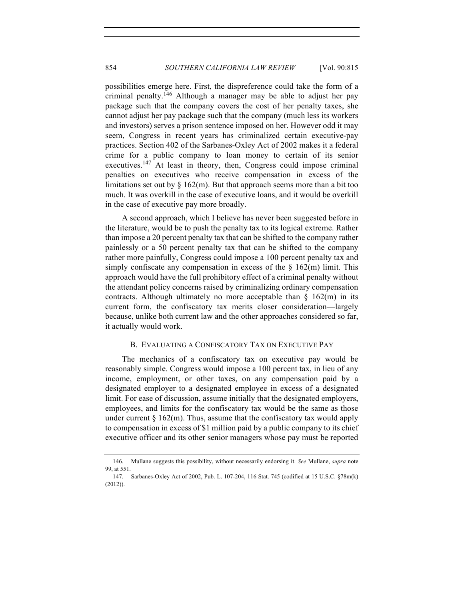possibilities emerge here. First, the dispreference could take the form of a criminal penalty.<sup>146</sup> Although a manager may be able to adjust her pay package such that the company covers the cost of her penalty taxes, she cannot adjust her pay package such that the company (much less its workers and investors) serves a prison sentence imposed on her. However odd it may seem, Congress in recent years has criminalized certain executive-pay practices. Section 402 of the Sarbanes-Oxley Act of 2002 makes it a federal crime for a public company to loan money to certain of its senior executives.<sup>147</sup> At least in theory, then, Congress could impose criminal penalties on executives who receive compensation in excess of the limitations set out by  $\S 162(m)$ . But that approach seems more than a bit too much. It was overkill in the case of executive loans, and it would be overkill in the case of executive pay more broadly.

A second approach, which I believe has never been suggested before in the literature, would be to push the penalty tax to its logical extreme. Rather than impose a 20 percent penalty tax that can be shifted to the company rather painlessly or a 50 percent penalty tax that can be shifted to the company rather more painfully, Congress could impose a 100 percent penalty tax and simply confiscate any compensation in excess of the  $\S$  162(m) limit. This approach would have the full prohibitory effect of a criminal penalty without the attendant policy concerns raised by criminalizing ordinary compensation contracts. Although ultimately no more acceptable than  $\S$  162(m) in its current form, the confiscatory tax merits closer consideration—largely because, unlike both current law and the other approaches considered so far, it actually would work.

## B. EVALUATING A CONFISCATORY TAX ON EXECUTIVE PAY

The mechanics of a confiscatory tax on executive pay would be reasonably simple. Congress would impose a 100 percent tax, in lieu of any income, employment, or other taxes, on any compensation paid by a designated employer to a designated employee in excess of a designated limit. For ease of discussion, assume initially that the designated employers, employees, and limits for the confiscatory tax would be the same as those under current  $\S$  162(m). Thus, assume that the confiscatory tax would apply to compensation in excess of \$1 million paid by a public company to its chief executive officer and its other senior managers whose pay must be reported

<sup>146.</sup> Mullane suggests this possibility, without necessarily endorsing it. *See* Mullane, *supra* note 99, at 551.

<sup>147.</sup> Sarbanes-Oxley Act of 2002, Pub. L. 107-204, 116 Stat. 745 (codified at 15 U.S.C. §78m(k) (2012)).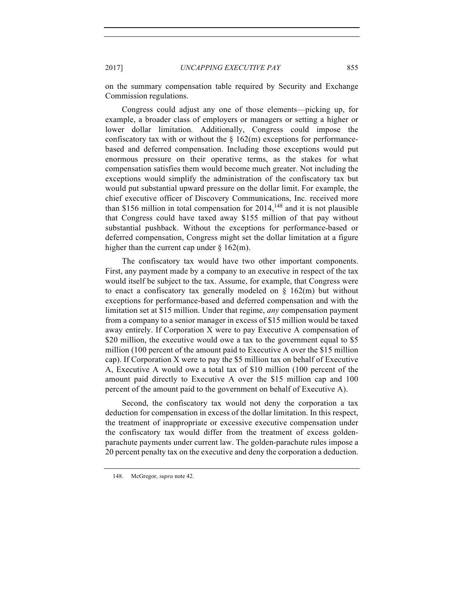on the summary compensation table required by Security and Exchange Commission regulations.

Congress could adjust any one of those elements—picking up, for example, a broader class of employers or managers or setting a higher or lower dollar limitation. Additionally, Congress could impose the confiscatory tax with or without the  $\S$  162(m) exceptions for performancebased and deferred compensation. Including those exceptions would put enormous pressure on their operative terms, as the stakes for what compensation satisfies them would become much greater. Not including the exceptions would simplify the administration of the confiscatory tax but would put substantial upward pressure on the dollar limit. For example, the chief executive officer of Discovery Communications, Inc. received more than \$156 million in total compensation for  $2014$ , <sup>148</sup> and it is not plausible that Congress could have taxed away \$155 million of that pay without substantial pushback. Without the exceptions for performance-based or deferred compensation, Congress might set the dollar limitation at a figure higher than the current cap under  $\S$  162(m).

The confiscatory tax would have two other important components. First, any payment made by a company to an executive in respect of the tax would itself be subject to the tax. Assume, for example, that Congress were to enact a confiscatory tax generally modeled on  $\S$  162(m) but without exceptions for performance-based and deferred compensation and with the limitation set at \$15 million. Under that regime, *any* compensation payment from a company to a senior manager in excess of \$15 million would be taxed away entirely. If Corporation X were to pay Executive A compensation of \$20 million, the executive would owe a tax to the government equal to \$5 million (100 percent of the amount paid to Executive A over the \$15 million cap). If Corporation X were to pay the \$5 million tax on behalf of Executive A, Executive A would owe a total tax of \$10 million (100 percent of the amount paid directly to Executive A over the \$15 million cap and 100 percent of the amount paid to the government on behalf of Executive A).

Second, the confiscatory tax would not deny the corporation a tax deduction for compensation in excess of the dollar limitation. In this respect, the treatment of inappropriate or excessive executive compensation under the confiscatory tax would differ from the treatment of excess goldenparachute payments under current law. The golden-parachute rules impose a 20 percent penalty tax on the executive and deny the corporation a deduction.

<sup>148.</sup> McGregor, *supra* note 42.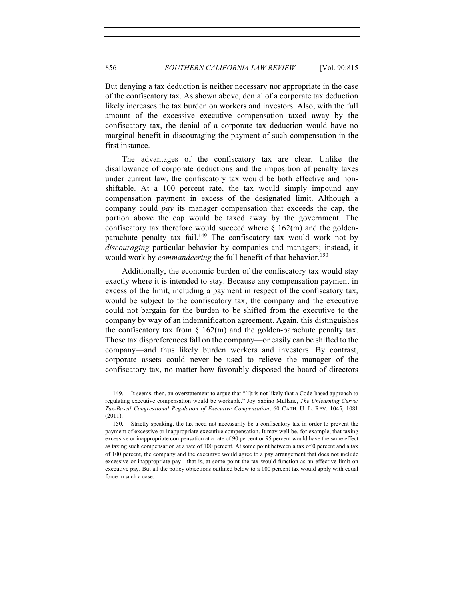But denying a tax deduction is neither necessary nor appropriate in the case of the confiscatory tax. As shown above, denial of a corporate tax deduction likely increases the tax burden on workers and investors. Also, with the full amount of the excessive executive compensation taxed away by the confiscatory tax, the denial of a corporate tax deduction would have no marginal benefit in discouraging the payment of such compensation in the first instance.

The advantages of the confiscatory tax are clear. Unlike the disallowance of corporate deductions and the imposition of penalty taxes under current law, the confiscatory tax would be both effective and nonshiftable. At a 100 percent rate, the tax would simply impound any compensation payment in excess of the designated limit. Although a company could *pay* its manager compensation that exceeds the cap, the portion above the cap would be taxed away by the government. The confiscatory tax therefore would succeed where  $\S$  162(m) and the goldenparachute penalty tax fail.<sup>149</sup> The confiscatory tax would work not by *discouraging* particular behavior by companies and managers; instead, it would work by *commandeering* the full benefit of that behavior.<sup>150</sup>

Additionally, the economic burden of the confiscatory tax would stay exactly where it is intended to stay. Because any compensation payment in excess of the limit, including a payment in respect of the confiscatory tax, would be subject to the confiscatory tax, the company and the executive could not bargain for the burden to be shifted from the executive to the company by way of an indemnification agreement. Again, this distinguishes the confiscatory tax from  $\S$  162(m) and the golden-parachute penalty tax. Those tax dispreferences fall on the company—or easily can be shifted to the company—and thus likely burden workers and investors. By contrast, corporate assets could never be used to relieve the manager of the confiscatory tax, no matter how favorably disposed the board of directors

<sup>149.</sup> It seems, then, an overstatement to argue that "[i]t is not likely that a Code-based approach to regulating executive compensation would be workable." Joy Sabino Mullane, *The Unlearning Curve: Tax-Based Congressional Regulation of Executive Compensation*, 60 CATH. U. L. REV. 1045, 1081 (2011).

<sup>150.</sup> Strictly speaking, the tax need not necessarily be a confiscatory tax in order to prevent the payment of excessive or inappropriate executive compensation. It may well be, for example, that taxing excessive or inappropriate compensation at a rate of 90 percent or 95 percent would have the same effect as taxing such compensation at a rate of 100 percent. At some point between a tax of 0 percent and a tax of 100 percent, the company and the executive would agree to a pay arrangement that does not include excessive or inappropriate pay—that is, at some point the tax would function as an effective limit on executive pay. But all the policy objections outlined below to a 100 percent tax would apply with equal force in such a case.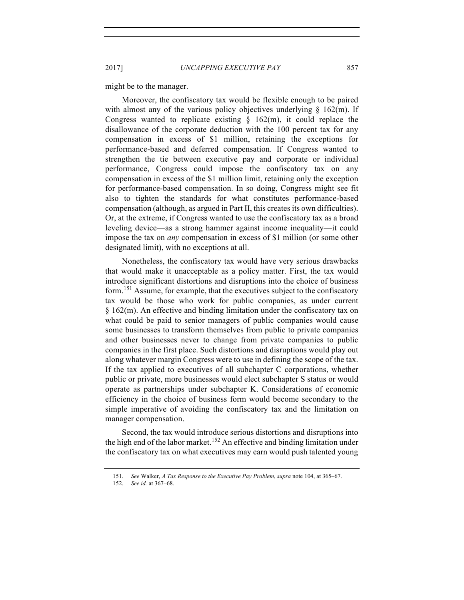might be to the manager.

Moreover, the confiscatory tax would be flexible enough to be paired with almost any of the various policy objectives underlying  $\S$  162(m). If Congress wanted to replicate existing  $\S$  162(m), it could replace the disallowance of the corporate deduction with the 100 percent tax for any compensation in excess of \$1 million, retaining the exceptions for performance-based and deferred compensation. If Congress wanted to strengthen the tie between executive pay and corporate or individual performance, Congress could impose the confiscatory tax on any compensation in excess of the \$1 million limit, retaining only the exception for performance-based compensation. In so doing, Congress might see fit also to tighten the standards for what constitutes performance-based compensation (although, as argued in Part II, this creates its own difficulties). Or, at the extreme, if Congress wanted to use the confiscatory tax as a broad leveling device—as a strong hammer against income inequality—it could impose the tax on *any* compensation in excess of \$1 million (or some other designated limit), with no exceptions at all.

Nonetheless, the confiscatory tax would have very serious drawbacks that would make it unacceptable as a policy matter. First, the tax would introduce significant distortions and disruptions into the choice of business form.<sup>151</sup> Assume, for example, that the executives subject to the confiscatory tax would be those who work for public companies, as under current § 162(m). An effective and binding limitation under the confiscatory tax on what could be paid to senior managers of public companies would cause some businesses to transform themselves from public to private companies and other businesses never to change from private companies to public companies in the first place. Such distortions and disruptions would play out along whatever margin Congress were to use in defining the scope of the tax. If the tax applied to executives of all subchapter C corporations, whether public or private, more businesses would elect subchapter S status or would operate as partnerships under subchapter K. Considerations of economic efficiency in the choice of business form would become secondary to the simple imperative of avoiding the confiscatory tax and the limitation on manager compensation.

Second, the tax would introduce serious distortions and disruptions into the high end of the labor market.<sup>152</sup> An effective and binding limitation under the confiscatory tax on what executives may earn would push talented young

<sup>151.</sup> *See* Walker, *A Tax Response to the Executive Pay Problem*, *supra* note 104, at 365–67.

<sup>152.</sup> *See id.* at 367–68.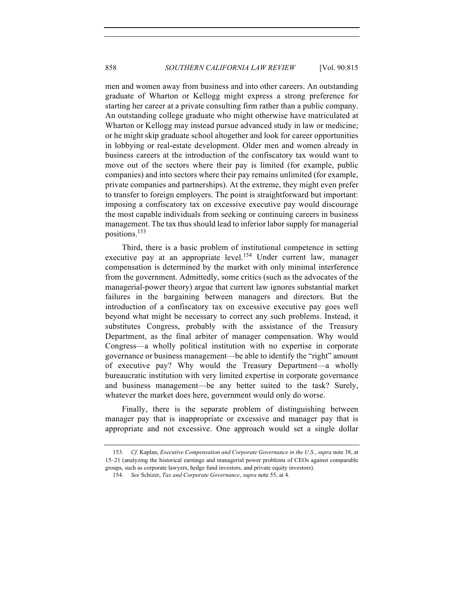men and women away from business and into other careers. An outstanding graduate of Wharton or Kellogg might express a strong preference for starting her career at a private consulting firm rather than a public company. An outstanding college graduate who might otherwise have matriculated at Wharton or Kellogg may instead pursue advanced study in law or medicine; or he might skip graduate school altogether and look for career opportunities in lobbying or real-estate development. Older men and women already in business careers at the introduction of the confiscatory tax would want to move out of the sectors where their pay is limited (for example, public companies) and into sectors where their pay remains unlimited (for example, private companies and partnerships). At the extreme, they might even prefer to transfer to foreign employers. The point is straightforward but important: imposing a confiscatory tax on excessive executive pay would discourage the most capable individuals from seeking or continuing careers in business management. The tax thus should lead to inferior labor supply for managerial positions.<sup>153</sup>

Third, there is a basic problem of institutional competence in setting executive pay at an appropriate level.<sup>154</sup> Under current law, manager compensation is determined by the market with only minimal interference from the government. Admittedly, some critics (such as the advocates of the managerial-power theory) argue that current law ignores substantial market failures in the bargaining between managers and directors. But the introduction of a confiscatory tax on excessive executive pay goes well beyond what might be necessary to correct any such problems. Instead, it substitutes Congress, probably with the assistance of the Treasury Department, as the final arbiter of manager compensation. Why would Congress—a wholly political institution with no expertise in corporate governance or business management—be able to identify the "right" amount of executive pay? Why would the Treasury Department—a wholly bureaucratic institution with very limited expertise in corporate governance and business management—be any better suited to the task? Surely, whatever the market does here, government would only do worse.

Finally, there is the separate problem of distinguishing between manager pay that is inappropriate or excessive and manager pay that is appropriate and not excessive. One approach would set a single dollar

<sup>153.</sup> *Cf.* Kaplan, *Executive Compensation and Corporate Governance in the U.S.*, *supra* note 38, at 15–21 (analyzing the historical earnings and managerial power problems of CEOs against comparable groups, such as corporate lawyers, hedge fund investors, and private equity investors).

<sup>154.</sup> *See* Schizer, *Tax and Corporate Governance*, *supra* note 55, at 4.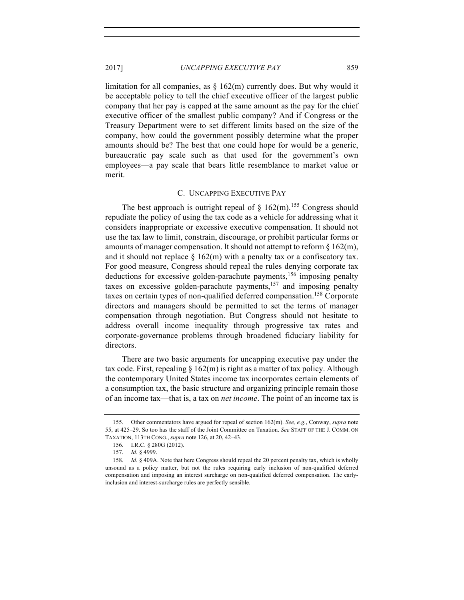limitation for all companies, as  $\S$  162(m) currently does. But why would it be acceptable policy to tell the chief executive officer of the largest public company that her pay is capped at the same amount as the pay for the chief executive officer of the smallest public company? And if Congress or the Treasury Department were to set different limits based on the size of the company, how could the government possibly determine what the proper amounts should be? The best that one could hope for would be a generic, bureaucratic pay scale such as that used for the government's own employees—a pay scale that bears little resemblance to market value or merit.

## C. UNCAPPING EXECUTIVE PAY

The best approach is outright repeal of  $\S$  162(m).<sup>155</sup> Congress should repudiate the policy of using the tax code as a vehicle for addressing what it considers inappropriate or excessive executive compensation. It should not use the tax law to limit, constrain, discourage, or prohibit particular forms or amounts of manager compensation. It should not attempt to reform  $\S 162(m)$ , and it should not replace  $\S$  162(m) with a penalty tax or a confiscatory tax. For good measure, Congress should repeal the rules denying corporate tax deductions for excessive golden-parachute payments,<sup>156</sup> imposing penalty taxes on excessive golden-parachute payments,  $157$  and imposing penalty taxes on certain types of non-qualified deferred compensation.<sup>158</sup> Corporate directors and managers should be permitted to set the terms of manager compensation through negotiation. But Congress should not hesitate to address overall income inequality through progressive tax rates and corporate-governance problems through broadened fiduciary liability for directors.

There are two basic arguments for uncapping executive pay under the tax code. First, repealing  $\S 162(m)$  is right as a matter of tax policy. Although the contemporary United States income tax incorporates certain elements of a consumption tax, the basic structure and organizing principle remain those of an income tax—that is, a tax on *net income*. The point of an income tax is

<sup>155.</sup> Other commentators have argued for repeal of section 162(m). *See, e.g.*, Conway, *supra* note 55, at 425–29. So too has the staff of the Joint Committee on Taxation. *See* STAFF OF THE J. COMM. ON TAXATION, 113TH CONG., *supra* note 126, at 20, 42–43.

<sup>156.</sup> I.R.C. § 280G (2012).

<sup>157.</sup> *Id.* § 4999.

<sup>158.</sup> *Id.* § 409A. Note that here Congress should repeal the 20 percent penalty tax, which is wholly unsound as a policy matter, but not the rules requiring early inclusion of non-qualified deferred compensation and imposing an interest surcharge on non-qualified deferred compensation. The earlyinclusion and interest-surcharge rules are perfectly sensible.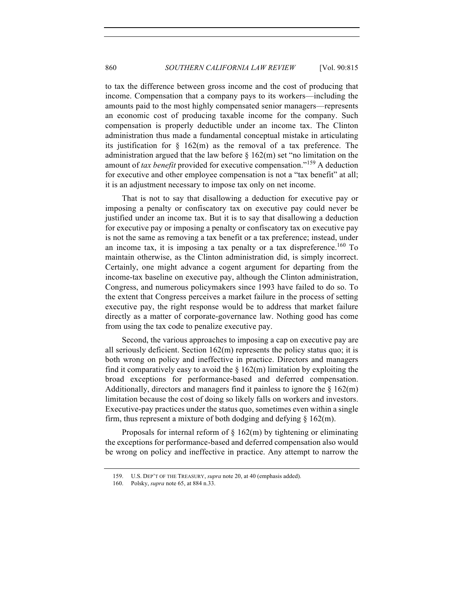to tax the difference between gross income and the cost of producing that income. Compensation that a company pays to its workers—including the amounts paid to the most highly compensated senior managers—represents an economic cost of producing taxable income for the company. Such compensation is properly deductible under an income tax. The Clinton administration thus made a fundamental conceptual mistake in articulating its justification for  $\S$  162(m) as the removal of a tax preference. The administration argued that the law before  $\S 162(m)$  set "no limitation on the amount of *tax benefit* provided for executive compensation."<sup>159</sup> A deduction for executive and other employee compensation is not a "tax benefit" at all; it is an adjustment necessary to impose tax only on net income.

That is not to say that disallowing a deduction for executive pay or imposing a penalty or confiscatory tax on executive pay could never be justified under an income tax. But it is to say that disallowing a deduction for executive pay or imposing a penalty or confiscatory tax on executive pay is not the same as removing a tax benefit or a tax preference; instead, under an income tax, it is imposing a tax penalty or a tax dispreference.<sup>160</sup> To maintain otherwise, as the Clinton administration did, is simply incorrect. Certainly, one might advance a cogent argument for departing from the income-tax baseline on executive pay, although the Clinton administration, Congress, and numerous policymakers since 1993 have failed to do so. To the extent that Congress perceives a market failure in the process of setting executive pay, the right response would be to address that market failure directly as a matter of corporate-governance law. Nothing good has come from using the tax code to penalize executive pay.

Second, the various approaches to imposing a cap on executive pay are all seriously deficient. Section 162(m) represents the policy status quo; it is both wrong on policy and ineffective in practice. Directors and managers find it comparatively easy to avoid the  $\S$  162(m) limitation by exploiting the broad exceptions for performance-based and deferred compensation. Additionally, directors and managers find it painless to ignore the  $\S$  162(m) limitation because the cost of doing so likely falls on workers and investors. Executive-pay practices under the status quo, sometimes even within a single firm, thus represent a mixture of both dodging and defying  $\S$  162(m).

Proposals for internal reform of  $\S 162(m)$  by tightening or eliminating the exceptions for performance-based and deferred compensation also would be wrong on policy and ineffective in practice. Any attempt to narrow the

<sup>159.</sup> U.S. DEP'T OF THE TREASURY, *supra* note 20, at 40 (emphasis added).

<sup>160.</sup> Polsky, *supra* note 65, at 884 n.33.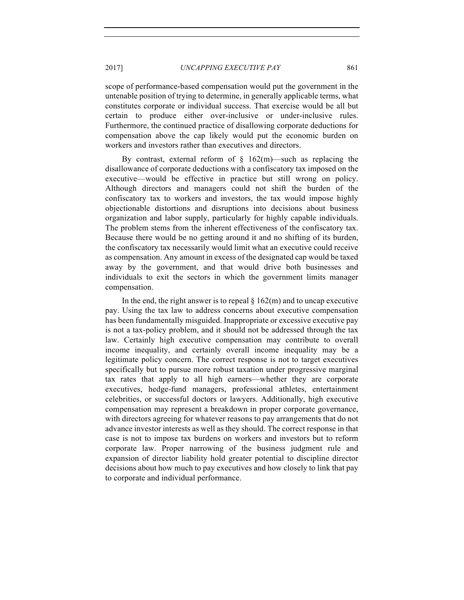scope of performance-based compensation would put the government in the untenable position of trying to determine, in generally applicable terms, what constitutes corporate or individual success. That exercise would be all but certain to produce either over-inclusive or under-inclusive rules. Furthermore, the continued practice of disallowing corporate deductions for compensation above the cap likely would put the economic burden on workers and investors rather than executives and directors.

By contrast, external reform of  $\S$  162(m)—such as replacing the disallowance of corporate deductions with a confiscatory tax imposed on the executive—would be effective in practice but still wrong on policy. Although directors and managers could not shift the burden of the confiscatory tax to workers and investors, the tax would impose highly objectionable distortions and disruptions into decisions about business organization and labor supply, particularly for highly capable individuals. The problem stems from the inherent effectiveness of the confiscatory tax. Because there would be no getting around it and no shifting of its burden, the confiscatory tax necessarily would limit what an executive could receive as compensation. Any amount in excess of the designated cap would be taxed away by the government, and that would drive both businesses and individuals to exit the sectors in which the government limits manager compensation.

In the end, the right answer is to repeal  $\S 162(m)$  and to uncap executive pay. Using the tax law to address concerns about executive compensation has been fundamentally misguided. Inappropriate or excessive executive pay is not a tax-policy problem, and it should not be addressed through the tax law. Certainly high executive compensation may contribute to overall income inequality, and certainly overall income inequality may be a legitimate policy concern. The correct response is not to target executives specifically but to pursue more robust taxation under progressive marginal tax rates that apply to all high earners—whether they are corporate executives, hedge-fund managers, professional athletes, entertainment celebrities, or successful doctors or lawyers. Additionally, high executive compensation may represent a breakdown in proper corporate governance, with directors agreeing for whatever reasons to pay arrangements that do not advance investor interests as well as they should. The correct response in that case is not to impose tax burdens on workers and investors but to reform corporate law. Proper narrowing of the business judgment rule and expansion of director liability hold greater potential to discipline director decisions about how much to pay executives and how closely to link that pay to corporate and individual performance.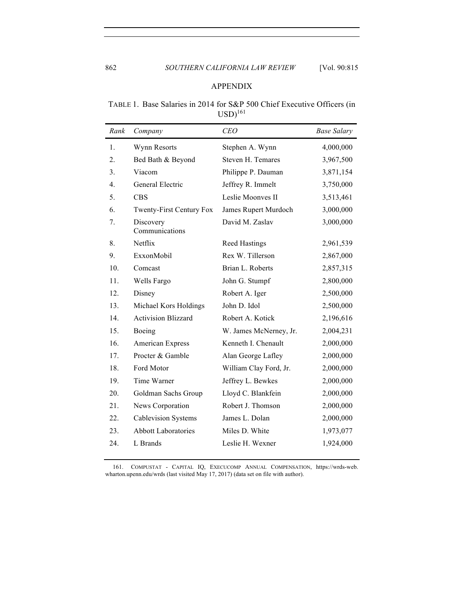# APPENDIX

# TABLE 1. Base Salaries in 2014 for S&P 500 Chief Executive Officers (in  $\text{USD}^{161}$

| Rank | Company                     | <b>CEO</b>             | <b>Base Salary</b> |
|------|-----------------------------|------------------------|--------------------|
| 1.   | Wynn Resorts                | Stephen A. Wynn        | 4,000,000          |
| 2.   | Bed Bath & Beyond           | Steven H. Temares      | 3,967,500          |
| 3.   | Viacom                      | Philippe P. Dauman     | 3,871,154          |
| 4.   | General Electric            | Jeffrey R. Immelt      | 3,750,000          |
| 5.   | <b>CBS</b>                  | Leslie Moonves II      | 3,513,461          |
| 6.   | Twenty-First Century Fox    | James Rupert Murdoch   | 3,000,000          |
| 7.   | Discovery<br>Communications | David M. Zaslav        | 3,000,000          |
| 8.   | Netflix                     | <b>Reed Hastings</b>   | 2,961,539          |
| 9.   | ExxonMobil                  | Rex W. Tillerson       | 2,867,000          |
| 10.  | Comcast                     | Brian L. Roberts       | 2,857,315          |
| 11.  | Wells Fargo                 | John G. Stumpf         | 2,800,000          |
| 12.  | Disney                      | Robert A. Iger         | 2,500,000          |
| 13.  | Michael Kors Holdings       | John D. Idol           | 2,500,000          |
| 14.  | <b>Activision Blizzard</b>  | Robert A. Kotick       | 2,196,616          |
| 15.  | Boeing                      | W. James McNerney, Jr. | 2,004,231          |
| 16.  | American Express            | Kenneth I. Chenault    | 2,000,000          |
| 17.  | Procter & Gamble            | Alan George Lafley     | 2,000,000          |
| 18.  | Ford Motor                  | William Clay Ford, Jr. | 2,000,000          |
| 19.  | Time Warner                 | Jeffrey L. Bewkes      | 2,000,000          |
| 20.  | Goldman Sachs Group         | Lloyd C. Blankfein     | 2,000,000          |
| 21.  | News Corporation            | Robert J. Thomson      | 2,000,000          |
| 22.  | <b>Cablevision Systems</b>  | James L. Dolan         | 2,000,000          |
| 23.  | <b>Abbott Laboratories</b>  | Miles D. White         | 1,973,077          |
| 24.  | L Brands                    | Leslie H. Wexner       | 1,924,000          |

161. COMPUSTAT - CAPITAL IQ, EXECUCOMP ANNUAL COMPENSATION, https://wrds-web. wharton.upenn.edu/wrds (last visited May 17, 2017) (data set on file with author).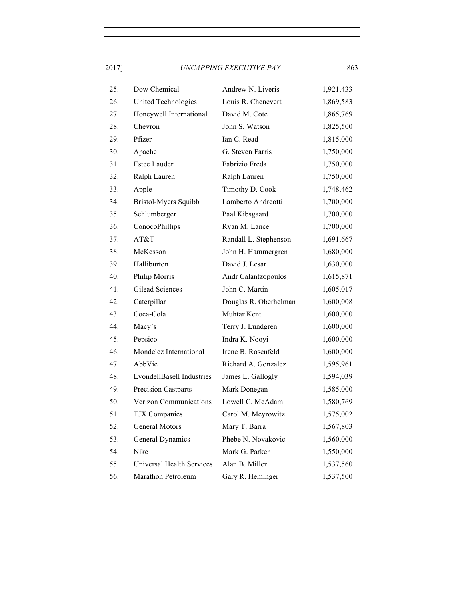| 25. | Dow Chemical               | Andrew N. Liveris     | 1,921,433 |
|-----|----------------------------|-----------------------|-----------|
| 26. | United Technologies        | Louis R. Chenevert    | 1,869,583 |
| 27. | Honeywell International    | David M. Cote         | 1,865,769 |
| 28. | Chevron                    | John S. Watson        | 1,825,500 |
| 29. | Pfizer                     | Ian C. Read           | 1,815,000 |
| 30. | Apache                     | G. Steven Farris      | 1,750,000 |
| 31. | Estee Lauder               | Fabrizio Freda        | 1,750,000 |
| 32. | Ralph Lauren               | Ralph Lauren          | 1,750,000 |
| 33. | Apple                      | Timothy D. Cook       | 1,748,462 |
| 34. | Bristol-Myers Squibb       | Lamberto Andreotti    | 1,700,000 |
| 35. | Schlumberger               | Paal Kibsgaard        | 1,700,000 |
| 36. | ConocoPhillips             | Ryan M. Lance         | 1,700,000 |
| 37. | AT&T                       | Randall L. Stephenson | 1,691,667 |
| 38. | McKesson                   | John H. Hammergren    | 1,680,000 |
| 39. | Halliburton                | David J. Lesar        | 1,630,000 |
| 40. | Philip Morris              | Andr Calantzopoulos   | 1,615,871 |
| 41. | <b>Gilead Sciences</b>     | John C. Martin        | 1,605,017 |
| 42. | Caterpillar                | Douglas R. Oberhelman | 1,600,008 |
| 43. | Coca-Cola                  | Muhtar Kent           | 1,600,000 |
| 44. | Macy's                     | Terry J. Lundgren     | 1,600,000 |
| 45. | Pepsico                    | Indra K. Nooyi        | 1,600,000 |
| 46. | Mondelez International     | Irene B. Rosenfeld    | 1,600,000 |
| 47. | AbbVie                     | Richard A. Gonzalez   | 1,595,961 |
| 48. | LyondellBasell Industries  | James L. Gallogly     | 1,594,039 |
| 49. | <b>Precision Castparts</b> | Mark Donegan          | 1,585,000 |
| 50. | Verizon Communications     | Lowell C. McAdam      | 1,580,769 |
| 51. | <b>TJX</b> Companies       | Carol M. Meyrowitz    | 1,575,002 |
| 52. | General Motors             | Mary T. Barra         | 1,567,803 |
| 53. | General Dynamics           | Phebe N. Novakovic    | 1,560,000 |
| 54. | Nike                       | Mark G. Parker        | 1,550,000 |
| 55. | Universal Health Services  | Alan B. Miller        | 1,537,560 |
| 56. | Marathon Petroleum         | Gary R. Heminger      | 1,537,500 |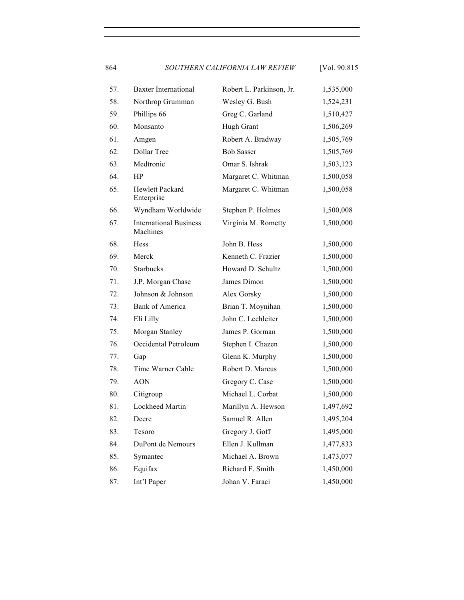864 *SOUTHERN CALIFORNIA LAW REVIEW* [Vol. 90:815

57. Baxter International Robert L. Parkinson, Jr. 1,535,000 58. Northrop Grumman Wesley G. Bush 1,524,231 59. Phillips 66 Greg C. Garland 1,510,427 60. Monsanto Hugh Grant 1,506,269 61. Amgen Robert A. Bradway 1,505,769 62. Dollar Tree Bob Sasser 1,505,769 63. Medtronic Omar S. Ishrak 1,503,123 64. HP Margaret C. Whitman 1,500,058 65. Hewlett Packard Enterprise Margaret C. Whitman 1,500,058 66. Wyndham Worldwide Stephen P. Holmes 1,500,008 67. International Business Machines Virginia M. Rometty 1,500,000 68. Hess John B. Hess 1,500,000 69. Merck Kenneth C. Frazier 1,500,000 70. Starbucks Howard D. Schultz 1,500,000 71. J.P. Morgan Chase James Dimon 1,500,000 72. Johnson & Johnson Alex Gorsky 1,500,000 73. Bank of America Brian T. Moynihan 1,500,000 74. Eli Lilly John C. Lechleiter 1,500,000 75. Morgan Stanley James P. Gorman 1,500,000 76. Occidental Petroleum Stephen I. Chazen 1,500,000 77. Gap Glenn K. Murphy 1,500,000 78. Time Warner Cable Robert D. Marcus 1,500,000 79. AON Gregory C. Case 1,500,000 80. Citigroup Michael L. Corbat 1,500,000 81. Lockheed Martin Marillyn A. Hewson 1,497,692 82. Deere Samuel R. Allen 1,495,204 83. Tesoro Gregory J. Goff 1,495,000 84. DuPont de Nemours Ellen J. Kullman 1,477,833 85. Symantec Michael A. Brown 1,473,077 86. Equifax Richard F. Smith 1,450,000 87. Int'l Paper Johan V. Faraci 1,450,000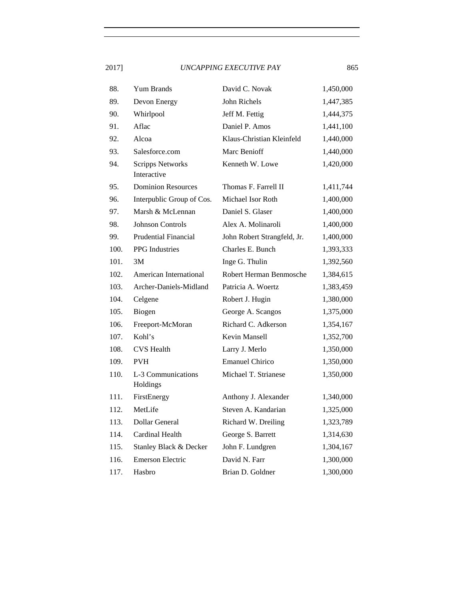| 88.  | <b>Yum Brands</b>                      | David C. Novak              | 1,450,000 |
|------|----------------------------------------|-----------------------------|-----------|
| 89.  | Devon Energy                           | John Richels                | 1,447,385 |
| 90.  | Whirlpool                              | Jeff M. Fettig              | 1,444,375 |
| 91.  | Aflac                                  | Daniel P. Amos              | 1,441,100 |
| 92.  | Alcoa                                  | Klaus-Christian Kleinfeld   | 1,440,000 |
| 93.  | Salesforce.com                         | Marc Benioff                | 1,440,000 |
| 94.  | <b>Scripps Networks</b><br>Interactive | Kenneth W. Lowe             | 1,420,000 |
| 95.  | <b>Dominion Resources</b>              | Thomas F. Farrell II        | 1,411,744 |
| 96.  | Interpublic Group of Cos.              | Michael Isor Roth           | 1,400,000 |
| 97.  | Marsh & McLennan                       | Daniel S. Glaser            | 1,400,000 |
| 98.  | <b>Johnson Controls</b>                | Alex A. Molinaroli          | 1,400,000 |
| 99.  | <b>Prudential Financial</b>            | John Robert Strangfeld, Jr. | 1,400,000 |
| 100. | <b>PPG</b> Industries                  | Charles E. Bunch            | 1,393,333 |
| 101. | 3M                                     | Inge G. Thulin              | 1,392,560 |
| 102. | American International                 | Robert Herman Benmosche     | 1,384,615 |
| 103. | Archer-Daniels-Midland                 | Patricia A. Woertz          | 1,383,459 |
| 104. | Celgene                                | Robert J. Hugin             | 1,380,000 |
| 105. | Biogen                                 | George A. Scangos           | 1,375,000 |
| 106. | Freeport-McMoran                       | Richard C. Adkerson         | 1,354,167 |
| 107. | Kohl's                                 | Kevin Mansell               | 1,352,700 |
| 108. | <b>CVS</b> Health                      | Larry J. Merlo              | 1,350,000 |
| 109. | <b>PVH</b>                             | <b>Emanuel Chirico</b>      | 1,350,000 |
| 110. | L-3 Communications<br>Holdings         | Michael T. Strianese        | 1,350,000 |
| 111. | FirstEnergy                            | Anthony J. Alexander        | 1,340,000 |
| 112. | MetLife                                | Steven A. Kandarian         | 1,325,000 |
| 113. | Dollar General                         | Richard W. Dreiling         | 1,323,789 |
| 114. | Cardinal Health                        | George S. Barrett           | 1,314,630 |
| 115. | Stanley Black & Decker                 | John F. Lundgren            | 1,304,167 |
| 116. | <b>Emerson Electric</b>                | David N. Farr               | 1,300,000 |
| 117. | Hasbro                                 | Brian D. Goldner            | 1,300,000 |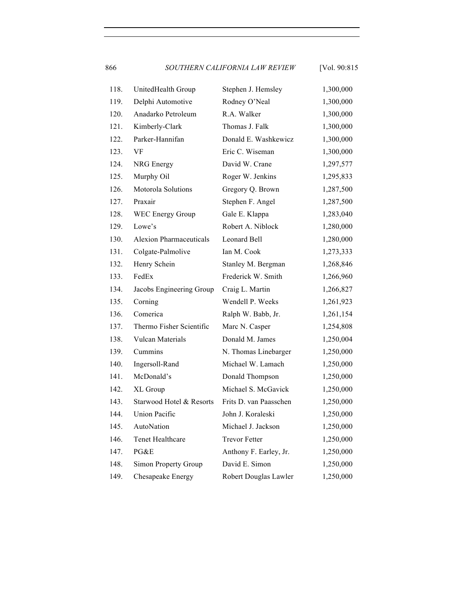866 *SOUTHERN CALIFORNIA LAW REVIEW* [Vol. 90:815

| 118. | UnitedHealth Group             | Stephen J. Hemsley     | 1,300,000 |
|------|--------------------------------|------------------------|-----------|
| 119. | Delphi Automotive              | Rodney O'Neal          | 1,300,000 |
| 120. | Anadarko Petroleum             | R.A. Walker            | 1,300,000 |
| 121. | Kimberly-Clark                 | Thomas J. Falk         | 1,300,000 |
| 122. | Parker-Hannifan                | Donald E. Washkewicz   | 1,300,000 |
| 123. | VF                             | Eric C. Wiseman        | 1,300,000 |
| 124. | NRG Energy                     | David W. Crane         | 1,297,577 |
| 125. | Murphy Oil                     | Roger W. Jenkins       | 1,295,833 |
| 126. | Motorola Solutions             | Gregory Q. Brown       | 1,287,500 |
| 127. | Praxair                        | Stephen F. Angel       | 1,287,500 |
| 128. | <b>WEC Energy Group</b>        | Gale E. Klappa         | 1,283,040 |
| 129. | Lowe's                         | Robert A. Niblock      | 1,280,000 |
| 130. | <b>Alexion Pharmaceuticals</b> | Leonard Bell           | 1,280,000 |
| 131. | Colgate-Palmolive              | Ian M. Cook            | 1,273,333 |
| 132. | Henry Schein                   | Stanley M. Bergman     | 1,268,846 |
| 133. | FedEx                          | Frederick W. Smith     | 1,266,960 |
| 134. | Jacobs Engineering Group       | Craig L. Martin        | 1,266,827 |
| 135. | Corning                        | Wendell P. Weeks       | 1,261,923 |
| 136. | Comerica                       | Ralph W. Babb, Jr.     | 1,261,154 |
| 137. | Thermo Fisher Scientific       | Marc N. Casper         | 1,254,808 |
| 138. | <b>Vulcan Materials</b>        | Donald M. James        | 1,250,004 |
| 139. | Cummins                        | N. Thomas Linebarger   | 1,250,000 |
| 140. | Ingersoll-Rand                 | Michael W. Lamach      | 1,250,000 |
| 141. | McDonald's                     | Donald Thompson        | 1,250,000 |
| 142. | XL Group                       | Michael S. McGavick    | 1,250,000 |
| 143. | Starwood Hotel & Resorts       | Frits D. van Paasschen | 1,250,000 |
| 144. | Union Pacific                  | John J. Koraleski      | 1,250,000 |
| 145. | AutoNation                     | Michael J. Jackson     | 1,250,000 |
| 146. | Tenet Healthcare               | <b>Trevor Fetter</b>   | 1,250,000 |
| 147. | PG&E                           | Anthony F. Earley, Jr. | 1,250,000 |
| 148. | Simon Property Group           | David E. Simon         | 1,250,000 |
| 149. | Chesapeake Energy              | Robert Douglas Lawler  | 1,250,000 |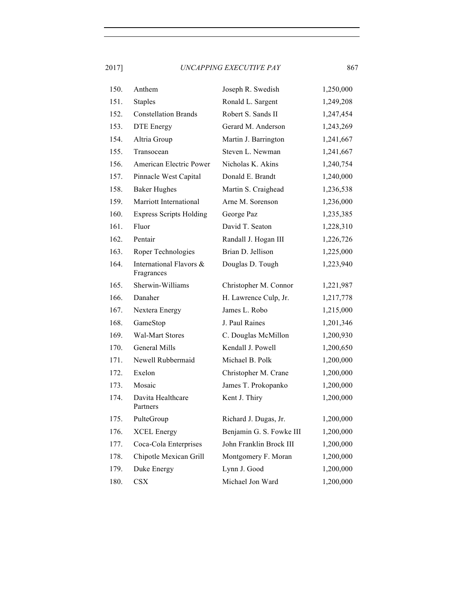| 150. | Anthem                                | Joseph R. Swedish        | 1,250,000 |
|------|---------------------------------------|--------------------------|-----------|
| 151. | <b>Staples</b>                        | Ronald L. Sargent        | 1,249,208 |
| 152. | <b>Constellation Brands</b>           | Robert S. Sands II       | 1,247,454 |
| 153. | <b>DTE</b> Energy                     | Gerard M. Anderson       | 1,243,269 |
| 154. | Altria Group                          | Martin J. Barrington     | 1,241,667 |
| 155. | Transocean                            | Steven L. Newman         | 1,241,667 |
| 156. | American Electric Power               | Nicholas K. Akins        | 1,240,754 |
| 157. | Pinnacle West Capital                 | Donald E. Brandt         | 1,240,000 |
| 158. | <b>Baker Hughes</b>                   | Martin S. Craighead      | 1,236,538 |
| 159. | Marriott International                | Arne M. Sorenson         | 1,236,000 |
| 160. | <b>Express Scripts Holding</b>        | George Paz               | 1,235,385 |
| 161. | Fluor                                 | David T. Seaton          | 1,228,310 |
| 162. | Pentair                               | Randall J. Hogan III     | 1,226,726 |
| 163. | Roper Technologies                    | Brian D. Jellison        | 1,225,000 |
| 164. | International Flavors &<br>Fragrances | Douglas D. Tough         | 1,223,940 |
| 165. | Sherwin-Williams                      | Christopher M. Connor    | 1,221,987 |
| 166. | Danaher                               | H. Lawrence Culp, Jr.    | 1,217,778 |
| 167. | Nextera Energy                        | James L. Robo            | 1,215,000 |
| 168. | GameStop                              | J. Paul Raines           | 1,201,346 |
| 169. | <b>Wal-Mart Stores</b>                | C. Douglas McMillon      | 1,200,930 |
| 170. | General Mills                         | Kendall J. Powell        | 1,200,650 |
| 171. | Newell Rubbermaid                     | Michael B. Polk          | 1,200,000 |
| 172. | Exelon                                | Christopher M. Crane     | 1,200,000 |
| 173. | Mosaic                                | James T. Prokopanko      | 1,200,000 |
| 174. | Davita Healthcare<br>Partners         | Kent J. Thiry            | 1,200,000 |
| 175. | PulteGroup                            | Richard J. Dugas, Jr.    | 1,200,000 |
| 176. | <b>XCEL Energy</b>                    | Benjamin G. S. Fowke III | 1,200,000 |
| 177. | Coca-Cola Enterprises                 | John Franklin Brock III  | 1,200,000 |
| 178. | Chipotle Mexican Grill                | Montgomery F. Moran      | 1,200,000 |
| 179. | Duke Energy                           | Lynn J. Good             | 1,200,000 |
| 180. | <b>CSX</b>                            | Michael Jon Ward         | 1,200,000 |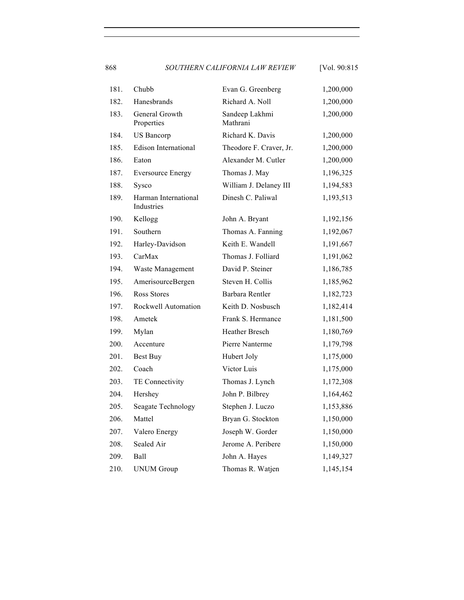868 *SOUTHERN CALIFORNIA LAW REVIEW* [Vol. 90:815

| 181. | Chubb                              | Evan G. Greenberg          | 1,200,000 |
|------|------------------------------------|----------------------------|-----------|
| 182. | Hanesbrands                        | Richard A. Noll            | 1,200,000 |
| 183. | General Growth<br>Properties       | Sandeep Lakhmi<br>Mathrani | 1,200,000 |
| 184. | <b>US Bancorp</b>                  | Richard K. Davis           | 1,200,000 |
| 185. | <b>Edison International</b>        | Theodore F. Craver, Jr.    | 1,200,000 |
| 186. | Eaton                              | Alexander M. Cutler        | 1,200,000 |
| 187. | <b>Eversource Energy</b>           | Thomas J. May              | 1,196,325 |
| 188. | Sysco                              | William J. Delaney III     | 1,194,583 |
| 189. | Harman International<br>Industries | Dinesh C. Paliwal          | 1,193,513 |
| 190. | Kellogg                            | John A. Bryant             | 1,192,156 |
| 191. | Southern                           | Thomas A. Fanning          | 1,192,067 |
| 192. | Harley-Davidson                    | Keith E. Wandell           | 1,191,667 |
| 193. | CarMax                             | Thomas J. Folliard         | 1,191,062 |
| 194. | Waste Management                   | David P. Steiner           | 1,186,785 |
| 195. | AmerisourceBergen                  | Steven H. Collis           | 1,185,962 |
| 196. | Ross Stores                        | Barbara Rentler            | 1,182,723 |
| 197. | Rockwell Automation                | Keith D. Nosbusch          | 1,182,414 |
| 198. | Ametek                             | Frank S. Hermance          | 1,181,500 |
| 199. | Mylan                              | Heather Bresch             | 1,180,769 |
| 200. | Accenture                          | Pierre Nanterme            | 1,179,798 |
| 201. | Best Buy                           | Hubert Joly                | 1,175,000 |
| 202. | Coach                              | Victor Luis                | 1,175,000 |
| 203. | TE Connectivity                    | Thomas J. Lynch            | 1,172,308 |
| 204. | Hershey                            | John P. Bilbrey            | 1,164,462 |
| 205. | Seagate Technology                 | Stephen J. Luczo           | 1,153,886 |
| 206. | Mattel                             | Bryan G. Stockton          | 1,150,000 |
| 207. | Valero Energy                      | Joseph W. Gorder           | 1,150,000 |
| 208. | Sealed Air                         | Jerome A. Peribere         | 1,150,000 |
| 209. | Ball                               | John A. Hayes              | 1,149,327 |
| 210. | <b>UNUM Group</b>                  | Thomas R. Watjen           | 1,145,154 |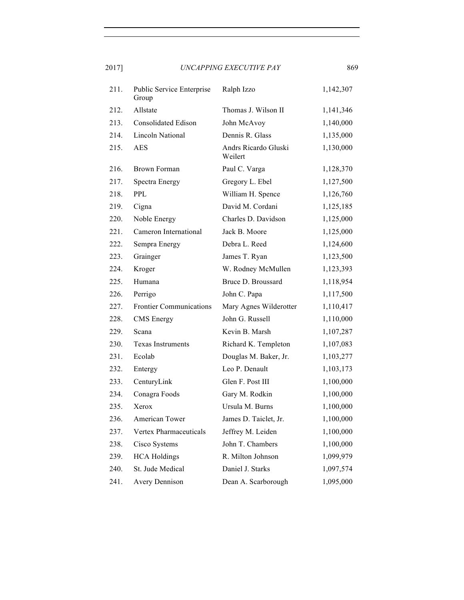| 211. | Public Service Enterprise<br>Group | Ralph Izzo                      | 1,142,307 |
|------|------------------------------------|---------------------------------|-----------|
| 212. | Allstate                           | Thomas J. Wilson II             | 1,141,346 |
| 213. | <b>Consolidated Edison</b>         | John McAvoy                     | 1,140,000 |
| 214. | Lincoln National                   | Dennis R. Glass                 | 1,135,000 |
| 215. | <b>AES</b>                         | Andrs Ricardo Gluski<br>Weilert | 1,130,000 |
| 216. | <b>Brown Forman</b>                | Paul C. Varga                   | 1,128,370 |
| 217. | Spectra Energy                     | Gregory L. Ebel                 | 1,127,500 |
| 218. | <b>PPL</b>                         | William H. Spence               | 1,126,760 |
| 219. | Cigna                              | David M. Cordani                | 1,125,185 |
| 220. | Noble Energy                       | Charles D. Davidson             | 1,125,000 |
| 221. | Cameron International              | Jack B. Moore                   | 1,125,000 |
| 222. | Sempra Energy                      | Debra L. Reed                   | 1,124,600 |
| 223. | Grainger                           | James T. Ryan                   | 1,123,500 |
| 224. | Kroger                             | W. Rodney McMullen              | 1,123,393 |
| 225. | Humana                             | Bruce D. Broussard              | 1,118,954 |
| 226. | Perrigo                            | John C. Papa                    | 1,117,500 |
| 227. | <b>Frontier Communications</b>     | Mary Agnes Wilderotter          | 1,110,417 |
| 228. | <b>CMS</b> Energy                  | John G. Russell                 | 1,110,000 |
| 229. | Scana                              | Kevin B. Marsh                  | 1,107,287 |
| 230. | <b>Texas Instruments</b>           | Richard K. Templeton            | 1,107,083 |
| 231. | Ecolab                             | Douglas M. Baker, Jr.           | 1,103,277 |
| 232. | Entergy                            | Leo P. Denault                  | 1,103,173 |
| 233. | CenturyLink                        | Glen F. Post III                | 1,100,000 |
| 234. | Conagra Foods                      | Gary M. Rodkin                  | 1,100,000 |
| 235. | Xerox                              | Ursula M. Burns                 | 1,100,000 |
| 236. | American Tower                     | James D. Taiclet, Jr.           | 1,100,000 |
| 237. | Vertex Pharmaceuticals             | Jeffrey M. Leiden               | 1,100,000 |
| 238. | Cisco Systems                      | John T. Chambers                | 1,100,000 |
| 239. | <b>HCA Holdings</b>                | R. Milton Johnson               | 1,099,979 |
| 240. | St. Jude Medical                   | Daniel J. Starks                | 1,097,574 |
| 241. | <b>Avery Dennison</b>              | Dean A. Scarborough             | 1,095,000 |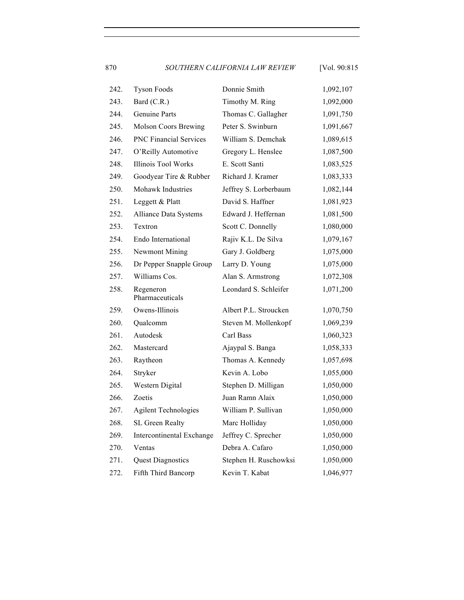870 *SOUTHERN CALIFORNIA LAW REVIEW* [Vol. 90:815

| 242. | <b>Tyson Foods</b>            | Donnie Smith          | 1,092,107 |
|------|-------------------------------|-----------------------|-----------|
| 243. | Bard (C.R.)                   | Timothy M. Ring       | 1,092,000 |
| 244. | Genuine Parts                 | Thomas C. Gallagher   | 1,091,750 |
| 245. | <b>Molson Coors Brewing</b>   | Peter S. Swinburn     | 1,091,667 |
| 246. | <b>PNC Financial Services</b> | William S. Demchak    | 1,089,615 |
| 247. | O'Reilly Automotive           | Gregory L. Henslee    | 1,087,500 |
| 248. | Illinois Tool Works           | E. Scott Santi        | 1,083,525 |
| 249. | Goodyear Tire & Rubber        | Richard J. Kramer     | 1,083,333 |
| 250. | Mohawk Industries             | Jeffrey S. Lorberbaum | 1,082,144 |
| 251. | Leggett & Platt               | David S. Haffner      | 1,081,923 |
| 252. | Alliance Data Systems         | Edward J. Heffernan   | 1,081,500 |
| 253. | Textron                       | Scott C. Donnelly     | 1,080,000 |
| 254. | Endo International            | Rajiv K.L. De Silva   | 1,079,167 |
| 255. | <b>Newmont Mining</b>         | Gary J. Goldberg      | 1,075,000 |
| 256. | Dr Pepper Snapple Group       | Larry D. Young        | 1,075,000 |
| 257. | Williams Cos.                 | Alan S. Armstrong     | 1,072,308 |
| 258. | Regeneron<br>Pharmaceuticals  | Leondard S. Schleifer | 1,071,200 |
| 259. | Owens-Illinois                | Albert P.L. Stroucken | 1,070,750 |
| 260. | Qualcomm                      | Steven M. Mollenkopf  | 1,069,239 |
| 261. | Autodesk                      | Carl Bass             | 1,060,323 |
| 262. | Mastercard                    | Ajaypal S. Banga      | 1,058,333 |
| 263. | Raytheon                      | Thomas A. Kennedy     | 1,057,698 |
| 264. | Stryker                       | Kevin A. Lobo         | 1,055,000 |
| 265. | Western Digital               | Stephen D. Milligan   | 1,050,000 |
| 266. | Zoetis                        | Juan Ramn Alaix       | 1,050,000 |
| 267. | <b>Agilent Technologies</b>   | William P. Sullivan   | 1,050,000 |
| 268. | SL Green Realty               | Marc Holliday         | 1,050,000 |
| 269. | Intercontinental Exchange     | Jeffrey C. Sprecher   | 1,050,000 |
| 270. | Ventas                        | Debra A. Cafaro       | 1,050,000 |
| 271. | <b>Quest Diagnostics</b>      | Stephen H. Ruschowksi | 1,050,000 |
| 272. | Fifth Third Bancorp           | Kevin T. Kabat        | 1,046,977 |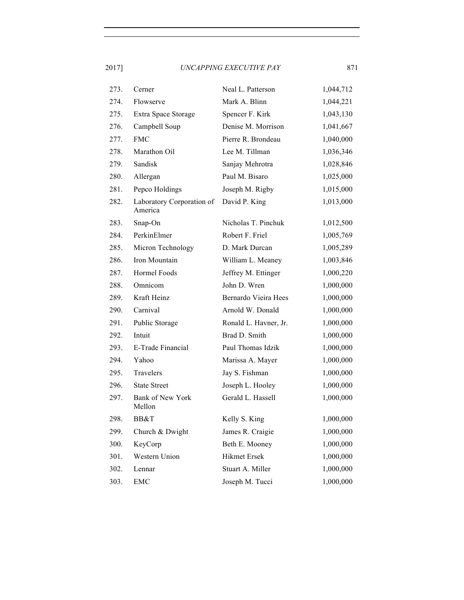| 273. | Cerner                               | Neal L. Patterson     | 1,044,712 |
|------|--------------------------------------|-----------------------|-----------|
| 274. | Flowserve                            | Mark A. Blinn         | 1,044,221 |
| 275. | Extra Space Storage                  | Spencer F. Kirk       | 1,043,130 |
| 276. | Campbell Soup                        | Denise M. Morrison    | 1,041,667 |
| 277. | <b>FMC</b>                           | Pierre R. Brondeau    | 1,040,000 |
| 278. | Marathon Oil                         | Lee M. Tillman        | 1,036,346 |
| 279. | Sandisk                              | Sanjay Mehrotra       | 1,028,846 |
| 280. | Allergan                             | Paul M. Bisaro        | 1,025,000 |
| 281. | Pepco Holdings                       | Joseph M. Rigby       | 1,015,000 |
| 282. | Laboratory Corporation of<br>America | David P. King         | 1,013,000 |
| 283. | Snap-On                              | Nicholas T. Pinchuk   | 1,012,500 |
| 284. | PerkinElmer                          | Robert F. Friel       | 1,005,769 |
| 285. | Micron Technology                    | D. Mark Durcan        | 1,005,289 |
| 286. | Iron Mountain                        | William L. Meaney     | 1,003,846 |
| 287. | Hormel Foods                         | Jeffrey M. Ettinger   | 1,000,220 |
| 288. | Omnicom                              | John D. Wren          | 1,000,000 |
| 289. | Kraft Heinz                          | Bernardo Vieira Hees  | 1,000,000 |
| 290. | Carnival                             | Arnold W. Donald      | 1,000,000 |
| 291. | Public Storage                       | Ronald L. Havner, Jr. | 1,000,000 |
| 292. | Intuit                               | Brad D. Smith         | 1,000,000 |
| 293. | E-Trade Financial                    | Paul Thomas Idzik     | 1,000,000 |
| 294. | Yahoo                                | Marissa A. Mayer      | 1,000,000 |
| 295. | Travelers                            | Jay S. Fishman        | 1,000,000 |
| 296. | <b>State Street</b>                  | Joseph L. Hooley      | 1,000,000 |
| 297. | Bank of New York<br>Mellon           | Gerald L. Hassell     | 1,000,000 |
| 298. | BB&T                                 | Kelly S. King         | 1,000,000 |
| 299. | Church & Dwight                      | James R. Craigie      | 1,000,000 |
| 300. | KeyCorp                              | Beth E. Mooney        | 1,000,000 |
| 301. | Western Union                        | Hikmet Ersek          | 1,000,000 |
| 302. | Lennar                               | Stuart A. Miller      | 1,000,000 |
| 303. | <b>EMC</b>                           | Joseph M. Tucci       | 1,000,000 |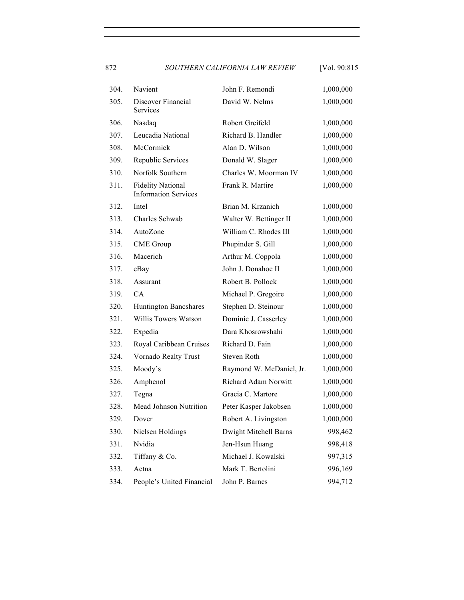872 *SOUTHERN CALIFORNIA LAW REVIEW* [Vol. 90:815

| 304. | Navient                                                 | John F. Remondi             | 1,000,000 |
|------|---------------------------------------------------------|-----------------------------|-----------|
| 305. | Discover Financial<br>Services                          | David W. Nelms              | 1,000,000 |
| 306. | Nasdaq                                                  | Robert Greifeld             | 1,000,000 |
| 307. | Leucadia National                                       | Richard B. Handler          | 1,000,000 |
| 308. | McCormick                                               | Alan D. Wilson              | 1,000,000 |
| 309. | Republic Services                                       | Donald W. Slager            | 1,000,000 |
| 310. | Norfolk Southern                                        | Charles W. Moorman IV       | 1,000,000 |
| 311. | <b>Fidelity National</b><br><b>Information Services</b> | Frank R. Martire            | 1,000,000 |
| 312. | Intel                                                   | Brian M. Krzanich           | 1,000,000 |
| 313. | Charles Schwab                                          | Walter W. Bettinger II      | 1,000,000 |
| 314. | AutoZone                                                | William C. Rhodes III       | 1,000,000 |
| 315. | <b>CME</b> Group                                        | Phupinder S. Gill           | 1,000,000 |
| 316. | Macerich                                                | Arthur M. Coppola           | 1,000,000 |
| 317. | eBay                                                    | John J. Donahoe II          | 1,000,000 |
| 318. | Assurant                                                | Robert B. Pollock           | 1,000,000 |
| 319. | CA                                                      | Michael P. Gregoire         | 1,000,000 |
| 320. | Huntington Bancshares                                   | Stephen D. Steinour         | 1,000,000 |
| 321. | Willis Towers Watson                                    | Dominic J. Casserley        | 1,000,000 |
| 322. | Expedia                                                 | Dara Khosrowshahi           | 1,000,000 |
| 323. | Royal Caribbean Cruises                                 | Richard D. Fain             | 1,000,000 |
| 324. | Vornado Realty Trust                                    | Steven Roth                 | 1,000,000 |
| 325. | Moody's                                                 | Raymond W. McDaniel, Jr.    | 1,000,000 |
| 326. | Amphenol                                                | <b>Richard Adam Norwitt</b> | 1,000,000 |
| 327. | Tegna                                                   | Gracia C. Martore           | 1,000,000 |
| 328. | Mead Johnson Nutrition                                  | Peter Kasper Jakobsen       | 1,000,000 |
| 329. | Dover                                                   | Robert A. Livingston        | 1,000,000 |
| 330. | Nielsen Holdings                                        | Dwight Mitchell Barns       | 998,462   |
| 331. | Nvidia                                                  | Jen-Hsun Huang              | 998,418   |
| 332. | Tiffany & Co.                                           | Michael J. Kowalski         | 997,315   |
| 333. | Aetna                                                   | Mark T. Bertolini           | 996,169   |
| 334. | People's United Financial                               | John P. Barnes              | 994,712   |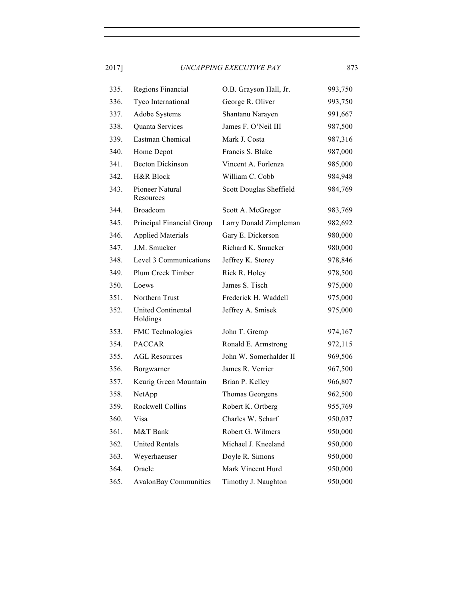| 335. | Regions Financial       | O.B. Grayson Hall, Jr.  | 993,750 |
|------|-------------------------|-------------------------|---------|
| 336. | Tyco International      | George R. Oliver        | 993,750 |
| 337. | Adobe Systems           | Shantanu Narayen        | 991,667 |
| 338. | <b>Quanta Services</b>  | James F. O'Neil III     | 987,500 |
| 339. | Eastman Chemical        | Mark J. Costa           | 987,316 |
| 340. | Home Depot              | Francis S. Blake        | 987,000 |
| 341. | <b>Becton Dickinson</b> | Vincent A. Forlenza     | 985,000 |
| 342. | H&R Block               | William C. Cobb         | 984,948 |
| 343. | Pioneer Natural         | Scott Douglas Sheffield | 984,769 |

| 341. | <b>Becton Dickinson</b>        | Vincent A. Forlenza     | 985,000 |
|------|--------------------------------|-------------------------|---------|
| 342. | H&R Block                      | William C. Cobb         | 984,948 |
| 343. | Pioneer Natural<br>Resources   | Scott Douglas Sheffield | 984,769 |
| 344. | Broadcom                       | Scott A. McGregor       | 983,769 |
| 345. | Principal Financial Group      | Larry Donald Zimpleman  | 982,692 |
| 346. | <b>Applied Materials</b>       | Gary E. Dickerson       | 980,000 |
| 347. | J.M. Smucker                   | Richard K. Smucker      | 980,000 |
| 348. | Level 3 Communications         | Jeffrey K. Storey       | 978,846 |
| 349. | Plum Creek Timber              | Rick R. Holey           | 978,500 |
| 350. | Loews                          | James S. Tisch          | 975,000 |
| 351. | Northern Trust                 | Frederick H. Waddell    | 975,000 |
| 352. | United Continental<br>Holdings | Jeffrey A. Smisek       | 975,000 |
| 353. | FMC Technologies               | John T. Gremp           | 974,167 |
| 354. | <b>PACCAR</b>                  | Ronald E. Armstrong     | 972,115 |
| 355. | <b>AGL Resources</b>           | John W. Somerhalder II  | 969,506 |
| 356. | Borgwarner                     | James R. Verrier        | 967,500 |
| 357. | Keurig Green Mountain          | Brian P. Kelley         | 966,807 |
| 358. | NetApp                         | Thomas Georgens         | 962,500 |
| 359. | Rockwell Collins               | Robert K. Ortberg       | 955,769 |
| 360. | Visa                           | Charles W. Scharf       | 950,037 |
| 361. | M&T Bank                       | Robert G. Wilmers       | 950,000 |
| 362. | <b>United Rentals</b>          | Michael J. Kneeland     | 950,000 |
| 363. | Weyerhaeuser                   | Doyle R. Simons         | 950,000 |
| 364. | Oracle                         | Mark Vincent Hurd       | 950,000 |
| 365. | <b>AvalonBay Communities</b>   | Timothy J. Naughton     | 950,000 |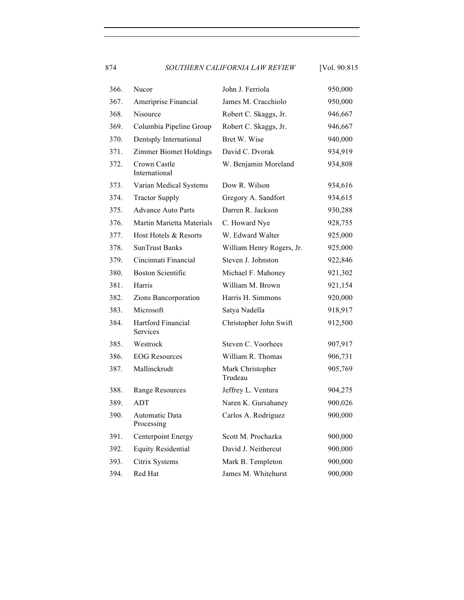874 *SOUTHERN CALIFORNIA LAW REVIEW* [Vol. 90:815

| 366. | Nucor                          | John J. Ferriola            | 950,000 |
|------|--------------------------------|-----------------------------|---------|
| 367. | Ameriprise Financial           | James M. Cracchiolo         | 950,000 |
| 368. | Nisource                       | Robert C. Skaggs, Jr.       | 946,667 |
| 369. | Columbia Pipeline Group        | Robert C. Skaggs, Jr.       | 946,667 |
| 370. | Dentsply International         | Bret W. Wise                | 940,000 |
| 371. | <b>Zimmer Biomet Holdings</b>  | David C. Dvorak             | 934,919 |
| 372. | Crown Castle<br>International  | W. Benjamin Moreland        | 934,808 |
| 373. | Varian Medical Systems         | Dow R. Wilson               | 934,616 |
| 374. | <b>Tractor Supply</b>          | Gregory A. Sandfort         | 934,615 |
| 375. | <b>Advance Auto Parts</b>      | Darren R. Jackson           | 930,288 |
| 376. | Martin Marietta Materials      | C. Howard Nye               | 928,755 |
| 377. | Host Hotels & Resorts          | W. Edward Walter            | 925,000 |
| 378. | <b>SunTrust Banks</b>          | William Henry Rogers, Jr.   | 925,000 |
| 379. | Cincinnati Financial           | Steven J. Johnston          | 922,846 |
| 380. | <b>Boston Scientific</b>       | Michael F. Mahoney          | 921,302 |
| 381. | Harris                         | William M. Brown            | 921,154 |
| 382. | Zions Bancorporation           | Harris H. Simmons           | 920,000 |
| 383. | Microsoft                      | Satya Nadella               | 918,917 |
| 384. | Hartford Financial<br>Services | Christopher John Swift      | 912,500 |
| 385. | Westrock                       | Steven C. Voorhees          | 907,917 |
| 386. | <b>EOG</b> Resources           | William R. Thomas           | 906,731 |
| 387. | Mallinckrodt                   | Mark Christopher<br>Trudeau | 905,769 |
| 388. | Range Resources                | Jeffrey L. Ventura          | 904,275 |
| 389. | <b>ADT</b>                     | Naren K. Gursahaney         | 900,026 |
| 390. | Automatic Data<br>Processing   | Carlos A. Rodriguez         | 900,000 |
| 391. | Centerpoint Energy             | Scott M. Prochazka          | 900,000 |
| 392. | <b>Equity Residential</b>      | David J. Neithercut         | 900,000 |
| 393. | Citrix Systems                 | Mark B. Templeton           | 900,000 |
| 394. | Red Hat                        | James M. Whitehurst         | 900,000 |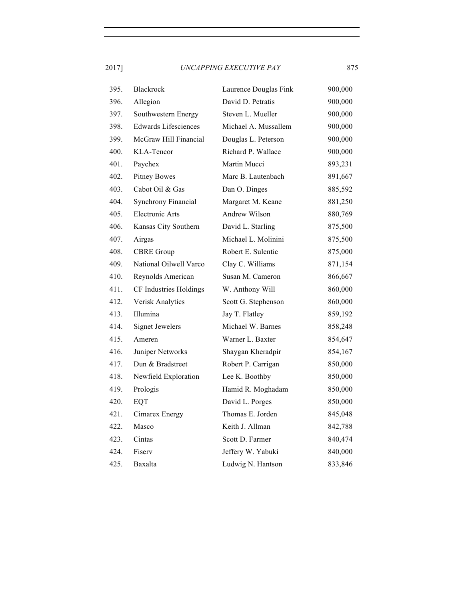| 395. | <b>Blackrock</b>            | Laurence Douglas Fink | 900,000 |
|------|-----------------------------|-----------------------|---------|
| 396. | Allegion                    | David D. Petratis     | 900,000 |
| 397. | Southwestern Energy         | Steven L. Mueller     | 900,000 |
| 398. | <b>Edwards Lifesciences</b> | Michael A. Mussallem  | 900,000 |
| 399. | McGraw Hill Financial       | Douglas L. Peterson   | 900,000 |
| 400. | KLA-Tencor                  | Richard P. Wallace    | 900,000 |
| 401. | Paychex                     | Martin Mucci          | 893,231 |
| 402. | <b>Pitney Bowes</b>         | Marc B. Lautenbach    | 891,667 |
| 403. | Cabot Oil & Gas             | Dan O. Dinges         | 885,592 |
| 404. | <b>Synchrony Financial</b>  | Margaret M. Keane     | 881,250 |
| 405. | <b>Electronic Arts</b>      | Andrew Wilson         | 880,769 |
| 406. | Kansas City Southern        | David L. Starling     | 875,500 |
| 407. | Airgas                      | Michael L. Molinini   | 875,500 |
| 408. | <b>CBRE</b> Group           | Robert E. Sulentic    | 875,000 |
| 409. | National Oilwell Varco      | Clay C. Williams      | 871,154 |
| 410. | Reynolds American           | Susan M. Cameron      | 866,667 |
| 411. | CF Industries Holdings      | W. Anthony Will       | 860,000 |
| 412. | Verisk Analytics            | Scott G. Stephenson   | 860,000 |
| 413. | Illumina                    | Jay T. Flatley        | 859,192 |
| 414. | <b>Signet Jewelers</b>      | Michael W. Barnes     | 858,248 |
| 415. | Ameren                      | Warner L. Baxter      | 854,647 |
| 416. | Juniper Networks            | Shaygan Kheradpir     | 854,167 |
| 417. | Dun & Bradstreet            | Robert P. Carrigan    | 850,000 |
| 418. | Newfield Exploration        | Lee K. Boothby        | 850,000 |
| 419. | Prologis                    | Hamid R. Moghadam     | 850,000 |
| 420. | EQT                         | David L. Porges       | 850,000 |
| 421. | Cimarex Energy              | Thomas E. Jorden      | 845,048 |
| 422. | Masco                       | Keith J. Allman       | 842,788 |
| 423. | Cintas                      | Scott D. Farmer       | 840,474 |
| 424. | Fiserv                      | Jeffery W. Yabuki     | 840,000 |
| 425. | Baxalta                     | Ludwig N. Hantson     | 833,846 |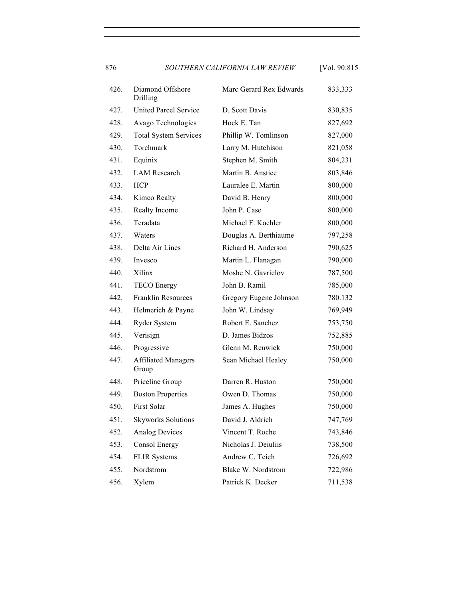876 *SOUTHERN CALIFORNIA LAW REVIEW* [Vol. 90:815

| 426. | Diamond Offshore<br>Drilling        | Marc Gerard Rex Edwards | 833,333 |
|------|-------------------------------------|-------------------------|---------|
| 427. | <b>United Parcel Service</b>        | D. Scott Davis          | 830,835 |
| 428. | Avago Technologies                  | Hock E. Tan             | 827,692 |
| 429. | <b>Total System Services</b>        | Phillip W. Tomlinson    | 827,000 |
| 430. | Torchmark                           | Larry M. Hutchison      | 821,058 |
| 431. | Equinix                             | Stephen M. Smith        | 804,231 |
| 432. | <b>LAM</b> Research                 | Martin B. Anstice       | 803,846 |
| 433. | <b>HCP</b>                          | Lauralee E. Martin      | 800,000 |
| 434. | Kimco Realty                        | David B. Henry          | 800,000 |
| 435. | Realty Income                       | John P. Case            | 800,000 |
| 436. | Teradata                            | Michael F. Koehler      | 800,000 |
| 437. | Waters                              | Douglas A. Berthiaume   | 797,258 |
| 438. | Delta Air Lines                     | Richard H. Anderson     | 790,625 |
| 439. | Invesco                             | Martin L. Flanagan      | 790,000 |
| 440. | Xilinx                              | Moshe N. Gavrielov      | 787,500 |
| 441. | <b>TECO</b> Energy                  | John B. Ramil           | 785,000 |
| 442. | <b>Franklin Resources</b>           | Gregory Eugene Johnson  | 780.132 |
| 443. | Helmerich & Payne                   | John W. Lindsay         | 769,949 |
| 444. | Ryder System                        | Robert E. Sanchez       | 753,750 |
| 445. | Verisign                            | D. James Bidzos         | 752,885 |
| 446. | Progressive                         | Glenn M. Renwick        | 750,000 |
| 447. | <b>Affiliated Managers</b><br>Group | Sean Michael Healey     | 750,000 |
| 448. | Priceline Group                     | Darren R. Huston        | 750,000 |
| 449. | <b>Boston Properties</b>            | Owen D. Thomas          | 750,000 |
| 450. | First Solar                         | James A. Hughes         | 750,000 |
| 451. | <b>Skyworks Solutions</b>           | David J. Aldrich        | 747,769 |
| 452. | <b>Analog Devices</b>               | Vincent T. Roche        | 743,846 |
| 453. | <b>Consol Energy</b>                | Nicholas J. Deiuliis    | 738,500 |
| 454. | <b>FLIR Systems</b>                 | Andrew C. Teich         | 726,692 |
| 455. | Nordstrom                           | Blake W. Nordstrom      | 722,986 |
| 456. | Xylem                               | Patrick K. Decker       | 711,538 |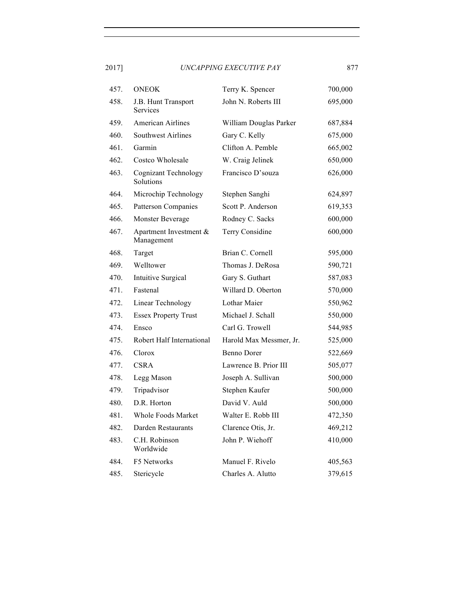| 457. | <b>ONEOK</b>                             | Terry K. Spencer        | 700,000 |
|------|------------------------------------------|-------------------------|---------|
| 458. | J.B. Hunt Transport<br>Services          | John N. Roberts III     | 695,000 |
| 459. | <b>American Airlines</b>                 | William Douglas Parker  | 687,884 |
| 460. | <b>Southwest Airlines</b>                | Gary C. Kelly           | 675,000 |
| 461. | Garmin                                   | Clifton A. Pemble       | 665,002 |
| 462. | Costco Wholesale                         | W. Craig Jelinek        | 650,000 |
| 463. | <b>Cognizant Technology</b><br>Solutions | Francisco D'souza       | 626,000 |
| 464. | Microchip Technology                     | Stephen Sanghi          | 624,897 |
| 465. | <b>Patterson Companies</b>               | Scott P. Anderson       | 619,353 |
| 466. | Monster Beverage                         | Rodney C. Sacks         | 600,000 |
| 467. | Apartment Investment &<br>Management     | Terry Considine         | 600,000 |
| 468. | Target                                   | Brian C. Cornell        | 595,000 |
| 469. | Welltower                                | Thomas J. DeRosa        | 590,721 |
| 470. | <b>Intuitive Surgical</b>                | Gary S. Guthart         | 587,083 |
| 471. | Fastenal                                 | Willard D. Oberton      | 570,000 |
| 472. | Linear Technology                        | Lothar Maier            | 550,962 |
| 473. | <b>Essex Property Trust</b>              | Michael J. Schall       | 550,000 |
| 474. | Ensco                                    | Carl G. Trowell         | 544,985 |
| 475. | Robert Half International                | Harold Max Messmer, Jr. | 525,000 |
| 476. | Clorox                                   | <b>Benno Dorer</b>      | 522,669 |
| 477. | <b>CSRA</b>                              | Lawrence B. Prior III   | 505,077 |
| 478. | Legg Mason                               | Joseph A. Sullivan      | 500,000 |
| 479. | Tripadvisor                              | Stephen Kaufer          | 500,000 |
| 480. | D.R. Horton                              | David V. Auld           | 500,000 |
| 481. | <b>Whole Foods Market</b>                | Walter E. Robb III      | 472,350 |
| 482. | Darden Restaurants                       | Clarence Otis, Jr.      | 469,212 |
| 483. | C.H. Robinson<br>Worldwide               | John P. Wiehoff         | 410,000 |
| 484. | F5 Networks                              | Manuel F. Rivelo        | 405,563 |
| 485. | Stericycle                               | Charles A. Alutto       | 379,615 |